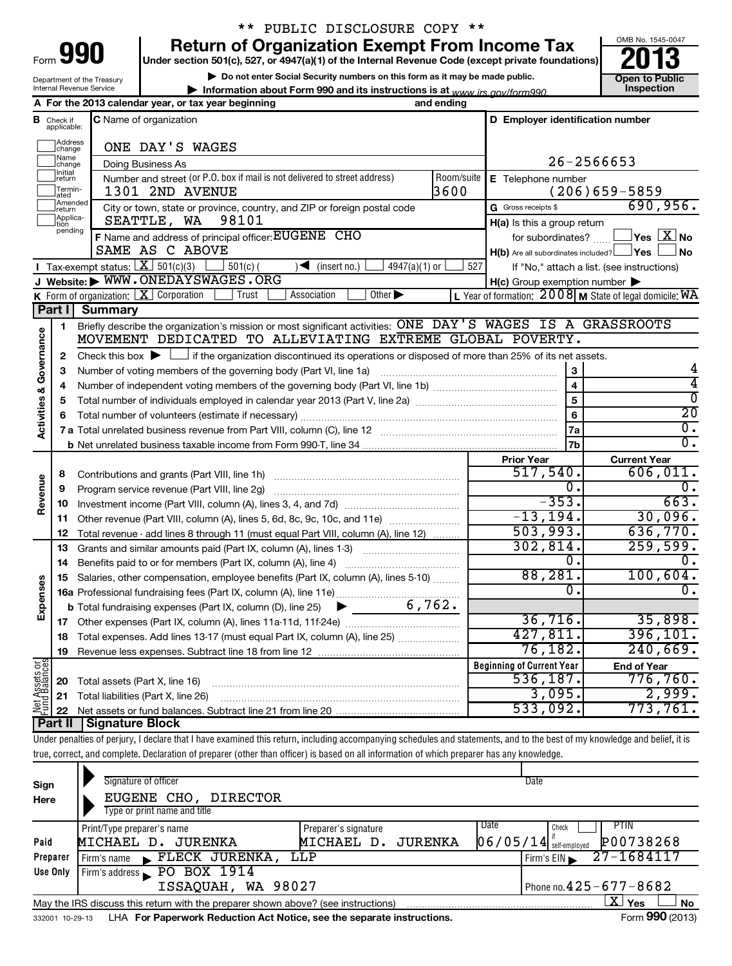Department of the Treasury Internal Revenue Service

# \*\* PUBLIC DISCLOSURE COPY \*\*

**990** Return of Organization Exempt From Income Tax **Punce 13** 

**| Do not enter Social Security numbers on this form as it may be made public.**

**| Information about Form 990 and its instructions is at Inspection** *www.irs.gov/form990.*



|                                    |                                  | A For the 2013 calendar year, or tax year beginning                                                                                                                        | and ending                                                                   |                                                     |                                                                  |  |  |  |
|------------------------------------|----------------------------------|----------------------------------------------------------------------------------------------------------------------------------------------------------------------------|------------------------------------------------------------------------------|-----------------------------------------------------|------------------------------------------------------------------|--|--|--|
|                                    | <b>B</b> Check if<br>applicable: | C Name of organization                                                                                                                                                     |                                                                              | D Employer identification number                    |                                                                  |  |  |  |
|                                    | Address<br>change                | ONE DAY'S WAGES                                                                                                                                                            |                                                                              |                                                     |                                                                  |  |  |  |
|                                    | Name<br>change                   | Doing Business As                                                                                                                                                          |                                                                              | 26-2566653                                          |                                                                  |  |  |  |
|                                    | Initial<br>return                | Number and street (or P.O. box if mail is not delivered to street address)                                                                                                 | Room/suite<br>E Telephone number                                             |                                                     |                                                                  |  |  |  |
|                                    | Termin-<br>ated                  | 1301 2ND AVENUE                                                                                                                                                            | 3600                                                                         |                                                     | $(206)659 - 5859$                                                |  |  |  |
|                                    | Amended<br>Ireturn               | City or town, state or province, country, and ZIP or foreign postal code                                                                                                   |                                                                              | G Gross receipts \$                                 | 690,956.                                                         |  |  |  |
|                                    | Applica-<br>tion                 | 98101<br>SEATTLE, WA                                                                                                                                                       |                                                                              | $H(a)$ is this a group return                       |                                                                  |  |  |  |
|                                    | pending                          | F Name and address of principal officer: EUGENE CHO                                                                                                                        |                                                                              |                                                     | for subordinates? $\text{mm}$ $\Box$ Yes $\boxed{\mathbf{X}}$ No |  |  |  |
|                                    |                                  | SAME AS C ABOVE                                                                                                                                                            |                                                                              | $H(b)$ Are all subordinates included? $\Box$ Yes    | J No                                                             |  |  |  |
|                                    |                                  | Tax-exempt status: $X \ 501(c)(3)$ 18 501(c)<br>$4947(a)(1)$ or<br>$\sqrt{\frac{1}{1}}$ (insert no.)                                                                       | 527                                                                          |                                                     | If "No," attach a list. (see instructions)                       |  |  |  |
|                                    |                                  | J Website: WWW.ONEDAYSWAGES.ORG                                                                                                                                            |                                                                              | $H(c)$ Group exemption number $\blacktriangleright$ |                                                                  |  |  |  |
|                                    |                                  | <b>K</b> Form of organization: $\boxed{\mathbf{X}}$ Corporation<br>Trust<br>$\overline{O}$ ther $\blacktriangleright$<br>Association                                       |                                                                              |                                                     | L Year of formation: 2008 M State of legal domicile: WA          |  |  |  |
|                                    | Part I                           | <b>Summary</b>                                                                                                                                                             |                                                                              |                                                     |                                                                  |  |  |  |
|                                    | 1                                | Briefly describe the organization's mission or most significant activities: ONE DAY'S WAGES IS A GRASSROOTS                                                                |                                                                              |                                                     |                                                                  |  |  |  |
| <b>Activities &amp; Governance</b> |                                  | MOVEMENT DEDICATED TO ALLEVIATING EXTREME GLOBAL POVERTY.                                                                                                                  |                                                                              |                                                     |                                                                  |  |  |  |
|                                    | 2                                | Check this box $\blacktriangleright$ $\Box$ if the organization discontinued its operations or disposed of more than 25% of its net assets.                                |                                                                              |                                                     |                                                                  |  |  |  |
|                                    | 3                                | Number of voting members of the governing body (Part VI, line 1a)                                                                                                          |                                                                              | $\mathbf{3}$                                        |                                                                  |  |  |  |
|                                    | 4                                |                                                                                                                                                                            |                                                                              | $\overline{4}$                                      | 4                                                                |  |  |  |
|                                    | 5                                |                                                                                                                                                                            |                                                                              | $\overline{5}$                                      | $\overline{\mathfrak{o}}$                                        |  |  |  |
|                                    | 6                                |                                                                                                                                                                            | $\bf{6}$                                                                     | $\overline{20}$                                     |                                                                  |  |  |  |
|                                    |                                  |                                                                                                                                                                            | 7a                                                                           | $\overline{\mathfrak{o}}$ .                         |                                                                  |  |  |  |
|                                    |                                  |                                                                                                                                                                            |                                                                              | 7b                                                  | $\overline{0}$ .                                                 |  |  |  |
|                                    |                                  |                                                                                                                                                                            |                                                                              | <b>Prior Year</b>                                   | <b>Current Year</b>                                              |  |  |  |
|                                    | 8                                |                                                                                                                                                                            |                                                                              | 517,540.                                            | 606,011.                                                         |  |  |  |
| Revenue                            | 9                                | Program service revenue (Part VIII, line 2g)                                                                                                                               |                                                                              | 0.                                                  | $\overline{0}$ .                                                 |  |  |  |
|                                    | 10                               |                                                                                                                                                                            |                                                                              | $-353.$                                             | 663.                                                             |  |  |  |
|                                    | 11                               | Other revenue (Part VIII, column (A), lines 5, 6d, 8c, 9c, 10c, and 11e)                                                                                                   |                                                                              | $-13, 194.$                                         | 30,096.                                                          |  |  |  |
|                                    | 12                               | Total revenue - add lines 8 through 11 (must equal Part VIII, column (A), line 12)                                                                                         |                                                                              | 503,993.                                            | 636,770.                                                         |  |  |  |
|                                    | 13                               | Grants and similar amounts paid (Part IX, column (A), lines 1-3)                                                                                                           |                                                                              | 302, 814.<br>0.                                     | 259,599.<br>$\overline{0}$ .                                     |  |  |  |
|                                    | 14                               | Benefits paid to or for members (Part IX, column (A), line 4)                                                                                                              |                                                                              |                                                     |                                                                  |  |  |  |
| Expenses                           | 15                               | Salaries, other compensation, employee benefits (Part IX, column (A), lines 5-10)                                                                                          | 88,281.<br>$\overline{0}$ .                                                  | 100,604.                                            |                                                                  |  |  |  |
|                                    |                                  | 6,762.                                                                                                                                                                     |                                                                              |                                                     | $\overline{0}$ .                                                 |  |  |  |
|                                    |                                  | $\blacktriangleright$ and $\blacktriangleright$<br><b>b</b> Total fundraising expenses (Part IX, column (D), line 25)                                                      |                                                                              | 36,716.                                             |                                                                  |  |  |  |
|                                    |                                  |                                                                                                                                                                            |                                                                              | 427,811.                                            | 35,898.<br>396, 101.                                             |  |  |  |
|                                    |                                  |                                                                                                                                                                            | 18 Total expenses. Add lines 13-17 (must equal Part IX, column (A), line 25) |                                                     |                                                                  |  |  |  |
|                                    | 19                               |                                                                                                                                                                            |                                                                              | 76, 182.                                            | 240,669.                                                         |  |  |  |
|                                    |                                  |                                                                                                                                                                            |                                                                              | <b>Beginning of Current Year</b><br>536,187.        | <b>End of Year</b><br>776,760.                                   |  |  |  |
| Net Assets or                      | 20                               | Total assets (Part X, line 16)                                                                                                                                             |                                                                              | 3,095.                                              | 2,999.                                                           |  |  |  |
|                                    | 21                               | Total liabilities (Part X, line 26)                                                                                                                                        |                                                                              | 533,092.                                            | 773,761.                                                         |  |  |  |
|                                    | 22<br>Part II                    | <b>Signature Block</b>                                                                                                                                                     |                                                                              |                                                     |                                                                  |  |  |  |
|                                    |                                  | Under penalties of perjury, I declare that I have examined this return, including accompanying schedules and statements, and to the best of my knowledge and belief, it is |                                                                              |                                                     |                                                                  |  |  |  |
|                                    |                                  | true, correct, and complete. Declaration of preparer (other than officer) is based on all information of which preparer has any knowledge.                                 |                                                                              |                                                     |                                                                  |  |  |  |
|                                    |                                  |                                                                                                                                                                            |                                                                              |                                                     |                                                                  |  |  |  |

| Sign<br>Here | Signature of officer<br>EUGENE CHO,<br>DIRECTOR<br>Type or print name and title     |                                               | Date                                                                                               |  |  |  |  |  |  |  |
|--------------|-------------------------------------------------------------------------------------|-----------------------------------------------|----------------------------------------------------------------------------------------------------|--|--|--|--|--|--|--|
| Paid         | Print/Type preparer's name<br>MICHAEL D. JURENKA                                    | Preparer's signature<br>MICHAEL D.<br>JURENKA | Date<br>PTIN<br>Check<br>$06/05/14$ self-employed<br>P00738268                                     |  |  |  |  |  |  |  |
| Preparer     | FLECK JURENKA,<br>Firm's name                                                       | LLP                                           | 27-1684117<br>Firm's $EIN$                                                                         |  |  |  |  |  |  |  |
| Use Only     | PO BOX 1914<br>Firm's address<br>Phone no. $425 - 677 - 8682$<br>ISSAQUAH, WA 98027 |                                               |                                                                                                    |  |  |  |  |  |  |  |
|              | May the IRS discuss this return with the preparer shown above? (see instructions)   |                                               | ΧI<br><b>No</b><br>Yes<br>$\begin{array}{ccc}\n\bullet & \bullet & \bullet & \bullet\n\end{array}$ |  |  |  |  |  |  |  |

332001 10-29-13 **For Paperwork Reduction Act Notice, see the separate instructions.** LHA Form (2013)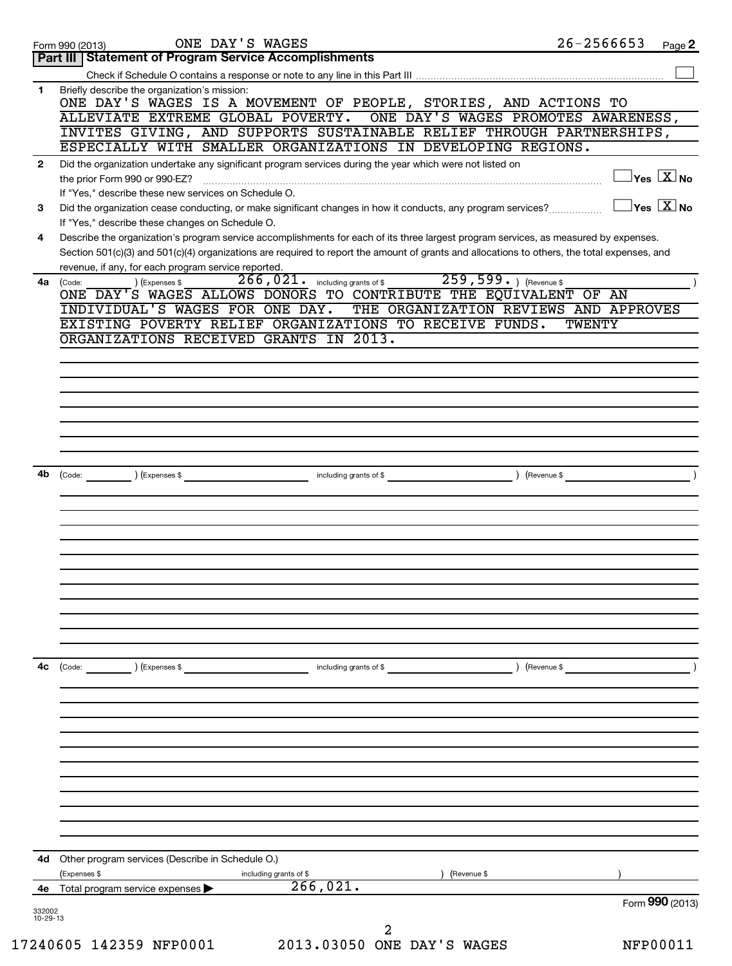| Part III   Statement of Program Service Accomplishments<br>Briefly describe the organization's mission:<br>1.<br>ONE DAY'S WAGES IS A MOVEMENT OF PEOPLE, STORIES, AND ACTIONS TO<br>ONE DAY'S WAGES PROMOTES AWARENESS,<br>ALLEVIATE EXTREME GLOBAL POVERTY.<br>INVITES GIVING, AND SUPPORTS SUSTAINABLE RELIEF THROUGH PARTNERSHIPS,<br>ESPECIALLY WITH SMALLER ORGANIZATIONS IN DEVELOPING REGIONS.<br>Did the organization undertake any significant program services during the year which were not listed on<br>$\mathbf{2}$<br>If "Yes," describe these new services on Schedule O.<br>Did the organization cease conducting, or make significant changes in how it conducts, any program services?<br>3<br>If "Yes," describe these changes on Schedule O.<br>Describe the organization's program service accomplishments for each of its three largest program services, as measured by expenses.<br>4<br>Section 501(c)(3) and 501(c)(4) organizations are required to report the amount of grants and allocations to others, the total expenses, and<br>revenue, if any, for each program service reported.<br>266, 021. including grants of \$259, 599. ) (Revenue \$<br>) (Expenses \$<br>4a<br>(Code:<br>ONE DAY'S WAGES ALLOWS DONORS TO CONTRIBUTE THE EQUIVALENT OF AN<br>INDIVIDUAL'S WAGES FOR ONE DAY.<br>THE ORGANIZATION REVIEWS AND APPROVES<br>EXISTING POVERTY RELIEF ORGANIZATIONS TO RECEIVE FUNDS.<br><b>TWENTY</b><br>ORGANIZATIONS RECEIVED GRANTS IN 2013.<br>4b (Code: ) (Expenses \$ _ ) (Expenses \$ _ ) (Expenses \$ _ ) (Revenue \$ _ _ ) (Revenue \$ _ _ ) (Revenue \$ _ _ )<br>4с<br>$\left(\text{Code:}\right)$<br>) (Expenses \$<br>including grants of \$<br>) (Revenue \$<br>4d Other program services (Describe in Schedule O.)<br>(Expenses \$<br>including grants of \$<br>(Revenue \$ | $26 - 2566653$<br>Page 2                |
|-------------------------------------------------------------------------------------------------------------------------------------------------------------------------------------------------------------------------------------------------------------------------------------------------------------------------------------------------------------------------------------------------------------------------------------------------------------------------------------------------------------------------------------------------------------------------------------------------------------------------------------------------------------------------------------------------------------------------------------------------------------------------------------------------------------------------------------------------------------------------------------------------------------------------------------------------------------------------------------------------------------------------------------------------------------------------------------------------------------------------------------------------------------------------------------------------------------------------------------------------------------------------------------------------------------------------------------------------------------------------------------------------------------------------------------------------------------------------------------------------------------------------------------------------------------------------------------------------------------------------------------------------------------------------------------------------------------------------------------------------------------------------------------------------------------------------------------|-----------------------------------------|
|                                                                                                                                                                                                                                                                                                                                                                                                                                                                                                                                                                                                                                                                                                                                                                                                                                                                                                                                                                                                                                                                                                                                                                                                                                                                                                                                                                                                                                                                                                                                                                                                                                                                                                                                                                                                                                     |                                         |
|                                                                                                                                                                                                                                                                                                                                                                                                                                                                                                                                                                                                                                                                                                                                                                                                                                                                                                                                                                                                                                                                                                                                                                                                                                                                                                                                                                                                                                                                                                                                                                                                                                                                                                                                                                                                                                     |                                         |
|                                                                                                                                                                                                                                                                                                                                                                                                                                                                                                                                                                                                                                                                                                                                                                                                                                                                                                                                                                                                                                                                                                                                                                                                                                                                                                                                                                                                                                                                                                                                                                                                                                                                                                                                                                                                                                     |                                         |
|                                                                                                                                                                                                                                                                                                                                                                                                                                                                                                                                                                                                                                                                                                                                                                                                                                                                                                                                                                                                                                                                                                                                                                                                                                                                                                                                                                                                                                                                                                                                                                                                                                                                                                                                                                                                                                     |                                         |
|                                                                                                                                                                                                                                                                                                                                                                                                                                                                                                                                                                                                                                                                                                                                                                                                                                                                                                                                                                                                                                                                                                                                                                                                                                                                                                                                                                                                                                                                                                                                                                                                                                                                                                                                                                                                                                     |                                         |
|                                                                                                                                                                                                                                                                                                                                                                                                                                                                                                                                                                                                                                                                                                                                                                                                                                                                                                                                                                                                                                                                                                                                                                                                                                                                                                                                                                                                                                                                                                                                                                                                                                                                                                                                                                                                                                     |                                         |
|                                                                                                                                                                                                                                                                                                                                                                                                                                                                                                                                                                                                                                                                                                                                                                                                                                                                                                                                                                                                                                                                                                                                                                                                                                                                                                                                                                                                                                                                                                                                                                                                                                                                                                                                                                                                                                     |                                         |
|                                                                                                                                                                                                                                                                                                                                                                                                                                                                                                                                                                                                                                                                                                                                                                                                                                                                                                                                                                                                                                                                                                                                                                                                                                                                                                                                                                                                                                                                                                                                                                                                                                                                                                                                                                                                                                     | $\Box$ Yes $\boxed{\text{X}}$ No        |
|                                                                                                                                                                                                                                                                                                                                                                                                                                                                                                                                                                                                                                                                                                                                                                                                                                                                                                                                                                                                                                                                                                                                                                                                                                                                                                                                                                                                                                                                                                                                                                                                                                                                                                                                                                                                                                     |                                         |
|                                                                                                                                                                                                                                                                                                                                                                                                                                                                                                                                                                                                                                                                                                                                                                                                                                                                                                                                                                                                                                                                                                                                                                                                                                                                                                                                                                                                                                                                                                                                                                                                                                                                                                                                                                                                                                     | $\Box$ Yes $[\overline{\mathrm{X}}]$ No |
|                                                                                                                                                                                                                                                                                                                                                                                                                                                                                                                                                                                                                                                                                                                                                                                                                                                                                                                                                                                                                                                                                                                                                                                                                                                                                                                                                                                                                                                                                                                                                                                                                                                                                                                                                                                                                                     |                                         |
|                                                                                                                                                                                                                                                                                                                                                                                                                                                                                                                                                                                                                                                                                                                                                                                                                                                                                                                                                                                                                                                                                                                                                                                                                                                                                                                                                                                                                                                                                                                                                                                                                                                                                                                                                                                                                                     |                                         |
|                                                                                                                                                                                                                                                                                                                                                                                                                                                                                                                                                                                                                                                                                                                                                                                                                                                                                                                                                                                                                                                                                                                                                                                                                                                                                                                                                                                                                                                                                                                                                                                                                                                                                                                                                                                                                                     |                                         |
|                                                                                                                                                                                                                                                                                                                                                                                                                                                                                                                                                                                                                                                                                                                                                                                                                                                                                                                                                                                                                                                                                                                                                                                                                                                                                                                                                                                                                                                                                                                                                                                                                                                                                                                                                                                                                                     |                                         |
|                                                                                                                                                                                                                                                                                                                                                                                                                                                                                                                                                                                                                                                                                                                                                                                                                                                                                                                                                                                                                                                                                                                                                                                                                                                                                                                                                                                                                                                                                                                                                                                                                                                                                                                                                                                                                                     |                                         |
|                                                                                                                                                                                                                                                                                                                                                                                                                                                                                                                                                                                                                                                                                                                                                                                                                                                                                                                                                                                                                                                                                                                                                                                                                                                                                                                                                                                                                                                                                                                                                                                                                                                                                                                                                                                                                                     |                                         |
|                                                                                                                                                                                                                                                                                                                                                                                                                                                                                                                                                                                                                                                                                                                                                                                                                                                                                                                                                                                                                                                                                                                                                                                                                                                                                                                                                                                                                                                                                                                                                                                                                                                                                                                                                                                                                                     |                                         |
|                                                                                                                                                                                                                                                                                                                                                                                                                                                                                                                                                                                                                                                                                                                                                                                                                                                                                                                                                                                                                                                                                                                                                                                                                                                                                                                                                                                                                                                                                                                                                                                                                                                                                                                                                                                                                                     |                                         |
|                                                                                                                                                                                                                                                                                                                                                                                                                                                                                                                                                                                                                                                                                                                                                                                                                                                                                                                                                                                                                                                                                                                                                                                                                                                                                                                                                                                                                                                                                                                                                                                                                                                                                                                                                                                                                                     |                                         |
|                                                                                                                                                                                                                                                                                                                                                                                                                                                                                                                                                                                                                                                                                                                                                                                                                                                                                                                                                                                                                                                                                                                                                                                                                                                                                                                                                                                                                                                                                                                                                                                                                                                                                                                                                                                                                                     |                                         |
|                                                                                                                                                                                                                                                                                                                                                                                                                                                                                                                                                                                                                                                                                                                                                                                                                                                                                                                                                                                                                                                                                                                                                                                                                                                                                                                                                                                                                                                                                                                                                                                                                                                                                                                                                                                                                                     |                                         |
|                                                                                                                                                                                                                                                                                                                                                                                                                                                                                                                                                                                                                                                                                                                                                                                                                                                                                                                                                                                                                                                                                                                                                                                                                                                                                                                                                                                                                                                                                                                                                                                                                                                                                                                                                                                                                                     |                                         |
|                                                                                                                                                                                                                                                                                                                                                                                                                                                                                                                                                                                                                                                                                                                                                                                                                                                                                                                                                                                                                                                                                                                                                                                                                                                                                                                                                                                                                                                                                                                                                                                                                                                                                                                                                                                                                                     |                                         |
|                                                                                                                                                                                                                                                                                                                                                                                                                                                                                                                                                                                                                                                                                                                                                                                                                                                                                                                                                                                                                                                                                                                                                                                                                                                                                                                                                                                                                                                                                                                                                                                                                                                                                                                                                                                                                                     |                                         |
|                                                                                                                                                                                                                                                                                                                                                                                                                                                                                                                                                                                                                                                                                                                                                                                                                                                                                                                                                                                                                                                                                                                                                                                                                                                                                                                                                                                                                                                                                                                                                                                                                                                                                                                                                                                                                                     |                                         |
|                                                                                                                                                                                                                                                                                                                                                                                                                                                                                                                                                                                                                                                                                                                                                                                                                                                                                                                                                                                                                                                                                                                                                                                                                                                                                                                                                                                                                                                                                                                                                                                                                                                                                                                                                                                                                                     |                                         |
|                                                                                                                                                                                                                                                                                                                                                                                                                                                                                                                                                                                                                                                                                                                                                                                                                                                                                                                                                                                                                                                                                                                                                                                                                                                                                                                                                                                                                                                                                                                                                                                                                                                                                                                                                                                                                                     |                                         |
|                                                                                                                                                                                                                                                                                                                                                                                                                                                                                                                                                                                                                                                                                                                                                                                                                                                                                                                                                                                                                                                                                                                                                                                                                                                                                                                                                                                                                                                                                                                                                                                                                                                                                                                                                                                                                                     |                                         |
|                                                                                                                                                                                                                                                                                                                                                                                                                                                                                                                                                                                                                                                                                                                                                                                                                                                                                                                                                                                                                                                                                                                                                                                                                                                                                                                                                                                                                                                                                                                                                                                                                                                                                                                                                                                                                                     |                                         |
|                                                                                                                                                                                                                                                                                                                                                                                                                                                                                                                                                                                                                                                                                                                                                                                                                                                                                                                                                                                                                                                                                                                                                                                                                                                                                                                                                                                                                                                                                                                                                                                                                                                                                                                                                                                                                                     |                                         |
|                                                                                                                                                                                                                                                                                                                                                                                                                                                                                                                                                                                                                                                                                                                                                                                                                                                                                                                                                                                                                                                                                                                                                                                                                                                                                                                                                                                                                                                                                                                                                                                                                                                                                                                                                                                                                                     |                                         |
|                                                                                                                                                                                                                                                                                                                                                                                                                                                                                                                                                                                                                                                                                                                                                                                                                                                                                                                                                                                                                                                                                                                                                                                                                                                                                                                                                                                                                                                                                                                                                                                                                                                                                                                                                                                                                                     |                                         |
|                                                                                                                                                                                                                                                                                                                                                                                                                                                                                                                                                                                                                                                                                                                                                                                                                                                                                                                                                                                                                                                                                                                                                                                                                                                                                                                                                                                                                                                                                                                                                                                                                                                                                                                                                                                                                                     |                                         |
|                                                                                                                                                                                                                                                                                                                                                                                                                                                                                                                                                                                                                                                                                                                                                                                                                                                                                                                                                                                                                                                                                                                                                                                                                                                                                                                                                                                                                                                                                                                                                                                                                                                                                                                                                                                                                                     |                                         |
|                                                                                                                                                                                                                                                                                                                                                                                                                                                                                                                                                                                                                                                                                                                                                                                                                                                                                                                                                                                                                                                                                                                                                                                                                                                                                                                                                                                                                                                                                                                                                                                                                                                                                                                                                                                                                                     |                                         |
|                                                                                                                                                                                                                                                                                                                                                                                                                                                                                                                                                                                                                                                                                                                                                                                                                                                                                                                                                                                                                                                                                                                                                                                                                                                                                                                                                                                                                                                                                                                                                                                                                                                                                                                                                                                                                                     |                                         |
|                                                                                                                                                                                                                                                                                                                                                                                                                                                                                                                                                                                                                                                                                                                                                                                                                                                                                                                                                                                                                                                                                                                                                                                                                                                                                                                                                                                                                                                                                                                                                                                                                                                                                                                                                                                                                                     |                                         |
|                                                                                                                                                                                                                                                                                                                                                                                                                                                                                                                                                                                                                                                                                                                                                                                                                                                                                                                                                                                                                                                                                                                                                                                                                                                                                                                                                                                                                                                                                                                                                                                                                                                                                                                                                                                                                                     |                                         |
|                                                                                                                                                                                                                                                                                                                                                                                                                                                                                                                                                                                                                                                                                                                                                                                                                                                                                                                                                                                                                                                                                                                                                                                                                                                                                                                                                                                                                                                                                                                                                                                                                                                                                                                                                                                                                                     |                                         |
|                                                                                                                                                                                                                                                                                                                                                                                                                                                                                                                                                                                                                                                                                                                                                                                                                                                                                                                                                                                                                                                                                                                                                                                                                                                                                                                                                                                                                                                                                                                                                                                                                                                                                                                                                                                                                                     |                                         |
|                                                                                                                                                                                                                                                                                                                                                                                                                                                                                                                                                                                                                                                                                                                                                                                                                                                                                                                                                                                                                                                                                                                                                                                                                                                                                                                                                                                                                                                                                                                                                                                                                                                                                                                                                                                                                                     |                                         |
|                                                                                                                                                                                                                                                                                                                                                                                                                                                                                                                                                                                                                                                                                                                                                                                                                                                                                                                                                                                                                                                                                                                                                                                                                                                                                                                                                                                                                                                                                                                                                                                                                                                                                                                                                                                                                                     |                                         |
|                                                                                                                                                                                                                                                                                                                                                                                                                                                                                                                                                                                                                                                                                                                                                                                                                                                                                                                                                                                                                                                                                                                                                                                                                                                                                                                                                                                                                                                                                                                                                                                                                                                                                                                                                                                                                                     |                                         |
|                                                                                                                                                                                                                                                                                                                                                                                                                                                                                                                                                                                                                                                                                                                                                                                                                                                                                                                                                                                                                                                                                                                                                                                                                                                                                                                                                                                                                                                                                                                                                                                                                                                                                                                                                                                                                                     |                                         |
|                                                                                                                                                                                                                                                                                                                                                                                                                                                                                                                                                                                                                                                                                                                                                                                                                                                                                                                                                                                                                                                                                                                                                                                                                                                                                                                                                                                                                                                                                                                                                                                                                                                                                                                                                                                                                                     |                                         |
|                                                                                                                                                                                                                                                                                                                                                                                                                                                                                                                                                                                                                                                                                                                                                                                                                                                                                                                                                                                                                                                                                                                                                                                                                                                                                                                                                                                                                                                                                                                                                                                                                                                                                                                                                                                                                                     |                                         |
|                                                                                                                                                                                                                                                                                                                                                                                                                                                                                                                                                                                                                                                                                                                                                                                                                                                                                                                                                                                                                                                                                                                                                                                                                                                                                                                                                                                                                                                                                                                                                                                                                                                                                                                                                                                                                                     |                                         |
|                                                                                                                                                                                                                                                                                                                                                                                                                                                                                                                                                                                                                                                                                                                                                                                                                                                                                                                                                                                                                                                                                                                                                                                                                                                                                                                                                                                                                                                                                                                                                                                                                                                                                                                                                                                                                                     |                                         |
|                                                                                                                                                                                                                                                                                                                                                                                                                                                                                                                                                                                                                                                                                                                                                                                                                                                                                                                                                                                                                                                                                                                                                                                                                                                                                                                                                                                                                                                                                                                                                                                                                                                                                                                                                                                                                                     |                                         |
|                                                                                                                                                                                                                                                                                                                                                                                                                                                                                                                                                                                                                                                                                                                                                                                                                                                                                                                                                                                                                                                                                                                                                                                                                                                                                                                                                                                                                                                                                                                                                                                                                                                                                                                                                                                                                                     |                                         |
|                                                                                                                                                                                                                                                                                                                                                                                                                                                                                                                                                                                                                                                                                                                                                                                                                                                                                                                                                                                                                                                                                                                                                                                                                                                                                                                                                                                                                                                                                                                                                                                                                                                                                                                                                                                                                                     |                                         |
|                                                                                                                                                                                                                                                                                                                                                                                                                                                                                                                                                                                                                                                                                                                                                                                                                                                                                                                                                                                                                                                                                                                                                                                                                                                                                                                                                                                                                                                                                                                                                                                                                                                                                                                                                                                                                                     |                                         |
|                                                                                                                                                                                                                                                                                                                                                                                                                                                                                                                                                                                                                                                                                                                                                                                                                                                                                                                                                                                                                                                                                                                                                                                                                                                                                                                                                                                                                                                                                                                                                                                                                                                                                                                                                                                                                                     |                                         |
|                                                                                                                                                                                                                                                                                                                                                                                                                                                                                                                                                                                                                                                                                                                                                                                                                                                                                                                                                                                                                                                                                                                                                                                                                                                                                                                                                                                                                                                                                                                                                                                                                                                                                                                                                                                                                                     |                                         |
|                                                                                                                                                                                                                                                                                                                                                                                                                                                                                                                                                                                                                                                                                                                                                                                                                                                                                                                                                                                                                                                                                                                                                                                                                                                                                                                                                                                                                                                                                                                                                                                                                                                                                                                                                                                                                                     |                                         |
| 266,021.<br>4e Total program service expenses                                                                                                                                                                                                                                                                                                                                                                                                                                                                                                                                                                                                                                                                                                                                                                                                                                                                                                                                                                                                                                                                                                                                                                                                                                                                                                                                                                                                                                                                                                                                                                                                                                                                                                                                                                                       |                                         |
| 332002                                                                                                                                                                                                                                                                                                                                                                                                                                                                                                                                                                                                                                                                                                                                                                                                                                                                                                                                                                                                                                                                                                                                                                                                                                                                                                                                                                                                                                                                                                                                                                                                                                                                                                                                                                                                                              | Form 990 (2013)                         |
| 10-29-13                                                                                                                                                                                                                                                                                                                                                                                                                                                                                                                                                                                                                                                                                                                                                                                                                                                                                                                                                                                                                                                                                                                                                                                                                                                                                                                                                                                                                                                                                                                                                                                                                                                                                                                                                                                                                            |                                         |
| 2<br>17240605 142359 NFP0001<br>2013.03050 ONE DAY'S WAGES                                                                                                                                                                                                                                                                                                                                                                                                                                                                                                                                                                                                                                                                                                                                                                                                                                                                                                                                                                                                                                                                                                                                                                                                                                                                                                                                                                                                                                                                                                                                                                                                                                                                                                                                                                          | NFP00011                                |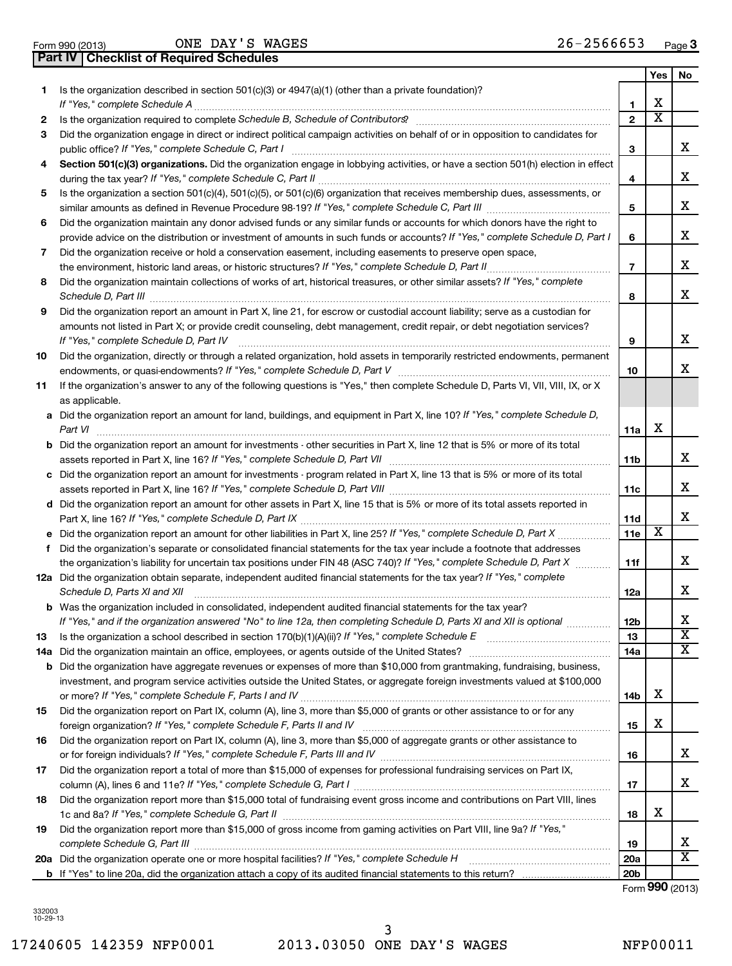|                 | <b>Part IV   Checklist of Required Schedules</b> |              |  |
|-----------------|--------------------------------------------------|--------------|--|
| Form 990 (2013) |                                                  | ONE DAY'S WA |  |

ONE DAY'S WAGES

|    |                                                                                                                                                                                                                                                                                                                                                                     |                 | Yes | No                      |
|----|---------------------------------------------------------------------------------------------------------------------------------------------------------------------------------------------------------------------------------------------------------------------------------------------------------------------------------------------------------------------|-----------------|-----|-------------------------|
| 1. | Is the organization described in section $501(c)(3)$ or $4947(a)(1)$ (other than a private foundation)?                                                                                                                                                                                                                                                             |                 |     |                         |
|    |                                                                                                                                                                                                                                                                                                                                                                     | 1               | х   |                         |
| 2  | Is the organization required to complete Schedule B, Schedule of Contributors? [111] [12] the organization required to complete Schedule B, Schedule of Contributors?                                                                                                                                                                                               | $\overline{2}$  | x   |                         |
| 3  | Did the organization engage in direct or indirect political campaign activities on behalf of or in opposition to candidates for                                                                                                                                                                                                                                     | 3               |     | x                       |
| 4  | Section 501(c)(3) organizations. Did the organization engage in lobbying activities, or have a section 501(h) election in effect                                                                                                                                                                                                                                    |                 |     |                         |
|    |                                                                                                                                                                                                                                                                                                                                                                     | 4               |     | x                       |
| 5  | Is the organization a section 501(c)(4), 501(c)(5), or 501(c)(6) organization that receives membership dues, assessments, or                                                                                                                                                                                                                                        |                 |     |                         |
|    |                                                                                                                                                                                                                                                                                                                                                                     | 5               |     | x                       |
| 6  | Did the organization maintain any donor advised funds or any similar funds or accounts for which donors have the right to                                                                                                                                                                                                                                           |                 |     |                         |
|    | provide advice on the distribution or investment of amounts in such funds or accounts? If "Yes," complete Schedule D, Part I                                                                                                                                                                                                                                        | 6               |     | x                       |
| 7  | Did the organization receive or hold a conservation easement, including easements to preserve open space,                                                                                                                                                                                                                                                           |                 |     | x                       |
|    |                                                                                                                                                                                                                                                                                                                                                                     | $\overline{7}$  |     |                         |
| 8  | Did the organization maintain collections of works of art, historical treasures, or other similar assets? If "Yes," complete<br>Schedule D, Part III <b>Marting Communities</b> and the contract of the contract of the contract of the contract of the contract of the contract of the contract of the contract of the contract of the contract of the contract of | 8               |     | x                       |
| 9  | Did the organization report an amount in Part X, line 21, for escrow or custodial account liability; serve as a custodian for                                                                                                                                                                                                                                       |                 |     |                         |
|    | amounts not listed in Part X; or provide credit counseling, debt management, credit repair, or debt negotiation services?<br>If "Yes," complete Schedule D, Part IV                                                                                                                                                                                                 | 9               |     | x.                      |
| 10 | Did the organization, directly or through a related organization, hold assets in temporarily restricted endowments, permanent                                                                                                                                                                                                                                       |                 |     |                         |
|    |                                                                                                                                                                                                                                                                                                                                                                     | 10              |     | x                       |
| 11 | If the organization's answer to any of the following questions is "Yes," then complete Schedule D, Parts VI, VII, VIII, IX, or X<br>as applicable.                                                                                                                                                                                                                  |                 |     |                         |
|    | a Did the organization report an amount for land, buildings, and equipment in Part X, line 10? If "Yes," complete Schedule D,                                                                                                                                                                                                                                       |                 |     |                         |
|    | Part VI                                                                                                                                                                                                                                                                                                                                                             | 11a             | х   |                         |
|    | <b>b</b> Did the organization report an amount for investments - other securities in Part X, line 12 that is 5% or more of its total                                                                                                                                                                                                                                |                 |     |                         |
|    |                                                                                                                                                                                                                                                                                                                                                                     | 11b             |     | x.                      |
|    | c Did the organization report an amount for investments - program related in Part X, line 13 that is 5% or more of its total                                                                                                                                                                                                                                        |                 |     | x                       |
|    |                                                                                                                                                                                                                                                                                                                                                                     | 11c             |     |                         |
|    | d Did the organization report an amount for other assets in Part X, line 15 that is 5% or more of its total assets reported in                                                                                                                                                                                                                                      | 11d             |     | x                       |
|    |                                                                                                                                                                                                                                                                                                                                                                     | 11e             | x   |                         |
| f  | Did the organization's separate or consolidated financial statements for the tax year include a footnote that addresses                                                                                                                                                                                                                                             |                 |     |                         |
|    | the organization's liability for uncertain tax positions under FIN 48 (ASC 740)? If "Yes," complete Schedule D, Part X                                                                                                                                                                                                                                              | 11f             |     | x                       |
|    | 12a Did the organization obtain separate, independent audited financial statements for the tax year? If "Yes," complete                                                                                                                                                                                                                                             |                 |     |                         |
|    | Schedule D, Parts XI and XII                                                                                                                                                                                                                                                                                                                                        | 12a             |     | x                       |
|    | <b>b</b> Was the organization included in consolidated, independent audited financial statements for the tax year?                                                                                                                                                                                                                                                  |                 |     |                         |
|    | If "Yes," and if the organization answered "No" to line 12a, then completing Schedule D, Parts XI and XII is optional                                                                                                                                                                                                                                               | 12b             |     | x                       |
| 13 |                                                                                                                                                                                                                                                                                                                                                                     | 13              |     | $\overline{\text{x}}$   |
|    |                                                                                                                                                                                                                                                                                                                                                                     | 14a             |     | x                       |
|    | <b>b</b> Did the organization have aggregate revenues or expenses of more than \$10,000 from grantmaking, fundraising, business,<br>investment, and program service activities outside the United States, or aggregate foreign investments valued at \$100,000                                                                                                      |                 |     |                         |
|    |                                                                                                                                                                                                                                                                                                                                                                     | 14b             | х   |                         |
| 15 | Did the organization report on Part IX, column (A), line 3, more than \$5,000 of grants or other assistance to or for any                                                                                                                                                                                                                                           |                 |     |                         |
|    |                                                                                                                                                                                                                                                                                                                                                                     | 15              | х   |                         |
| 16 | Did the organization report on Part IX, column (A), line 3, more than \$5,000 of aggregate grants or other assistance to                                                                                                                                                                                                                                            |                 |     |                         |
|    |                                                                                                                                                                                                                                                                                                                                                                     | 16              |     | x                       |
| 17 | Did the organization report a total of more than \$15,000 of expenses for professional fundraising services on Part IX,                                                                                                                                                                                                                                             |                 |     |                         |
|    |                                                                                                                                                                                                                                                                                                                                                                     | 17              |     | x                       |
| 18 | Did the organization report more than \$15,000 total of fundraising event gross income and contributions on Part VIII, lines                                                                                                                                                                                                                                        |                 | х   |                         |
| 19 | Did the organization report more than \$15,000 of gross income from gaming activities on Part VIII, line 9a? If "Yes,"                                                                                                                                                                                                                                              | 18              |     |                         |
|    |                                                                                                                                                                                                                                                                                                                                                                     | 19              |     | х                       |
|    | 20a Did the organization operate one or more hospital facilities? If "Yes," complete Schedule H                                                                                                                                                                                                                                                                     | 20a             |     | $\overline{\texttt{x}}$ |
|    |                                                                                                                                                                                                                                                                                                                                                                     | 20 <sub>b</sub> |     |                         |

Form (2013) **990**

332003 10-29-13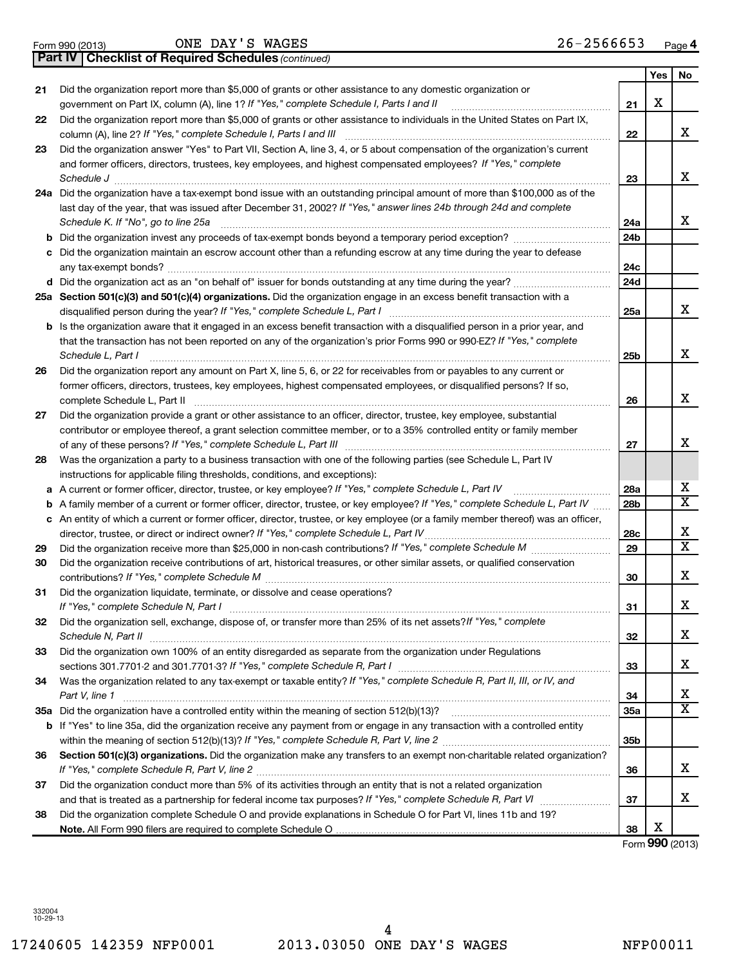**21**

**22**

4

# 17240605 142359 NFP0001 2013.03050 ONE DAY'S WAGES NFP00011

|    | 24a Did the organization have a tax-exempt bond issue with an outstanding principal amount of more than \$100,000 as of the                                                             |                 |                      |                              |
|----|-----------------------------------------------------------------------------------------------------------------------------------------------------------------------------------------|-----------------|----------------------|------------------------------|
|    | last day of the year, that was issued after December 31, 2002? If "Yes," answer lines 24b through 24d and complete                                                                      |                 |                      |                              |
|    | Schedule K. If "No", go to line 25a                                                                                                                                                     | 24a             |                      | x                            |
|    |                                                                                                                                                                                         | 24 <sub>b</sub> |                      |                              |
|    | c Did the organization maintain an escrow account other than a refunding escrow at any time during the year to defease                                                                  | 24c             |                      |                              |
|    | any tax-exempt bonds?                                                                                                                                                                   | 24d             |                      |                              |
|    | 25a Section 501(c)(3) and 501(c)(4) organizations. Did the organization engage in an excess benefit transaction with a                                                                  |                 |                      |                              |
|    | disqualified person during the year? If "Yes," complete Schedule L, Part I                                                                                                              | 25a             |                      | x                            |
|    | b Is the organization aware that it engaged in an excess benefit transaction with a disqualified person in a prior year, and                                                            |                 |                      |                              |
|    | that the transaction has not been reported on any of the organization's prior Forms 990 or 990-EZ? If "Yes," complete                                                                   |                 |                      |                              |
|    | Schedule L, Part I                                                                                                                                                                      | 25 <sub>b</sub> |                      | х                            |
| 26 | Did the organization report any amount on Part X, line 5, 6, or 22 for receivables from or payables to any current or                                                                   |                 |                      |                              |
|    | former officers, directors, trustees, key employees, highest compensated employees, or disqualified persons? If so,                                                                     |                 |                      |                              |
|    | complete Schedule L, Part II                                                                                                                                                            | 26              |                      | х                            |
| 27 | Did the organization provide a grant or other assistance to an officer, director, trustee, key employee, substantial                                                                    |                 |                      |                              |
|    | contributor or employee thereof, a grant selection committee member, or to a 35% controlled entity or family member                                                                     |                 |                      |                              |
|    | of any of these persons? If "Yes," complete Schedule L, Part III                                                                                                                        | 27              |                      | x                            |
| 28 | Was the organization a party to a business transaction with one of the following parties (see Schedule L, Part IV                                                                       |                 |                      |                              |
|    | instructions for applicable filing thresholds, conditions, and exceptions):                                                                                                             |                 |                      |                              |
|    | a A current or former officer, director, trustee, or key employee? If "Yes," complete Schedule L, Part IV                                                                               | 28a             |                      | х                            |
|    | <b>b</b> A family member of a current or former officer, director, trustee, or key employee? If "Yes," complete Schedule L, Part IV                                                     | 28 <sub>b</sub> |                      | $\overline{\mathbf{x}}$      |
|    | c An entity of which a current or former officer, director, trustee, or key employee (or a family member thereof) was an officer,                                                       |                 |                      |                              |
|    | director, trustee, or direct or indirect owner? If "Yes," complete Schedule L, Part IV                                                                                                  | 28c             |                      | х<br>$\overline{\texttt{x}}$ |
| 29 |                                                                                                                                                                                         | 29              |                      |                              |
| 30 | Did the organization receive contributions of art, historical treasures, or other similar assets, or qualified conservation                                                             | 30              |                      | х                            |
| 31 | Did the organization liquidate, terminate, or dissolve and cease operations?                                                                                                            |                 |                      |                              |
|    | If "Yes," complete Schedule N, Part I                                                                                                                                                   | 31              |                      | х                            |
| 32 | Did the organization sell, exchange, dispose of, or transfer more than 25% of its net assets? If "Yes," complete                                                                        |                 |                      |                              |
|    | Schedule N, Part II                                                                                                                                                                     | 32              |                      | х                            |
| 33 | Did the organization own 100% of an entity disregarded as separate from the organization under Regulations<br>sections 301.7701-2 and 301.7701-3? If "Yes," complete Schedule R, Part I | 33              |                      | х                            |
| 34 | Was the organization related to any tax-exempt or taxable entity? If "Yes," complete Schedule R, Part II, III, or IV, and                                                               |                 |                      |                              |
|    | Part V, line 1                                                                                                                                                                          | 34              |                      | x                            |
|    | 35a Did the organization have a controlled entity within the meaning of section 512(b)(13)?                                                                                             | 35a             |                      | $\overline{\texttt{x}}$      |
|    | <b>b</b> If "Yes" to line 35a, did the organization receive any payment from or engage in any transaction with a controlled entity                                                      |                 |                      |                              |
|    | within the meaning of section 512(b)(13)? If "Yes," complete Schedule R, Part V, line 2                                                                                                 | 35 <sub>b</sub> |                      |                              |
| 36 | Section 501(c)(3) organizations. Did the organization make any transfers to an exempt non-charitable related organization?                                                              |                 |                      |                              |
|    |                                                                                                                                                                                         | 36              |                      | x                            |
| 37 | Did the organization conduct more than 5% of its activities through an entity that is not a related organization                                                                        |                 |                      |                              |
|    | and that is treated as a partnership for federal income tax purposes? If "Yes," complete Schedule R, Part VI                                                                            | 37              |                      | х                            |
| 38 | Did the organization complete Schedule O and provide explanations in Schedule O for Part VI, lines 11b and 19?                                                                          |                 |                      |                              |
|    |                                                                                                                                                                                         | 38              | х<br>Form 990 (2013) |                              |

**23** *If "Yes," complete Schedule I, Parts I and III* column (A), line 2? ~~~~~~~~~~~~~~~~~~~~~~~~~~~~~~ and former officers, directors, trustees, key employees, and highest compensated employees? If "Yes," complete Did the organization answer "Yes" to Part VII, Section A, line 3, 4, or 5 about compensation of the organization's current

Did the organization report more than \$5,000 of grants or other assistance to any domestic organization or

**24 a** *Schedule J* ~~~~~~~~~~~~~~~~~~~~~~~~~~~~~~~~~~~~~~~~~~~~~~~~~~~~~~~~ Did the organization have a tax-exempt bond issue with an outstanding principal amount of more than \$100,000 as of the

*If "Yes," complete Schedule I, Parts I and II* government on Part IX, column (A), line 1? ~~~~~~~~~~~~~~~~~~

Did the organization report more than \$5,000 of grants or other assistance to individuals in the United States on Part IX,

| last day of the year, that was issued after December 31, 2002? If "Yes," answer lines 24b through 24d and complete<br>Schedule K. If "No", go to line 25a |
|-----------------------------------------------------------------------------------------------------------------------------------------------------------|
| b Did the organization invest any proceeds of tax-exempt bonds beyond a temporary period exception?                                                       |
| c Did the organization maintain an escrow account other than a refunding escrow at any time during the year to defease                                    |
|                                                                                                                                                           |
|                                                                                                                                                           |
| 250. Cootian E01(a)(2) and E01(a)(4) arganizations. Did the erganization engage in an excess benefit transaction with a                                   |

# *(continued)* **Part IV Checklist of Required Schedules** Form 990 (2013) ONE DAY'S WAGES 2 6-2 5 6 6 6 5 3 <sub>Page</sub>

**21**

**22**

**23**

**Yes No**

X

X

X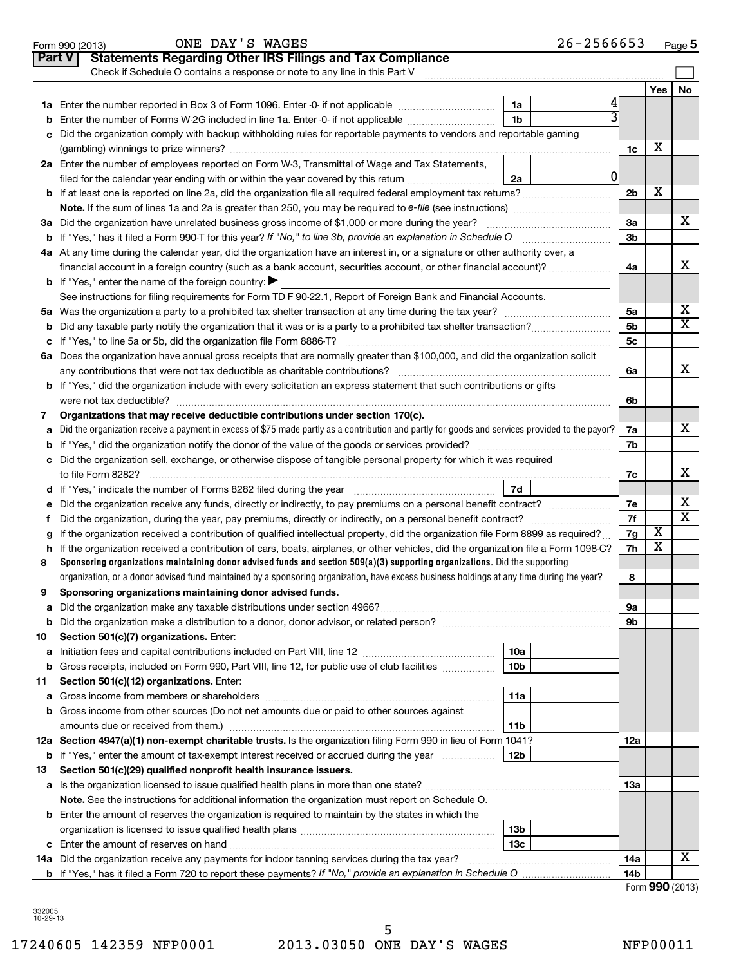|               | ONE DAY'S WAGES<br>$26 - 2566653$<br>Form 990 (2013)                                                                                                                                                           |                |     | Page $5$                |
|---------------|----------------------------------------------------------------------------------------------------------------------------------------------------------------------------------------------------------------|----------------|-----|-------------------------|
| <b>Part V</b> | <b>Statements Regarding Other IRS Filings and Tax Compliance</b>                                                                                                                                               |                |     |                         |
|               | Check if Schedule O contains a response or note to any line in this Part V                                                                                                                                     |                |     |                         |
|               |                                                                                                                                                                                                                |                | Yes | No                      |
|               | 1a<br>1a Enter the number reported in Box 3 of Form 1096. Enter -0- if not applicable                                                                                                                          |                |     |                         |
| b             | 1 <sub>b</sub><br>Enter the number of Forms W-2G included in line 1a. Enter -0- if not applicable                                                                                                              |                |     |                         |
|               | Did the organization comply with backup withholding rules for reportable payments to vendors and reportable gaming                                                                                             |                |     |                         |
|               |                                                                                                                                                                                                                | 1c             | х   |                         |
|               | 2a Enter the number of employees reported on Form W-3, Transmittal of Wage and Tax Statements,                                                                                                                 |                |     |                         |
|               | 01<br>2a<br>filed for the calendar year ending with or within the year covered by this return                                                                                                                  |                |     |                         |
|               |                                                                                                                                                                                                                | 2 <sub>b</sub> | х   |                         |
|               |                                                                                                                                                                                                                |                |     |                         |
|               | 3a Did the organization have unrelated business gross income of \$1,000 or more during the year?                                                                                                               | 3a             |     | х                       |
|               |                                                                                                                                                                                                                | 3b             |     |                         |
|               | 4a At any time during the calendar year, did the organization have an interest in, or a signature or other authority over, a                                                                                   |                |     |                         |
|               | financial account in a foreign country (such as a bank account, securities account, or other financial account)?                                                                                               | 4a             |     | x                       |
|               | <b>b</b> If "Yes," enter the name of the foreign country:                                                                                                                                                      |                |     |                         |
|               | See instructions for filing requirements for Form TD F 90-22.1, Report of Foreign Bank and Financial Accounts.                                                                                                 |                |     |                         |
|               |                                                                                                                                                                                                                | 5a             |     | x                       |
|               |                                                                                                                                                                                                                | 5 <sub>b</sub> |     | $\overline{\mathtt{x}}$ |
|               |                                                                                                                                                                                                                | 5c             |     |                         |
|               | 6a Does the organization have annual gross receipts that are normally greater than \$100,000, and did the organization solicit                                                                                 |                |     |                         |
|               | any contributions that were not tax deductible as charitable contributions?                                                                                                                                    | 6a             |     | x                       |
|               | <b>b</b> If "Yes," did the organization include with every solicitation an express statement that such contributions or gifts                                                                                  |                |     |                         |
|               | were not tax deductible?                                                                                                                                                                                       | 6b             |     |                         |
| 7             | Organizations that may receive deductible contributions under section 170(c).                                                                                                                                  |                |     |                         |
| a             | Did the organization receive a payment in excess of \$75 made partly as a contribution and partly for goods and services provided to the payor?                                                                | 7a             |     | x                       |
|               |                                                                                                                                                                                                                | 7b             |     |                         |
|               | c Did the organization sell, exchange, or otherwise dispose of tangible personal property for which it was required                                                                                            |                |     |                         |
|               | to file Form 8282?                                                                                                                                                                                             | 7c             |     | x                       |
|               | 7d                                                                                                                                                                                                             |                |     |                         |
|               | e Did the organization receive any funds, directly or indirectly, to pay premiums on a personal benefit contract?                                                                                              | 7е             |     | x                       |
| f.            |                                                                                                                                                                                                                | 7f             |     | $\overline{\texttt{x}}$ |
| g             | If the organization received a contribution of qualified intellectual property, did the organization file Form 8899 as required?                                                                               | 7g             | х   |                         |
|               | h If the organization received a contribution of cars, boats, airplanes, or other vehicles, did the organization file a Form 1098-C?                                                                           | 7h             | X   |                         |
| 8             | Sponsoring organizations maintaining donor advised funds and section 509(a)(3) supporting organizations. Did the supporting                                                                                    |                |     |                         |
|               | organization, or a donor advised fund maintained by a sponsoring organization, have excess business holdings at any time during the year?                                                                      | 8              |     |                         |
| 9             | Sponsoring organizations maintaining donor advised funds.                                                                                                                                                      |                |     |                         |
| а             |                                                                                                                                                                                                                | 9а             |     |                         |
| b             |                                                                                                                                                                                                                | 9b             |     |                         |
| 10            | Section 501(c)(7) organizations. Enter:                                                                                                                                                                        |                |     |                         |
| а             | 10a                                                                                                                                                                                                            |                |     |                         |
| b             | Gross receipts, included on Form 990, Part VIII, line 12, for public use of club facilities<br>10 <sub>b</sub>                                                                                                 |                |     |                         |
| 11            | Section 501(c)(12) organizations. Enter:                                                                                                                                                                       |                |     |                         |
|               | 11a                                                                                                                                                                                                            |                |     |                         |
|               | b Gross income from other sources (Do not net amounts due or paid to other sources against                                                                                                                     |                |     |                         |
|               | amounts due or received from them.)<br>11b                                                                                                                                                                     |                |     |                         |
|               | 12a Section 4947(a)(1) non-exempt charitable trusts. Is the organization filing Form 990 in lieu of Form 1041?                                                                                                 | 12a            |     |                         |
| 13            | <b>b</b> If "Yes," enter the amount of tax-exempt interest received or accrued during the year<br>12b                                                                                                          |                |     |                         |
|               | Section 501(c)(29) qualified nonprofit health insurance issuers.                                                                                                                                               | 13a            |     |                         |
|               |                                                                                                                                                                                                                |                |     |                         |
|               | Note. See the instructions for additional information the organization must report on Schedule O.<br><b>b</b> Enter the amount of reserves the organization is required to maintain by the states in which the |                |     |                         |
|               | 13 <sub>b</sub>                                                                                                                                                                                                |                |     |                         |
|               | 13с                                                                                                                                                                                                            |                |     |                         |
|               |                                                                                                                                                                                                                | 14a            |     | X                       |
|               |                                                                                                                                                                                                                | 14b            |     |                         |
|               |                                                                                                                                                                                                                |                |     |                         |

Form **990** (2013)

332005 10-29-13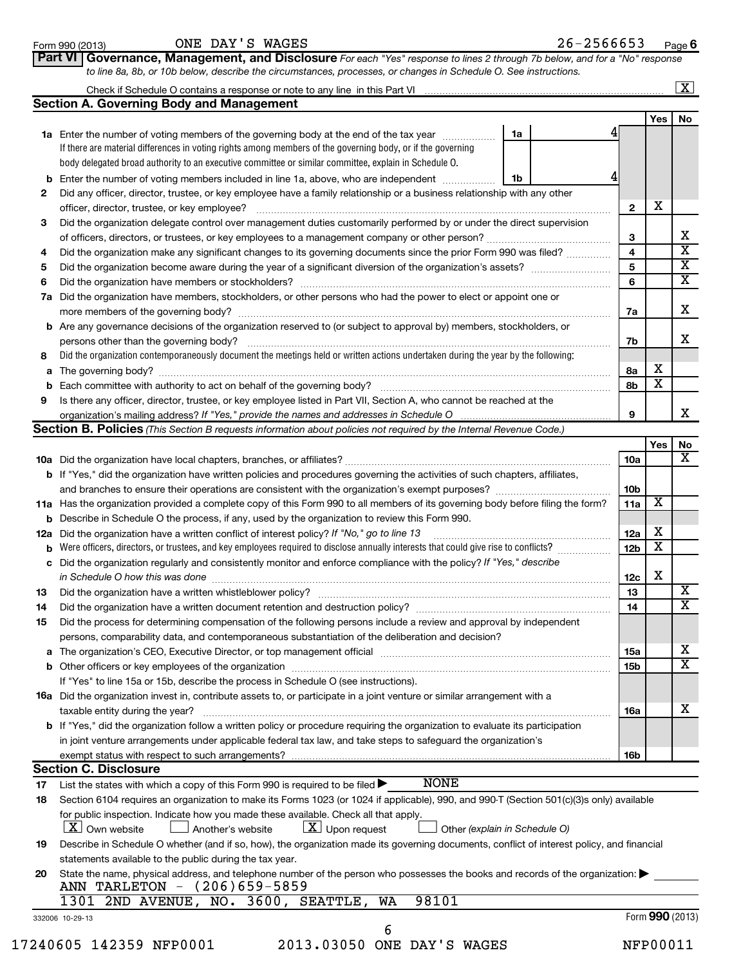**Part VI Governance, Management, and Disclosure** 

*For each "Yes" response to lines 2 through 7b below, and for a "No" response*

|    |                                                                                                                                            |    |                 |                         | $\boxed{\textbf{X}}$  |
|----|--------------------------------------------------------------------------------------------------------------------------------------------|----|-----------------|-------------------------|-----------------------|
|    | <b>Section A. Governing Body and Management</b>                                                                                            |    |                 |                         |                       |
|    |                                                                                                                                            |    |                 | Yes                     | No                    |
|    | 1a Enter the number of voting members of the governing body at the end of the tax year                                                     | 1a |                 |                         |                       |
|    | If there are material differences in voting rights among members of the governing body, or if the governing                                |    |                 |                         |                       |
|    | body delegated broad authority to an executive committee or similar committee, explain in Schedule O.                                      |    |                 |                         |                       |
|    | <b>b</b> Enter the number of voting members included in line 1a, above, who are independent <i>manumum</i>                                 | 1b |                 |                         |                       |
| 2  | Did any officer, director, trustee, or key employee have a family relationship or a business relationship with any other                   |    |                 |                         |                       |
|    |                                                                                                                                            |    | $\mathbf{2}$    | х                       |                       |
| з  | Did the organization delegate control over management duties customarily performed by or under the direct supervision                      |    |                 |                         |                       |
|    |                                                                                                                                            |    | 3               |                         | X                     |
| 4  |                                                                                                                                            |    | 4               |                         | X                     |
|    | Did the organization make any significant changes to its governing documents since the prior Form 990 was filed?                           |    | 5               |                         | X                     |
| 5  |                                                                                                                                            |    |                 |                         | X                     |
| 6  |                                                                                                                                            |    | 6               |                         |                       |
|    | 7a Did the organization have members, stockholders, or other persons who had the power to elect or appoint one or                          |    |                 |                         |                       |
|    |                                                                                                                                            |    | 7a              |                         | x                     |
|    | <b>b</b> Are any governance decisions of the organization reserved to (or subject to approval by) members, stockholders, or                |    |                 |                         |                       |
|    | persons other than the governing body?                                                                                                     |    | 7b              |                         | x                     |
| 8  | Did the organization contemporaneously document the meetings held or written actions undertaken during the year by the following:          |    |                 |                         |                       |
|    |                                                                                                                                            |    | 8a              | Х                       |                       |
|    |                                                                                                                                            |    | 8b              | $\overline{\mathbf{X}}$ |                       |
| 9  | Is there any officer, director, trustee, or key employee listed in Part VII, Section A, who cannot be reached at the                       |    |                 |                         |                       |
|    |                                                                                                                                            |    | 9               |                         | x                     |
|    | <b>Section B. Policies</b> (This Section B requests information about policies not required by the Internal Revenue Code.)                 |    |                 |                         |                       |
|    |                                                                                                                                            |    |                 | Yes                     | No                    |
|    |                                                                                                                                            |    | 10a             |                         | x                     |
|    | <b>b</b> If "Yes," did the organization have written policies and procedures governing the activities of such chapters, affiliates,        |    |                 |                         |                       |
|    |                                                                                                                                            |    | 10 <sub>b</sub> |                         |                       |
|    | 11a Has the organization provided a complete copy of this Form 990 to all members of its governing body before filing the form?            |    | 11a             | $\overline{\textbf{X}}$ |                       |
|    | <b>b</b> Describe in Schedule O the process, if any, used by the organization to review this Form 990.                                     |    |                 |                         |                       |
|    | 12a Did the organization have a written conflict of interest policy? If "No," go to line 13                                                |    | 12a             | х                       |                       |
|    |                                                                                                                                            |    | 12 <sub>b</sub> | $\overline{\text{x}}$   |                       |
|    | c Did the organization regularly and consistently monitor and enforce compliance with the policy? If "Yes," describe                       |    |                 |                         |                       |
|    | in Schedule O how this was done encounteral contracts and a set of the set of the set of the set of the set of                             |    | 12c             | х                       |                       |
| 13 |                                                                                                                                            |    | 13              |                         | х                     |
| 14 | Did the organization have a written document retention and destruction policy? [11] manufaction manufaction in                             |    | 14              |                         | $\overline{\text{X}}$ |
|    | Did the process for determining compensation of the following persons include a review and approval by independent                         |    |                 |                         |                       |
| 15 |                                                                                                                                            |    |                 |                         |                       |
|    | persons, comparability data, and contemporaneous substantiation of the deliberation and decision?                                          |    |                 |                         |                       |
|    |                                                                                                                                            |    | 15a             |                         | х                     |
|    |                                                                                                                                            |    | 15b             |                         | х                     |
|    | If "Yes" to line 15a or 15b, describe the process in Schedule O (see instructions).                                                        |    |                 |                         |                       |
|    | 16a Did the organization invest in, contribute assets to, or participate in a joint venture or similar arrangement with a                  |    |                 |                         |                       |
|    | taxable entity during the year?                                                                                                            |    | 16a             |                         | х                     |
|    | b If "Yes," did the organization follow a written policy or procedure requiring the organization to evaluate its participation             |    |                 |                         |                       |
|    | in joint venture arrangements under applicable federal tax law, and take steps to safeguard the organization's                             |    |                 |                         |                       |
|    | exempt status with respect to such arrangements?                                                                                           |    | 16b             |                         |                       |
|    | <b>Section C. Disclosure</b>                                                                                                               |    |                 |                         |                       |
| 17 | <b>NONE</b><br>List the states with which a copy of this Form 990 is required to be filed $\blacktriangleright$                            |    |                 |                         |                       |
| 18 | Section 6104 requires an organization to make its Forms 1023 (or 1024 if applicable), 990, and 990-T (Section 501(c)(3)s only) available   |    |                 |                         |                       |
|    | for public inspection. Indicate how you made these available. Check all that apply.                                                        |    |                 |                         |                       |
|    | $\lfloor x \rfloor$ Own website<br>$\lfloor \underline{X} \rfloor$ Upon request<br>Another's website<br>Other (explain in Schedule O)      |    |                 |                         |                       |
| 19 | Describe in Schedule O whether (and if so, how), the organization made its governing documents, conflict of interest policy, and financial |    |                 |                         |                       |
|    | statements available to the public during the tax year.                                                                                    |    |                 |                         |                       |
| 20 | State the name, physical address, and telephone number of the person who possesses the books and records of the organization:              |    |                 |                         |                       |
|    | ANN TARLETON - (206)659-5859                                                                                                               |    |                 |                         |                       |
|    | 98101<br>1301 2ND AVENUE, NO. 3600, SEATTLE,<br>WA                                                                                         |    |                 |                         |                       |
|    |                                                                                                                                            |    |                 | Form 990 (2013)         |                       |
|    | 332006 10-29-13<br>6                                                                                                                       |    |                 |                         |                       |
|    | 17240605 142359 NFP0001<br>2013.03050 ONE DAY'S WAGES                                                                                      |    |                 | NFP00011                |                       |
|    |                                                                                                                                            |    |                 |                         |                       |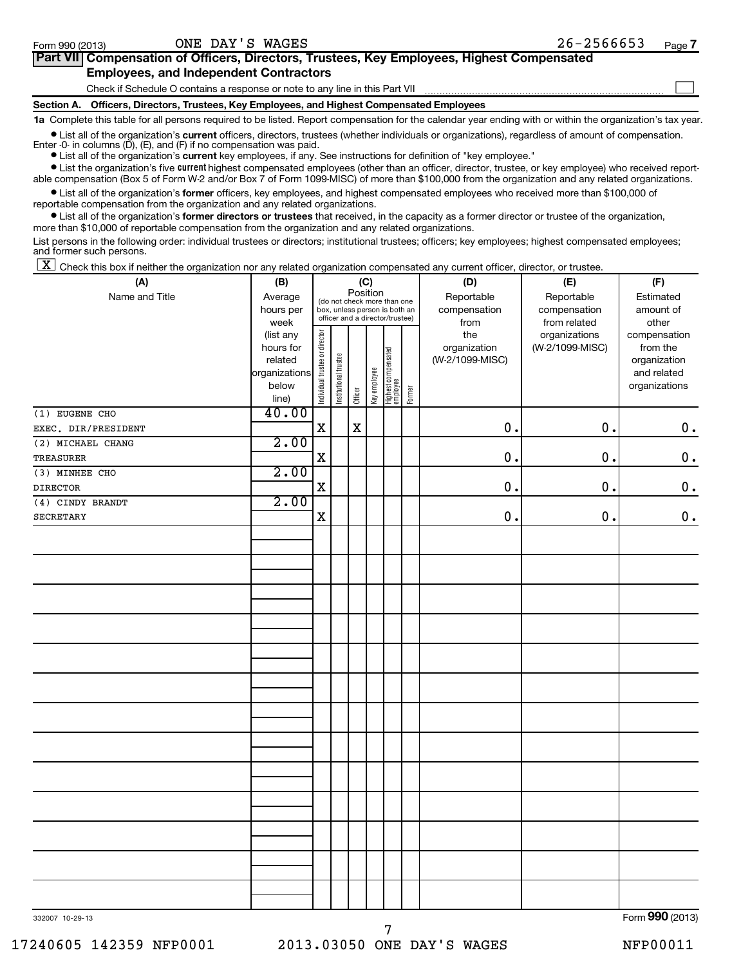| Part VII Compensation of Officers, Directors, Trustees, Key Employees, Highest Compensated |  |
|--------------------------------------------------------------------------------------------|--|
| <b>Employees, and Independent Contractors</b>                                              |  |
| Check if Schedule O contains a response or note to any line in this Part VII               |  |

**Section A. Officers, Directors, Trustees, Key Employees, and Highest Compensated Employees 1a**  Complete this table for all persons required to be listed. Report compensation for the calendar year ending with or within the organization's tax year.

**•** List all of the organization's current officers, directors, trustees (whether individuals or organizations), regardless of amount of compensation.

Enter -0- in columns  $(D)$ ,  $(E)$ , and  $(F)$  if no compensation was paid.

**•** List all of the organization's **current** key employees, if any. See instructions for definition of "key employee."

**•** List the organization's five *current* highest compensated employees (other than an officer, director, trustee, or key employee) who received reportable compensation (Box 5 of Form W-2 and/or Box 7 of Form 1099-MISC) of more than \$100,000 from the organization and any related organizations.

 $\bullet$  List all of the organization's former officers, key employees, and highest compensated employees who received more than \$100,000 of reportable compensation from the organization and any related organizations.

**•** List all of the organization's former directors or trustees that received, in the capacity as a former director or trustee of the organization, more than \$10,000 of reportable compensation from the organization and any related organizations.

List persons in the following order: individual trustees or directors; institutional trustees; officers; key employees; highest compensated employees; and former such persons.

 $\boxed{\textbf{X}}$  Check this box if neither the organization nor any related organization compensated any current officer, director, or trustee.

| (A)                 |                                                                      | (C)<br>Position<br>(B)         |                       |         |              |                                                                                                 |        | (D)                                    | (E)                                        | (F)                                                                      |
|---------------------|----------------------------------------------------------------------|--------------------------------|-----------------------|---------|--------------|-------------------------------------------------------------------------------------------------|--------|----------------------------------------|--------------------------------------------|--------------------------------------------------------------------------|
| Name and Title      | Average<br>hours per<br>week                                         |                                |                       |         |              | (do not check more than one<br>box, unless person is both an<br>officer and a director/trustee) |        | Reportable<br>compensation<br>from     | Reportable<br>compensation<br>from related | Estimated<br>amount of<br>other                                          |
|                     | (list any<br>hours for<br>related<br>organizations<br>below<br>line) | Individual trustee or director | Institutional trustee | Officer | Key employee | Highest compensated<br>  employee                                                               | Former | the<br>organization<br>(W-2/1099-MISC) | organizations<br>(W-2/1099-MISC)           | compensation<br>from the<br>organization<br>and related<br>organizations |
| $(1)$ EUGENE CHO    | 40.00                                                                |                                |                       |         |              |                                                                                                 |        |                                        |                                            |                                                                          |
| EXEC. DIR/PRESIDENT |                                                                      | $\mathbf X$                    |                       | X       |              |                                                                                                 |        | 0.                                     | 0.                                         | $0 \cdot$                                                                |
| (2) MICHAEL CHANG   | 2.00                                                                 |                                |                       |         |              |                                                                                                 |        |                                        |                                            |                                                                          |
| TREASURER           |                                                                      | $\mathbf x$                    |                       |         |              |                                                                                                 |        | 0.                                     | $\mathbf 0$ .                              | $\mathbf 0$ .                                                            |
| (3) MINHEE CHO      | 2.00                                                                 |                                |                       |         |              |                                                                                                 |        |                                        |                                            |                                                                          |
| <b>DIRECTOR</b>     |                                                                      | $\mathbf X$                    |                       |         |              |                                                                                                 |        | 0.                                     | $\mathbf 0$ .                              | $\boldsymbol{0}$ .                                                       |
| (4) CINDY BRANDT    | 2.00                                                                 |                                |                       |         |              |                                                                                                 |        |                                        |                                            |                                                                          |
| <b>SECRETARY</b>    |                                                                      | $\mathbf X$                    |                       |         |              |                                                                                                 |        | 0.                                     | 0.                                         | $\mathbf 0$ .                                                            |
|                     |                                                                      |                                |                       |         |              |                                                                                                 |        |                                        |                                            |                                                                          |
|                     |                                                                      |                                |                       |         |              |                                                                                                 |        |                                        |                                            |                                                                          |
|                     |                                                                      |                                |                       |         |              |                                                                                                 |        |                                        |                                            |                                                                          |
|                     |                                                                      |                                |                       |         |              |                                                                                                 |        |                                        |                                            |                                                                          |
|                     |                                                                      |                                |                       |         |              |                                                                                                 |        |                                        |                                            |                                                                          |
|                     |                                                                      |                                |                       |         |              |                                                                                                 |        |                                        |                                            |                                                                          |
|                     |                                                                      |                                |                       |         |              |                                                                                                 |        |                                        |                                            |                                                                          |
|                     |                                                                      |                                |                       |         |              |                                                                                                 |        |                                        |                                            |                                                                          |
|                     |                                                                      |                                |                       |         |              |                                                                                                 |        |                                        |                                            |                                                                          |
|                     |                                                                      |                                |                       |         |              |                                                                                                 |        |                                        |                                            |                                                                          |
|                     |                                                                      |                                |                       |         |              |                                                                                                 |        |                                        |                                            |                                                                          |
|                     |                                                                      |                                |                       |         |              |                                                                                                 |        |                                        |                                            |                                                                          |
|                     |                                                                      |                                |                       |         |              |                                                                                                 |        |                                        |                                            |                                                                          |
|                     |                                                                      |                                |                       |         |              |                                                                                                 |        |                                        |                                            |                                                                          |
|                     |                                                                      |                                |                       |         |              |                                                                                                 |        |                                        |                                            |                                                                          |
|                     |                                                                      |                                |                       |         |              |                                                                                                 |        |                                        |                                            |                                                                          |
| 332007 10-29-13     |                                                                      |                                |                       |         |              |                                                                                                 |        |                                        |                                            | Form 990 (2013)                                                          |

332007 10-29-13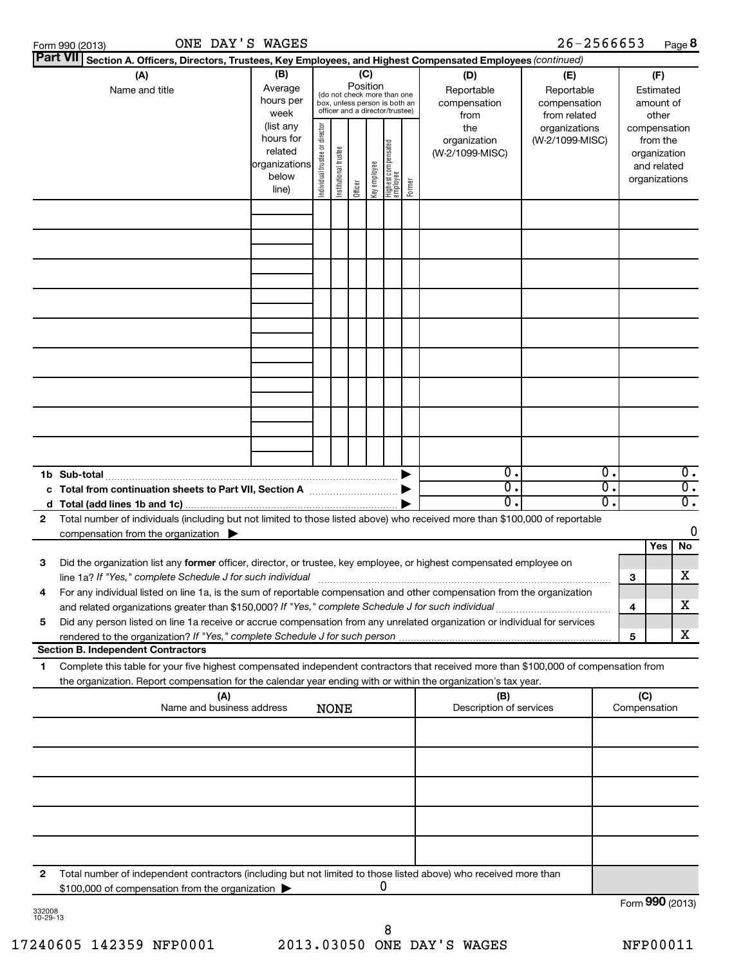|        | ONE DAY'S WAGES<br>Form 990 (2013)                                                                                                                                                                                                                                                                                                                            |                                                                      |                                |                       |         |                 |                                                                                                 |        |                                           | $26 - 2566653$                                    |                                        |     |                                                                          | Page 8                               |
|--------|---------------------------------------------------------------------------------------------------------------------------------------------------------------------------------------------------------------------------------------------------------------------------------------------------------------------------------------------------------------|----------------------------------------------------------------------|--------------------------------|-----------------------|---------|-----------------|-------------------------------------------------------------------------------------------------|--------|-------------------------------------------|---------------------------------------------------|----------------------------------------|-----|--------------------------------------------------------------------------|--------------------------------------|
|        | Part VII Section A. Officers, Directors, Trustees, Key Employees, and Highest Compensated Employees (continued)                                                                                                                                                                                                                                               |                                                                      |                                |                       |         |                 |                                                                                                 |        |                                           |                                                   |                                        |     |                                                                          |                                      |
|        | (A)<br>Name and title                                                                                                                                                                                                                                                                                                                                         | (B)<br>Average<br>hours per<br>week                                  |                                |                       |         | (C)<br>Position | (do not check more than one<br>box, unless person is both an<br>officer and a director/trustee) |        | (D)<br>Reportable<br>compensation<br>from | (E)<br>Reportable<br>compensation<br>from related | (F)<br>Estimated<br>amount of<br>other |     |                                                                          |                                      |
|        |                                                                                                                                                                                                                                                                                                                                                               | (list any<br>hours for<br>related<br>organizations<br>below<br>line) | Individual trustee or director | Institutional trustee | Officer | Key employee    | Highest compensated<br>employee                                                                 | Former | the<br>organization<br>(W-2/1099-MISC)    | organizations<br>(W-2/1099-MISC)                  |                                        |     | compensation<br>from the<br>organization<br>and related<br>organizations |                                      |
|        |                                                                                                                                                                                                                                                                                                                                                               |                                                                      |                                |                       |         |                 |                                                                                                 |        |                                           |                                                   |                                        |     |                                                                          |                                      |
|        |                                                                                                                                                                                                                                                                                                                                                               |                                                                      |                                |                       |         |                 |                                                                                                 |        |                                           |                                                   |                                        |     |                                                                          |                                      |
|        |                                                                                                                                                                                                                                                                                                                                                               |                                                                      |                                |                       |         |                 |                                                                                                 |        |                                           |                                                   |                                        |     |                                                                          |                                      |
|        |                                                                                                                                                                                                                                                                                                                                                               |                                                                      |                                |                       |         |                 |                                                                                                 |        |                                           |                                                   |                                        |     |                                                                          |                                      |
|        |                                                                                                                                                                                                                                                                                                                                                               |                                                                      |                                |                       |         |                 |                                                                                                 |        |                                           |                                                   |                                        |     |                                                                          |                                      |
|        | c Total from continuation sheets to Part VII, Section A manuscreen by the Total from continuation sheets to Part VII, Section A                                                                                                                                                                                                                               |                                                                      |                                |                       |         |                 |                                                                                                 |        | $\overline{0}$ .<br>σ.                    |                                                   | Ο.<br>σ.                               |     |                                                                          | $\overline{0}$ .<br>$\overline{0}$ . |
| 2      | Total number of individuals (including but not limited to those listed above) who received more than \$100,000 of reportable<br>compensation from the organization $\blacktriangleright$                                                                                                                                                                      |                                                                      |                                |                       |         |                 |                                                                                                 |        | σ.                                        |                                                   | σ.                                     |     |                                                                          | $\overline{\mathfrak{o}}$ .<br>0     |
| З      | Did the organization list any former officer, director, or trustee, key employee, or highest compensated employee on<br>line 1a? If "Yes," complete Schedule J for such individual                                                                                                                                                                            |                                                                      |                                |                       |         |                 |                                                                                                 |        |                                           |                                                   |                                        | 3   | Yes                                                                      | No<br>x                              |
| 4<br>5 | For any individual listed on line 1a, is the sum of reportable compensation and other compensation from the organization<br>and related organizations greater than \$150,000? If "Yes," complete Schedule J for such individual<br>Did any person listed on line 1a receive or accrue compensation from any unrelated organization or individual for services |                                                                      |                                |                       |         |                 |                                                                                                 |        |                                           |                                                   |                                        | 4   |                                                                          | x                                    |
|        |                                                                                                                                                                                                                                                                                                                                                               |                                                                      |                                |                       |         |                 |                                                                                                 |        |                                           |                                                   |                                        | 5   |                                                                          | X                                    |
| 1      | <b>Section B. Independent Contractors</b><br>Complete this table for your five highest compensated independent contractors that received more than \$100,000 of compensation from                                                                                                                                                                             |                                                                      |                                |                       |         |                 |                                                                                                 |        |                                           |                                                   |                                        |     |                                                                          |                                      |
|        | the organization. Report compensation for the calendar year ending with or within the organization's tax year.                                                                                                                                                                                                                                                |                                                                      |                                |                       |         |                 |                                                                                                 |        |                                           |                                                   |                                        |     |                                                                          |                                      |
|        | (A)<br>Name and business address                                                                                                                                                                                                                                                                                                                              |                                                                      |                                | <b>NONE</b>           |         |                 |                                                                                                 |        | (B)<br>Description of services            |                                                   |                                        | (C) | Compensation                                                             |                                      |
|        |                                                                                                                                                                                                                                                                                                                                                               |                                                                      |                                |                       |         |                 |                                                                                                 |        |                                           |                                                   |                                        |     |                                                                          |                                      |
|        |                                                                                                                                                                                                                                                                                                                                                               |                                                                      |                                |                       |         |                 |                                                                                                 |        |                                           |                                                   |                                        |     |                                                                          |                                      |
|        |                                                                                                                                                                                                                                                                                                                                                               |                                                                      |                                |                       |         |                 |                                                                                                 |        |                                           |                                                   |                                        |     |                                                                          |                                      |

**2** Total number of independent contractors (including but not limited to those listed above) who received more than \$100,000 of compensation from the organization  $\blacktriangleright$ 0

332008 10-29-13

Form (2013) **990**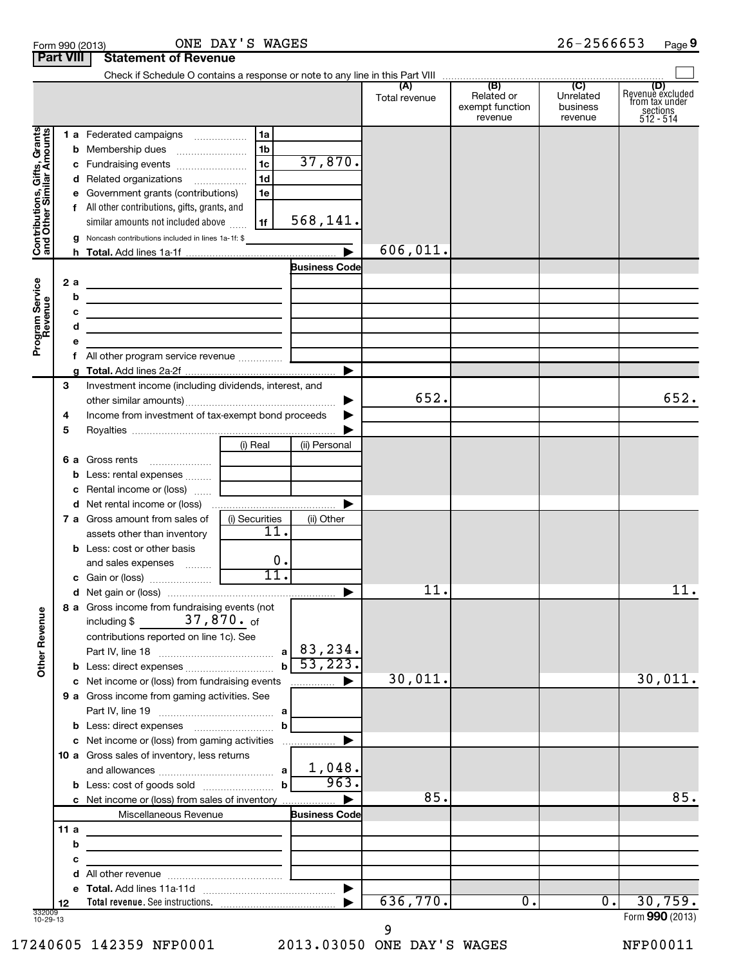|                                                           |                          |   | Form 990 (2013)                                                                                                                                                                   | ONE DAY'S WAGES      |                      |               |                                          | 26-2566653                       | Page 9                                                                             |
|-----------------------------------------------------------|--------------------------|---|-----------------------------------------------------------------------------------------------------------------------------------------------------------------------------------|----------------------|----------------------|---------------|------------------------------------------|----------------------------------|------------------------------------------------------------------------------------|
| <b>Part VIII</b>                                          |                          |   | <b>Statement of Revenue</b>                                                                                                                                                       |                      |                      |               |                                          |                                  |                                                                                    |
|                                                           |                          |   | Check if Schedule O contains a response or note to any line in this Part VIII<br><b>Check if Schedule O contains a response or note to any line in this Part VIII</b> (B) (B) (C) |                      |                      |               |                                          |                                  |                                                                                    |
|                                                           |                          |   |                                                                                                                                                                                   |                      |                      | Total revenue | Related or<br>exempt function<br>revenue | Unrelated<br>business<br>revenue | (D)<br>Revenue excluded<br>from tax under<br>$\frac{200}{3}$ sections<br>512 - 514 |
|                                                           |                          |   | 1 a Federated campaigns                                                                                                                                                           | 1a                   |                      |               |                                          |                                  |                                                                                    |
| Contributions, Gifts, Grants<br>and Other Similar Amounts |                          |   |                                                                                                                                                                                   | 1 <sub>b</sub>       |                      |               |                                          |                                  |                                                                                    |
|                                                           |                          |   | c Fundraising events                                                                                                                                                              | 1 <sub>c</sub>       | 37,870.              |               |                                          |                                  |                                                                                    |
|                                                           |                          |   | d Related organizations                                                                                                                                                           | 1 <sub>d</sub>       |                      |               |                                          |                                  |                                                                                    |
|                                                           |                          |   | e Government grants (contributions)                                                                                                                                               | 1e                   |                      |               |                                          |                                  |                                                                                    |
|                                                           |                          |   | f All other contributions, gifts, grants, and                                                                                                                                     |                      |                      |               |                                          |                                  |                                                                                    |
|                                                           |                          |   | similar amounts not included above                                                                                                                                                | 1f                   | 568,141.             |               |                                          |                                  |                                                                                    |
|                                                           |                          |   | Noncash contributions included in lines 1a-1f: \$                                                                                                                                 |                      |                      |               |                                          |                                  |                                                                                    |
|                                                           |                          |   |                                                                                                                                                                                   |                      | $\overline{\bullet}$ | 606,011.      |                                          |                                  |                                                                                    |
|                                                           |                          |   |                                                                                                                                                                                   | <b>Business Code</b> |                      |               |                                          |                                  |                                                                                    |
|                                                           | 2 a                      |   | the contract of the contract of the contract of the contract of the contract of                                                                                                   |                      |                      |               |                                          |                                  |                                                                                    |
|                                                           |                          | b | <u> 1989 - Johann Stein, mars an deus Amerikaansk kommunister (</u>                                                                                                               |                      |                      |               |                                          |                                  |                                                                                    |
|                                                           |                          | с | the control of the control of the control of the control of the control of the control of                                                                                         |                      |                      |               |                                          |                                  |                                                                                    |
|                                                           |                          |   | the contract of the contract of the contract of the contract of the contract of                                                                                                   |                      |                      |               |                                          |                                  |                                                                                    |
| Program Service<br>Revenue                                |                          |   |                                                                                                                                                                                   |                      |                      |               |                                          |                                  |                                                                                    |
|                                                           |                          |   |                                                                                                                                                                                   |                      |                      |               |                                          |                                  |                                                                                    |
|                                                           |                          | g |                                                                                                                                                                                   |                      |                      |               |                                          |                                  |                                                                                    |
|                                                           | 3                        |   | Investment income (including dividends, interest, and                                                                                                                             |                      |                      |               |                                          |                                  |                                                                                    |
|                                                           |                          |   |                                                                                                                                                                                   |                      | ▶                    | 652.          |                                          |                                  | 652.                                                                               |
|                                                           | 4                        |   | Income from investment of tax-exempt bond proceeds                                                                                                                                |                      |                      |               |                                          |                                  |                                                                                    |
|                                                           | 5                        |   |                                                                                                                                                                                   |                      |                      |               |                                          |                                  |                                                                                    |
|                                                           |                          |   |                                                                                                                                                                                   | (i) Real             | (ii) Personal        |               |                                          |                                  |                                                                                    |
|                                                           | 6а                       |   | Gross rents                                                                                                                                                                       |                      |                      |               |                                          |                                  |                                                                                    |
|                                                           |                          |   | Less: rental expenses                                                                                                                                                             |                      |                      |               |                                          |                                  |                                                                                    |
|                                                           |                          |   |                                                                                                                                                                                   |                      |                      |               |                                          |                                  |                                                                                    |
|                                                           |                          |   |                                                                                                                                                                                   |                      |                      |               |                                          |                                  |                                                                                    |
|                                                           |                          |   | <b>7 a</b> Gross amount from sales of                                                                                                                                             | (i) Securities       | (ii) Other           |               |                                          |                                  |                                                                                    |
|                                                           |                          |   | assets other than inventory                                                                                                                                                       | 11.                  |                      |               |                                          |                                  |                                                                                    |
|                                                           |                          |   | <b>b</b> Less: cost or other basis                                                                                                                                                |                      |                      |               |                                          |                                  |                                                                                    |
|                                                           |                          |   | and sales expenses                                                                                                                                                                | 0.                   |                      |               |                                          |                                  |                                                                                    |
|                                                           |                          |   |                                                                                                                                                                                   | 11.                  |                      |               |                                          |                                  |                                                                                    |
|                                                           |                          |   |                                                                                                                                                                                   |                      |                      | 11.           |                                          |                                  | 11.                                                                                |
| <b>Other Revenue</b>                                      |                          |   | 8 a Gross income from fundraising events (not<br>including $$$ 37,870. of<br>contributions reported on line 1c). See                                                              |                      | a   83, 234.         |               |                                          |                                  |                                                                                    |
|                                                           |                          |   |                                                                                                                                                                                   | $\mathbf{b}$         | $\overline{53,223}$  |               |                                          |                                  |                                                                                    |
|                                                           |                          |   | c Net income or (loss) from fundraising events                                                                                                                                    |                      | .                    | 30,011.       |                                          |                                  | 30,011.                                                                            |
|                                                           |                          |   | 9 a Gross income from gaming activities. See                                                                                                                                      |                      |                      |               |                                          |                                  |                                                                                    |
|                                                           |                          |   |                                                                                                                                                                                   |                      |                      |               |                                          |                                  |                                                                                    |
|                                                           |                          |   |                                                                                                                                                                                   | $\mathbf{b}$         |                      |               |                                          |                                  |                                                                                    |
|                                                           |                          |   | c Net income or (loss) from gaming activities                                                                                                                                     |                      | ▶                    |               |                                          |                                  |                                                                                    |
|                                                           |                          |   | 10 a Gross sales of inventory, less returns                                                                                                                                       |                      |                      |               |                                          |                                  |                                                                                    |
|                                                           |                          |   |                                                                                                                                                                                   |                      | 1,048.<br>963.       |               |                                          |                                  |                                                                                    |
|                                                           |                          |   |                                                                                                                                                                                   | -b l                 |                      | 85.           |                                          |                                  | 85.                                                                                |
|                                                           |                          |   | c Net income or (loss) from sales of inventory                                                                                                                                    |                      | ►                    |               |                                          |                                  |                                                                                    |
|                                                           |                          |   | Miscellaneous Revenue                                                                                                                                                             |                      | <b>Business Code</b> |               |                                          |                                  |                                                                                    |
|                                                           | 11a                      |   | the control of the control of the control of the control of the control of                                                                                                        |                      |                      |               |                                          |                                  |                                                                                    |
|                                                           |                          | b | <u> 1989 - Johann Stein, mars an deus Amerikaansk kommunister (</u>                                                                                                               |                      |                      |               |                                          |                                  |                                                                                    |
|                                                           |                          | с | the control of the control of the control of the control of                                                                                                                       |                      |                      |               |                                          |                                  |                                                                                    |
|                                                           |                          |   |                                                                                                                                                                                   |                      |                      |               |                                          |                                  |                                                                                    |
|                                                           |                          |   |                                                                                                                                                                                   |                      |                      | 636,770.      | $\overline{0}$ .                         | $\overline{0}$ .                 | 30,759.                                                                            |
|                                                           | 12<br>332009<br>10-29-13 |   |                                                                                                                                                                                   |                      |                      |               |                                          |                                  | Form 990 (2013)                                                                    |

332009 10-29-13

**9**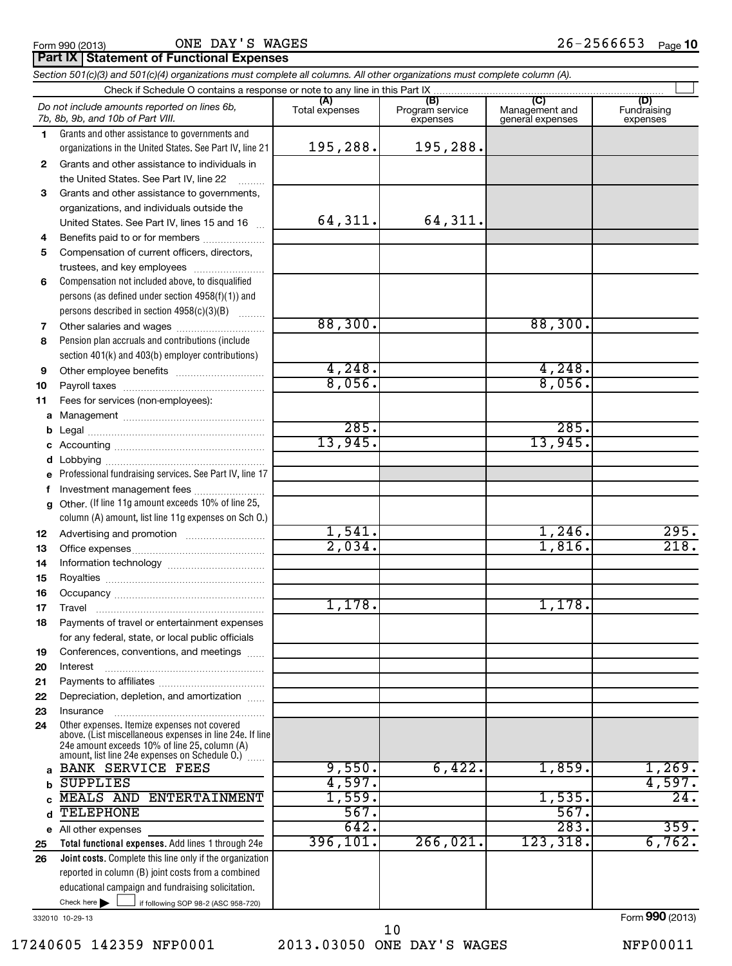ONE DAY'S WAGES

# **Part IX Statement of Functional Expenses**

|          | Section 501(c)(3) and 501(c)(4) organizations must complete all columns. All other organizations must complete column (A).                                  |                       |                                    |                                    |                                |
|----------|-------------------------------------------------------------------------------------------------------------------------------------------------------------|-----------------------|------------------------------------|------------------------------------|--------------------------------|
|          | Check if Schedule O contains a response or note to any line in this Part IX                                                                                 |                       |                                    | (C)                                |                                |
|          | Do not include amounts reported on lines 6b,<br>7b, 8b, 9b, and 10b of Part VIII.                                                                           | (A)<br>Total expenses | (B)<br>Program service<br>expenses | Management and<br>general expenses | (D)<br>Fundraising<br>expenses |
| 1.       | Grants and other assistance to governments and                                                                                                              |                       |                                    |                                    |                                |
|          | organizations in the United States. See Part IV, line 21                                                                                                    | 195,288.              | 195,288.                           |                                    |                                |
| 2        | Grants and other assistance to individuals in                                                                                                               |                       |                                    |                                    |                                |
|          | the United States. See Part IV, line 22                                                                                                                     |                       |                                    |                                    |                                |
| 3        | Grants and other assistance to governments,                                                                                                                 |                       |                                    |                                    |                                |
|          | organizations, and individuals outside the                                                                                                                  |                       |                                    |                                    |                                |
|          | United States. See Part IV, lines 15 and 16                                                                                                                 | 64,311.               | 64,311.                            |                                    |                                |
| 4        | Benefits paid to or for members                                                                                                                             |                       |                                    |                                    |                                |
| 5        | Compensation of current officers, directors,                                                                                                                |                       |                                    |                                    |                                |
|          | trustees, and key employees                                                                                                                                 |                       |                                    |                                    |                                |
| 6        | Compensation not included above, to disqualified                                                                                                            |                       |                                    |                                    |                                |
|          | persons (as defined under section 4958(f)(1)) and<br>persons described in section 4958(c)(3)(B)                                                             |                       |                                    |                                    |                                |
|          |                                                                                                                                                             | 88,300.               |                                    | 88,300.                            |                                |
| 7<br>8   | Pension plan accruals and contributions (include                                                                                                            |                       |                                    |                                    |                                |
|          | section 401(k) and 403(b) employer contributions)                                                                                                           |                       |                                    |                                    |                                |
| 9        |                                                                                                                                                             | 4,248.                |                                    | 4,248.                             |                                |
| 10       |                                                                                                                                                             | 8,056.                |                                    | 8,056.                             |                                |
| 11       | Fees for services (non-employees):                                                                                                                          |                       |                                    |                                    |                                |
|          |                                                                                                                                                             |                       |                                    |                                    |                                |
| b        |                                                                                                                                                             | 285.                  |                                    | 285.                               |                                |
| c        |                                                                                                                                                             | 13,945.               |                                    | 13,945.                            |                                |
| d        |                                                                                                                                                             |                       |                                    |                                    |                                |
| е        | Professional fundraising services. See Part IV, line 17                                                                                                     |                       |                                    |                                    |                                |
| f        | Investment management fees                                                                                                                                  |                       |                                    |                                    |                                |
| g        | Other. (If line 11g amount exceeds 10% of line 25,                                                                                                          |                       |                                    |                                    |                                |
|          | column (A) amount, list line 11g expenses on Sch O.)                                                                                                        |                       |                                    |                                    |                                |
| 12       |                                                                                                                                                             | 1,541.                |                                    | 1,246.                             | 295.                           |
| 13       |                                                                                                                                                             | 2,034.                |                                    | 1,816.                             | 218.                           |
| 14       |                                                                                                                                                             |                       |                                    |                                    |                                |
| 15       |                                                                                                                                                             |                       |                                    |                                    |                                |
| 16       |                                                                                                                                                             |                       |                                    |                                    |                                |
| 17       |                                                                                                                                                             | 1,178.                |                                    | 1,178.                             |                                |
| 18       | Payments of travel or entertainment expenses                                                                                                                |                       |                                    |                                    |                                |
|          | for any federal, state, or local public officials                                                                                                           |                       |                                    |                                    |                                |
| 19       | Conferences, conventions, and meetings                                                                                                                      |                       |                                    |                                    |                                |
| 20       | Interest                                                                                                                                                    |                       |                                    |                                    |                                |
| 21       |                                                                                                                                                             |                       |                                    |                                    |                                |
| 22       | Depreciation, depletion, and amortization                                                                                                                   |                       |                                    |                                    |                                |
| 23<br>24 | Insurance<br>Other expenses. Itemize expenses not covered                                                                                                   |                       |                                    |                                    |                                |
|          | above. (List miscellaneous expenses in line 24e. If line<br>24e amount exceeds 10% of line 25, column (A)<br>amount, list line 24e expenses on Schedule O.) |                       |                                    |                                    |                                |
| a        | <b>BANK SERVICE FEES</b>                                                                                                                                    | 9,550.                | 6,422.                             | 1,859.                             | 1,269.                         |
|          | <b>SUPPLIES</b>                                                                                                                                             | 4,597.                |                                    |                                    | 4,597.                         |
|          | MEALS AND ENTERTAINMENT                                                                                                                                     | 1,559.                |                                    | 1,535.                             | $\overline{24}$ .              |
| d        | TELEPHONE                                                                                                                                                   | 567.                  |                                    | 567.                               |                                |
|          | e All other expenses                                                                                                                                        | 642.                  |                                    | 283.                               | 359.                           |
| 25       | Total functional expenses. Add lines 1 through 24e                                                                                                          | 396, 101.             | 266,021.                           | 123,318.                           | 6,762.                         |
| 26       | Joint costs. Complete this line only if the organization                                                                                                    |                       |                                    |                                    |                                |
|          | reported in column (B) joint costs from a combined                                                                                                          |                       |                                    |                                    |                                |
|          | educational campaign and fundraising solicitation.                                                                                                          |                       |                                    |                                    |                                |
|          | Check here $\blacktriangleright$<br>if following SOP 98-2 (ASC 958-720)                                                                                     |                       |                                    |                                    |                                |

332010 10-29-13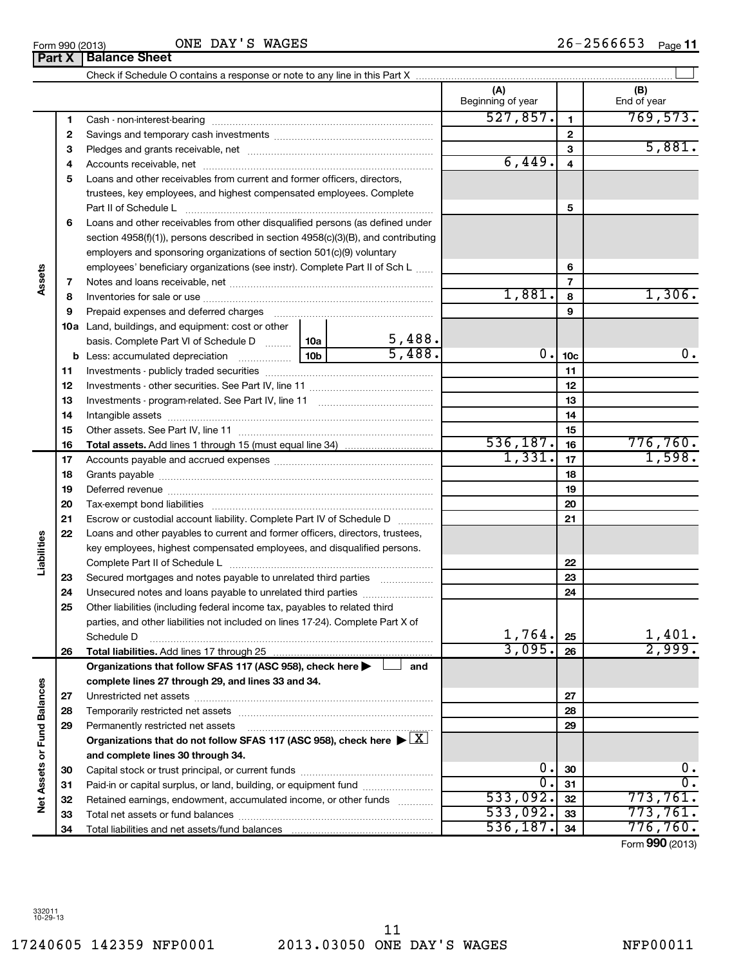# **Part X Balance Sheet**

|    |                                                                                                                     |                       | (A)<br>Beginning of year |                         | (B)<br>End of year |
|----|---------------------------------------------------------------------------------------------------------------------|-----------------------|--------------------------|-------------------------|--------------------|
| 1  |                                                                                                                     |                       | 527,857.                 | $\mathbf{1}$            | 769, 573.          |
| 2  |                                                                                                                     |                       |                          | $\mathbf{2}$            |                    |
| 3  |                                                                                                                     |                       |                          | 3                       | 5,881.             |
| 4  |                                                                                                                     |                       | 6,449.                   | $\overline{\mathbf{4}}$ |                    |
| 5  | Loans and other receivables from current and former officers, directors,                                            |                       |                          |                         |                    |
|    | trustees, key employees, and highest compensated employees. Complete                                                |                       |                          |                         |                    |
|    | Part II of Schedule L                                                                                               |                       |                          | 5                       |                    |
| 6  | Loans and other receivables from other disqualified persons (as defined under                                       |                       |                          |                         |                    |
|    | section 4958(f)(1)), persons described in section 4958(c)(3)(B), and contributing                                   |                       |                          |                         |                    |
|    | employers and sponsoring organizations of section 501(c)(9) voluntary                                               |                       |                          |                         |                    |
|    | employees' beneficiary organizations (see instr). Complete Part II of Sch L                                         |                       |                          | 6                       |                    |
| 7  |                                                                                                                     |                       |                          | $\overline{7}$          |                    |
| 8  |                                                                                                                     |                       | 1,881.                   | 8                       | 1,306.             |
| 9  | Prepaid expenses and deferred charges [11] [11] prepaid expenses and deferred charges [11] [11] minimum and the P   |                       |                          | 9                       |                    |
|    | <b>10a</b> Land, buildings, and equipment: cost or other                                                            |                       |                          |                         |                    |
|    | basis. Complete Part VI of Schedule D  10a                                                                          |                       |                          |                         |                    |
|    |                                                                                                                     | $\frac{5,488}{5,488}$ | 0.                       | 10 <sub>c</sub>         | $0$ .              |
| 11 |                                                                                                                     |                       |                          | 11                      |                    |
| 12 |                                                                                                                     |                       |                          | 12                      |                    |
| 13 |                                                                                                                     |                       |                          | 13                      |                    |
| 14 |                                                                                                                     |                       |                          | 14                      |                    |
| 15 |                                                                                                                     |                       |                          | 15                      |                    |
| 16 |                                                                                                                     |                       | 536, 187.                | 16                      | 776,760.           |
| 17 |                                                                                                                     |                       | 1,331.                   | 17                      | 1,598.             |
| 18 |                                                                                                                     |                       |                          | 18                      |                    |
| 19 |                                                                                                                     |                       |                          | 19                      |                    |
| 20 |                                                                                                                     |                       |                          | 20                      |                    |
| 21 | Escrow or custodial account liability. Complete Part IV of Schedule D                                               |                       |                          | 21                      |                    |
| 22 | Loans and other payables to current and former officers, directors, trustees,                                       |                       |                          |                         |                    |
|    | key employees, highest compensated employees, and disqualified persons.                                             |                       |                          |                         |                    |
|    | Complete Part II of Schedule L                                                                                      |                       |                          | 22                      |                    |
| 23 | Secured mortgages and notes payable to unrelated third parties                                                      |                       |                          | 23                      |                    |
| 24 | Unsecured notes and loans payable to unrelated third parties                                                        |                       |                          | 24                      |                    |
| 25 | Other liabilities (including federal income tax, payables to related third                                          |                       |                          |                         |                    |
|    | parties, and other liabilities not included on lines 17-24). Complete Part X of                                     |                       |                          |                         |                    |
|    | Schedule D                                                                                                          |                       | $1,764.$ 25              |                         | 1,401.             |
| 26 | Total liabilities. Add lines 17 through 25                                                                          |                       | 3,095.                   | 26                      | 2,999.             |
|    | Organizations that follow SFAS 117 (ASC 958), check here >                                                          | and                   |                          |                         |                    |
|    | complete lines 27 through 29, and lines 33 and 34.                                                                  |                       |                          |                         |                    |
| 27 |                                                                                                                     |                       |                          | 27                      |                    |
| 28 |                                                                                                                     |                       |                          | 28                      |                    |
| 29 | Permanently restricted net assets                                                                                   |                       |                          | 29                      |                    |
|    | Organizations that do not follow SFAS 117 (ASC 958), check here $\blacktriangleright \lfloor \underline{X} \rfloor$ |                       |                          |                         |                    |
|    | and complete lines 30 through 34.                                                                                   |                       |                          |                         |                    |
| 30 |                                                                                                                     |                       | 0.                       | 30                      | $\mathbf{0}$ .     |
| 31 | Paid-in or capital surplus, or land, building, or equipment fund                                                    |                       | 0.                       | 31                      | 0.                 |
| 32 | Retained earnings, endowment, accumulated income, or other funds                                                    |                       | 533,092.                 | 32                      | 773,761.           |
| 33 |                                                                                                                     |                       | 533,092.                 | 33                      | 773,761.           |
| 34 |                                                                                                                     |                       | 536, 187.                | 34                      | 776,760.           |
|    |                                                                                                                     |                       |                          |                         |                    |

Form (2013) **990**

 $\left| \begin{array}{c} \end{array} \right|$ 

**Assets**

**Liabilities**

**Net Assets or Fund Balances**

Net Assets or Fund Balances

ONE DAY'S WAGES

Check if Schedule O contains a response or note to any line in this Part X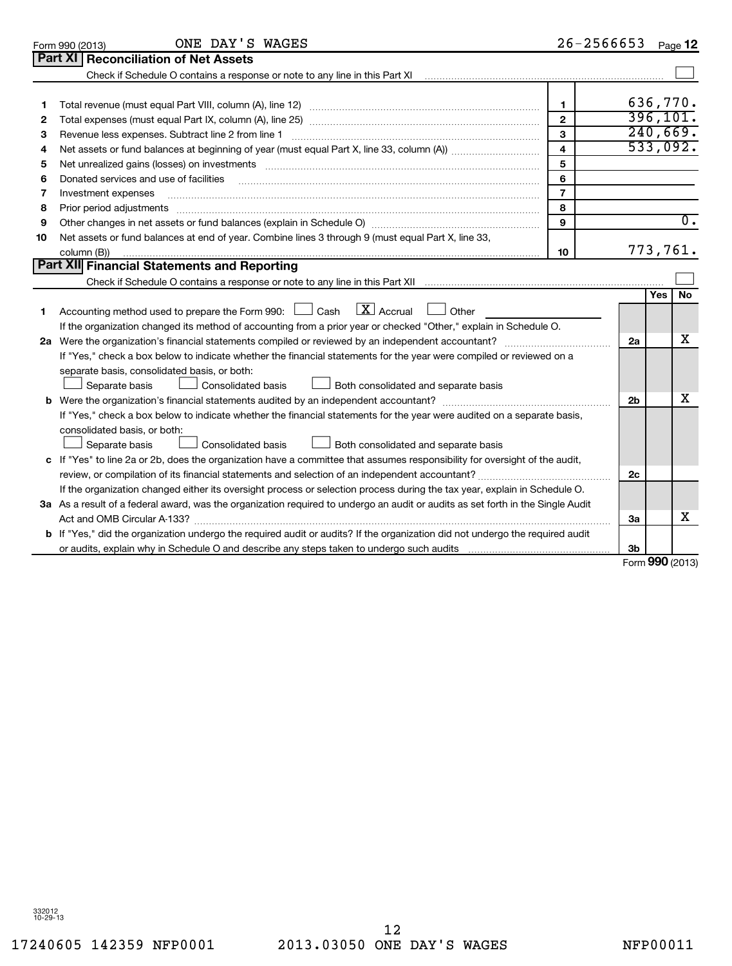332012 10-29-13

17240605 142359 NFP0001 2013.03050 ONE DAY'S WAGES NFP00011 12

|    | Part XI   Reconciliation of Net Assets                                                                                          |                |                |                 |                  |  |  |
|----|---------------------------------------------------------------------------------------------------------------------------------|----------------|----------------|-----------------|------------------|--|--|
|    |                                                                                                                                 |                |                |                 |                  |  |  |
|    |                                                                                                                                 |                |                |                 |                  |  |  |
| 1  |                                                                                                                                 | 1              |                | 636,770.        |                  |  |  |
| 2  |                                                                                                                                 | $\mathbf{2}$   |                | 396, 101.       |                  |  |  |
| З  |                                                                                                                                 | 3              |                | 240,669.        |                  |  |  |
| 4  |                                                                                                                                 | $\overline{4}$ |                | 533,092.        |                  |  |  |
| 5  | 5                                                                                                                               |                |                |                 |                  |  |  |
| 6  | Donated services and use of facilities                                                                                          | 6              |                |                 |                  |  |  |
| 7  | Investment expenses                                                                                                             | $\overline{7}$ |                |                 |                  |  |  |
| 8  | Prior period adjustments                                                                                                        | 8              |                |                 |                  |  |  |
| 9  |                                                                                                                                 | 9              |                |                 | $\overline{0}$ . |  |  |
| 10 | Net assets or fund balances at end of year. Combine lines 3 through 9 (must equal Part X, line 33,                              |                |                |                 |                  |  |  |
|    | column (B))                                                                                                                     | 10             |                | 773,761.        |                  |  |  |
|    | <b>Part XII Financial Statements and Reporting</b>                                                                              |                |                |                 |                  |  |  |
|    |                                                                                                                                 |                |                |                 |                  |  |  |
|    |                                                                                                                                 |                |                | <b>Yes</b>      | <b>No</b>        |  |  |
| 1  | Accounting method used to prepare the Form 990: $\Box$ Cash $\Box$ Accrual $\Box$ Other                                         |                |                |                 |                  |  |  |
|    | If the organization changed its method of accounting from a prior year or checked "Other," explain in Schedule O.               |                |                |                 |                  |  |  |
|    |                                                                                                                                 |                |                |                 |                  |  |  |
|    | If "Yes," check a box below to indicate whether the financial statements for the year were compiled or reviewed on a            |                |                |                 |                  |  |  |
|    | separate basis, consolidated basis, or both:                                                                                    |                |                |                 |                  |  |  |
|    | Separate basis<br>Both consolidated and separate basis<br>Consolidated basis                                                    |                |                |                 |                  |  |  |
|    |                                                                                                                                 |                | 2 <sub>b</sub> |                 | х                |  |  |
|    | If "Yes," check a box below to indicate whether the financial statements for the year were audited on a separate basis,         |                |                |                 |                  |  |  |
|    | consolidated basis, or both:                                                                                                    |                |                |                 |                  |  |  |
|    | Both consolidated and separate basis<br>Separate basis<br>Consolidated basis                                                    |                |                |                 |                  |  |  |
|    | c If "Yes" to line 2a or 2b, does the organization have a committee that assumes responsibility for oversight of the audit,     |                |                |                 |                  |  |  |
|    |                                                                                                                                 |                | 2c             |                 |                  |  |  |
|    | If the organization changed either its oversight process or selection process during the tax year, explain in Schedule O.       |                |                |                 |                  |  |  |
|    | 3a As a result of a federal award, was the organization required to undergo an audit or audits as set forth in the Single Audit |                |                |                 |                  |  |  |
|    |                                                                                                                                 |                | 3a             |                 | x                |  |  |
|    | b If "Yes," did the organization undergo the required audit or audits? If the organization did not undergo the required audit   |                |                |                 |                  |  |  |
|    |                                                                                                                                 |                | 3b             |                 |                  |  |  |
|    |                                                                                                                                 |                |                | Form 990 (2013) |                  |  |  |

ONE DAY'S WAGES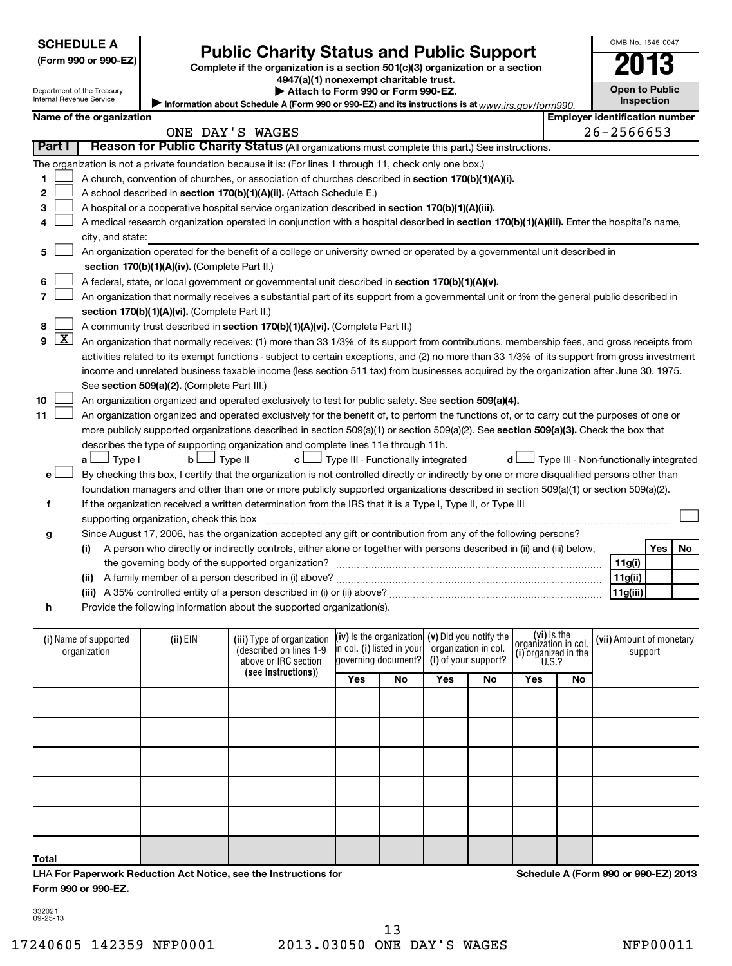| <b>SCHEDULE A</b> |
|-------------------|
|-------------------|

|  |  | (Form 990 or 990-E2 |  |  |  |
|--|--|---------------------|--|--|--|
|--|--|---------------------|--|--|--|

Department of the Treasury

# Form 990 or 990-EZ)<br>
Complete if the organization is a section 501(c)(3) organization or a section<br> **Public Charity Status and Public Support**

**4947(a)(1) nonexempt charitable trust. | Attach to Form 990 or Form 990-EZ.** 

**Open to Public Inspection**

OMB No. 1545-0047

| Alama a d'Ales annouisett |  |
|---------------------------|--|
| Internal Revenue Service  |  |

Information about Schedule A (Form 990 or 990-EZ) and its instructions is at www.irs.gov/form990.

|              | Name of the organization |                                               |                                                                                                                                               |                                            |                                                     |                                        | <b>Employer identification number</b> |     |    |
|--------------|--------------------------|-----------------------------------------------|-----------------------------------------------------------------------------------------------------------------------------------------------|--------------------------------------------|-----------------------------------------------------|----------------------------------------|---------------------------------------|-----|----|
|              |                          |                                               | ONE DAY'S WAGES                                                                                                                               |                                            |                                                     |                                        | 26-2566653                            |     |    |
| Part I       |                          |                                               | Reason for Public Charity Status (All organizations must complete this part.) See instructions.                                               |                                            |                                                     |                                        |                                       |     |    |
|              |                          |                                               | The organization is not a private foundation because it is: (For lines 1 through 11, check only one box.)                                     |                                            |                                                     |                                        |                                       |     |    |
| 1            |                          |                                               | A church, convention of churches, or association of churches described in section 170(b)(1)(A)(i).                                            |                                            |                                                     |                                        |                                       |     |    |
| $\mathbf{2}$ |                          |                                               | A school described in section 170(b)(1)(A)(ii). (Attach Schedule E.)                                                                          |                                            |                                                     |                                        |                                       |     |    |
| З            |                          |                                               | A hospital or a cooperative hospital service organization described in section 170(b)(1)(A)(iii).                                             |                                            |                                                     |                                        |                                       |     |    |
| 4            |                          |                                               | A medical research organization operated in conjunction with a hospital described in section 170(b)(1)(A)(iii). Enter the hospital's name,    |                                            |                                                     |                                        |                                       |     |    |
|              | city, and state:         |                                               |                                                                                                                                               |                                            |                                                     |                                        |                                       |     |    |
| 5            |                          |                                               | An organization operated for the benefit of a college or university owned or operated by a governmental unit described in                     |                                            |                                                     |                                        |                                       |     |    |
|              |                          | section 170(b)(1)(A)(iv). (Complete Part II.) |                                                                                                                                               |                                            |                                                     |                                        |                                       |     |    |
| 6            |                          |                                               | A federal, state, or local government or governmental unit described in section 170(b)(1)(A)(v).                                              |                                            |                                                     |                                        |                                       |     |    |
| 7            |                          |                                               | An organization that normally receives a substantial part of its support from a governmental unit or from the general public described in     |                                            |                                                     |                                        |                                       |     |    |
|              |                          | section 170(b)(1)(A)(vi). (Complete Part II.) |                                                                                                                                               |                                            |                                                     |                                        |                                       |     |    |
| 8            |                          |                                               | A community trust described in section 170(b)(1)(A)(vi). (Complete Part II.)                                                                  |                                            |                                                     |                                        |                                       |     |    |
| $9$ $X$      |                          |                                               | An organization that normally receives: (1) more than 33 1/3% of its support from contributions, membership fees, and gross receipts from     |                                            |                                                     |                                        |                                       |     |    |
|              |                          |                                               | activities related to its exempt functions - subject to certain exceptions, and (2) no more than 33 1/3% of its support from gross investment |                                            |                                                     |                                        |                                       |     |    |
|              |                          |                                               | income and unrelated business taxable income (less section 511 tax) from businesses acquired by the organization after June 30, 1975.         |                                            |                                                     |                                        |                                       |     |    |
|              |                          | See section 509(a)(2). (Complete Part III.)   |                                                                                                                                               |                                            |                                                     |                                        |                                       |     |    |
| 10           |                          |                                               | An organization organized and operated exclusively to test for public safety. See section 509(a)(4).                                          |                                            |                                                     |                                        |                                       |     |    |
| 11           |                          |                                               | An organization organized and operated exclusively for the benefit of, to perform the functions of, or to carry out the purposes of one or    |                                            |                                                     |                                        |                                       |     |    |
|              |                          |                                               | more publicly supported organizations described in section 509(a)(1) or section 509(a)(2). See section 509(a)(3). Check the box that          |                                            |                                                     |                                        |                                       |     |    |
|              |                          |                                               | describes the type of supporting organization and complete lines 11e through 11h.                                                             |                                            |                                                     |                                        |                                       |     |    |
|              | $\Box$ Type I<br>a L     | bl                                            | Type II<br>c L                                                                                                                                | $\perp$ Type III - Functionally integrated | d l                                                 | Type III - Non-functionally integrated |                                       |     |    |
| е            |                          |                                               | By checking this box, I certify that the organization is not controlled directly or indirectly by one or more disqualified persons other than |                                            |                                                     |                                        |                                       |     |    |
|              |                          |                                               | foundation managers and other than one or more publicly supported organizations described in section 509(a)(1) or section 509(a)(2).          |                                            |                                                     |                                        |                                       |     |    |
| f            |                          |                                               | If the organization received a written determination from the IRS that it is a Type I, Type II, or Type III                                   |                                            |                                                     |                                        |                                       |     |    |
|              |                          | supporting organization, check this box       |                                                                                                                                               |                                            |                                                     |                                        |                                       |     |    |
| g            |                          |                                               | Since August 17, 2006, has the organization accepted any gift or contribution from any of the following persons?                              |                                            |                                                     |                                        |                                       |     |    |
|              | (i)                      |                                               | A person who directly or indirectly controls, either alone or together with persons described in (ii) and (iii) below,                        |                                            |                                                     |                                        |                                       | Yes | No |
|              |                          |                                               |                                                                                                                                               |                                            |                                                     |                                        | 11g(i)                                |     |    |
|              |                          |                                               |                                                                                                                                               |                                            |                                                     |                                        | 11g(ii)                               |     |    |
|              |                          |                                               |                                                                                                                                               |                                            |                                                     |                                        | 11g(iii)                              |     |    |
| h            |                          |                                               | Provide the following information about the supported organization(s).                                                                        |                                            |                                                     |                                        |                                       |     |    |
|              |                          |                                               |                                                                                                                                               |                                            |                                                     |                                        |                                       |     |    |
|              | (i) Name of supported    | (ii) EIN                                      | (iii) Type of organization                                                                                                                    |                                            | $(iv)$ is the organization $(v)$ Did you notify the | (vi) Is the<br>organization in col.    | (vii) Amount of monetary              |     |    |
|              | organization             |                                               | (described on lines 1-9                                                                                                                       | in col. (i) listed in your                 | organization in col.                                | (i) organized in the                   | support                               |     |    |
|              |                          |                                               | above or IRC section                                                                                                                          | governing document?                        | (i) of your support?                                | U.S.?                                  |                                       |     |    |

| organization |  | (described on lines 1-9<br>above or IRC section<br>(see instructions)) |            |    | in col. (i) listed in your organization in col.<br>governing document? (i) of your support? |    | $\begin{bmatrix} 0 & \text{gamma} \\ \text{u} & \text{original} \end{bmatrix}$ organized in the |    | support |  |
|--------------|--|------------------------------------------------------------------------|------------|----|---------------------------------------------------------------------------------------------|----|-------------------------------------------------------------------------------------------------|----|---------|--|
|              |  |                                                                        | <b>Yes</b> | No | <b>Yes</b>                                                                                  | No | Yes                                                                                             | No |         |  |
|              |  |                                                                        |            |    |                                                                                             |    |                                                                                                 |    |         |  |
|              |  |                                                                        |            |    |                                                                                             |    |                                                                                                 |    |         |  |
|              |  |                                                                        |            |    |                                                                                             |    |                                                                                                 |    |         |  |
|              |  |                                                                        |            |    |                                                                                             |    |                                                                                                 |    |         |  |
|              |  |                                                                        |            |    |                                                                                             |    |                                                                                                 |    |         |  |
| <b>Total</b> |  |                                                                        |            |    |                                                                                             |    |                                                                                                 |    |         |  |

LHA **For Paperwork Reduction Act Notice, see the Instructions for Form 990 or 990-EZ.**

**Schedule A (Form 990 or 990-EZ) 2013**

332021 09-25-13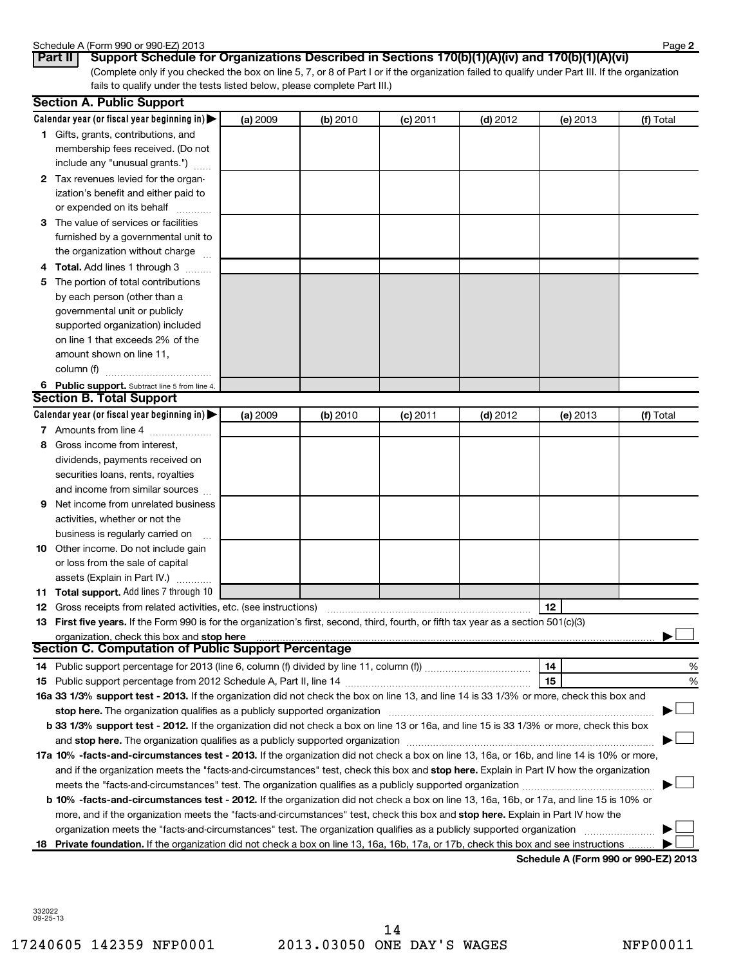### Schedule A (Form 990 or 990-EZ) 2013

| $J$ ulicuulc $\pi$ (1 01111 J |                    |  |
|-------------------------------|--------------------|--|
| $D_{out}$ II                  | $P_{\text{trans}}$ |  |

(Complete only if you checked the box on line 5, 7, or 8 of Part I or if the organization failed to qualify under Part III. If the organization fails to qualify under the tests listed below, please complete Part III.) **Part II Support Schedule for Organizations Described in Sections 170(b)(1)(A)(iv) and 170(b)(1)(A)(vi)**

|    | <b>Section A. Public Support</b>                                                                                                                                                                                               |          |          |            |            |          |           |
|----|--------------------------------------------------------------------------------------------------------------------------------------------------------------------------------------------------------------------------------|----------|----------|------------|------------|----------|-----------|
|    | Calendar year (or fiscal year beginning in) $\blacktriangleright$                                                                                                                                                              | (a) 2009 | (b) 2010 | $(c)$ 2011 | $(d)$ 2012 | (e) 2013 | (f) Total |
|    | 1 Gifts, grants, contributions, and                                                                                                                                                                                            |          |          |            |            |          |           |
|    | membership fees received. (Do not                                                                                                                                                                                              |          |          |            |            |          |           |
|    | include any "unusual grants.")                                                                                                                                                                                                 |          |          |            |            |          |           |
|    | 2 Tax revenues levied for the organ-                                                                                                                                                                                           |          |          |            |            |          |           |
|    | ization's benefit and either paid to                                                                                                                                                                                           |          |          |            |            |          |           |
|    | or expended on its behalf                                                                                                                                                                                                      |          |          |            |            |          |           |
|    | 3 The value of services or facilities                                                                                                                                                                                          |          |          |            |            |          |           |
|    | furnished by a governmental unit to                                                                                                                                                                                            |          |          |            |            |          |           |
|    | the organization without charge                                                                                                                                                                                                |          |          |            |            |          |           |
|    | Total. Add lines 1 through 3                                                                                                                                                                                                   |          |          |            |            |          |           |
| 5  | The portion of total contributions                                                                                                                                                                                             |          |          |            |            |          |           |
|    | by each person (other than a                                                                                                                                                                                                   |          |          |            |            |          |           |
|    | governmental unit or publicly                                                                                                                                                                                                  |          |          |            |            |          |           |
|    | supported organization) included                                                                                                                                                                                               |          |          |            |            |          |           |
|    | on line 1 that exceeds 2% of the                                                                                                                                                                                               |          |          |            |            |          |           |
|    | amount shown on line 11,                                                                                                                                                                                                       |          |          |            |            |          |           |
|    | column (f)                                                                                                                                                                                                                     |          |          |            |            |          |           |
|    | 6 Public support. Subtract line 5 from line 4.                                                                                                                                                                                 |          |          |            |            |          |           |
|    | <b>Section B. Total Support</b>                                                                                                                                                                                                |          |          |            |            |          |           |
|    | Calendar year (or fiscal year beginning in)                                                                                                                                                                                    | (a) 2009 | (b) 2010 | $(c)$ 2011 | $(d)$ 2012 | (e) 2013 | (f) Total |
|    | 7 Amounts from line 4                                                                                                                                                                                                          |          |          |            |            |          |           |
| 8  | Gross income from interest,                                                                                                                                                                                                    |          |          |            |            |          |           |
|    | dividends, payments received on                                                                                                                                                                                                |          |          |            |            |          |           |
|    | securities loans, rents, royalties                                                                                                                                                                                             |          |          |            |            |          |           |
|    | and income from similar sources                                                                                                                                                                                                |          |          |            |            |          |           |
| 9  | Net income from unrelated business                                                                                                                                                                                             |          |          |            |            |          |           |
|    | activities, whether or not the                                                                                                                                                                                                 |          |          |            |            |          |           |
|    | business is regularly carried on                                                                                                                                                                                               |          |          |            |            |          |           |
| 10 | Other income. Do not include gain                                                                                                                                                                                              |          |          |            |            |          |           |
|    | or loss from the sale of capital                                                                                                                                                                                               |          |          |            |            |          |           |
|    | assets (Explain in Part IV.)                                                                                                                                                                                                   |          |          |            |            |          |           |
|    | <b>11 Total support.</b> Add lines 7 through 10                                                                                                                                                                                |          |          |            |            |          |           |
|    | <b>12</b> Gross receipts from related activities, etc. (see instructions)                                                                                                                                                      |          |          |            |            | 12       |           |
|    | 13 First five years. If the Form 990 is for the organization's first, second, third, fourth, or fifth tax year as a section 501(c)(3)                                                                                          |          |          |            |            |          |           |
|    | organization, check this box and stop here                                                                                                                                                                                     |          |          |            |            |          |           |
|    | Section C. Computation of Public Support Percentage <b>COMPT</b>                                                                                                                                                               |          |          |            |            |          |           |
|    |                                                                                                                                                                                                                                |          |          |            |            | 14       | %         |
|    |                                                                                                                                                                                                                                |          |          |            |            | 15       | %         |
|    | 16a 33 1/3% support test - 2013. If the organization did not check the box on line 13, and line 14 is 33 1/3% or more, check this box and                                                                                      |          |          |            |            |          |           |
|    | stop here. The organization qualifies as a publicly supported organization manufactured content and the content of the state of the state of the state of the state of the state of the state of the state of the state of the |          |          |            |            |          |           |
|    | b 33 1/3% support test - 2012. If the organization did not check a box on line 13 or 16a, and line 15 is 33 1/3% or more, check this box                                                                                       |          |          |            |            |          |           |
|    |                                                                                                                                                                                                                                |          |          |            |            |          |           |
|    | 17a 10% -facts-and-circumstances test - 2013. If the organization did not check a box on line 13, 16a, or 16b, and line 14 is 10% or more,                                                                                     |          |          |            |            |          |           |
|    | and if the organization meets the "facts-and-circumstances" test, check this box and stop here. Explain in Part IV how the organization                                                                                        |          |          |            |            |          |           |
|    |                                                                                                                                                                                                                                |          |          |            |            |          |           |
|    | b 10% -facts-and-circumstances test - 2012. If the organization did not check a box on line 13, 16a, 16b, or 17a, and line 15 is 10% or                                                                                        |          |          |            |            |          |           |
|    | more, and if the organization meets the "facts-and-circumstances" test, check this box and stop here. Explain in Part IV how the                                                                                               |          |          |            |            |          |           |
|    | organization meets the "facts-and-circumstances" test. The organization qualifies as a publicly supported organization                                                                                                         |          |          |            |            |          |           |
| 18 | Private foundation. If the organization did not check a box on line 13, 16a, 16b, 17a, or 17b, check this box and see instructions                                                                                             |          |          |            |            |          |           |
|    |                                                                                                                                                                                                                                |          |          |            |            |          |           |

**Schedule A (Form 990 or 990-EZ) 2013**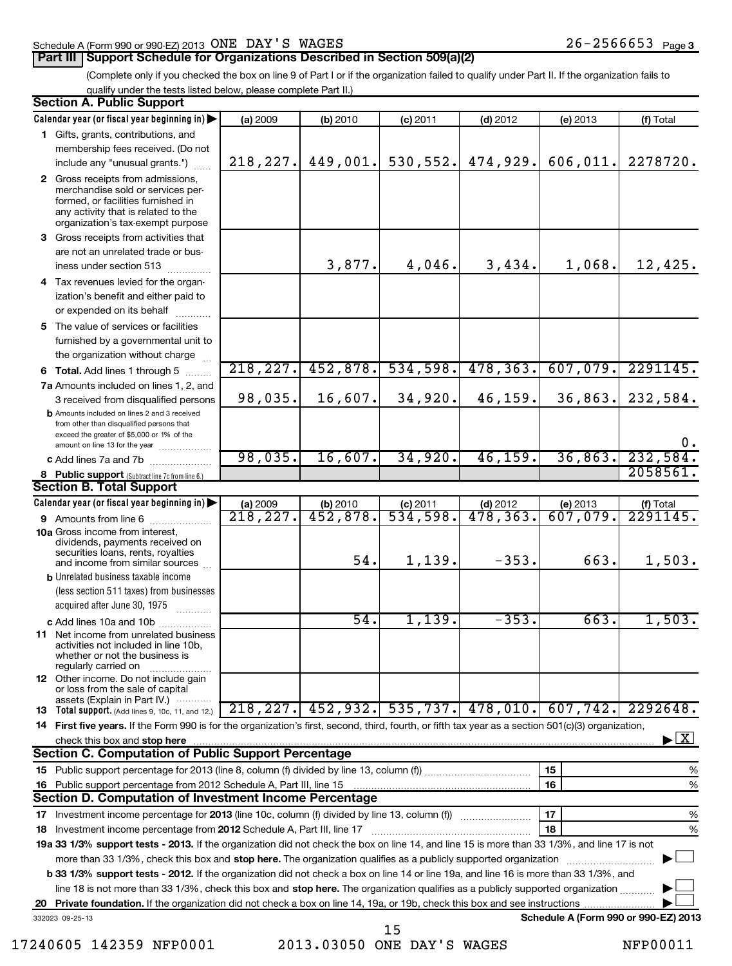# Schedule A (Form 990 or 990-EZ) 2013 Page ONE DAY'S WAGES 26-2566653

(Complete only if you checked the box on line 9 of Part I or if the organization failed to qualify under Part II. If the organization fails to qualify under the tests listed below, please complete Part II.)

|    | <b>Section A. Public Support</b>                                                                                                                                                                                                   |                        |                       |            |                      |                                      |                                           |
|----|------------------------------------------------------------------------------------------------------------------------------------------------------------------------------------------------------------------------------------|------------------------|-----------------------|------------|----------------------|--------------------------------------|-------------------------------------------|
|    | Calendar year (or fiscal year beginning in)                                                                                                                                                                                        | (a) 2009               | (b) 2010              | $(c)$ 2011 | $(d)$ 2012           | (e) 2013                             | (f) Total                                 |
|    | 1 Gifts, grants, contributions, and                                                                                                                                                                                                |                        |                       |            |                      |                                      |                                           |
|    | membership fees received. (Do not                                                                                                                                                                                                  |                        |                       |            |                      |                                      |                                           |
|    | include any "unusual grants.")                                                                                                                                                                                                     | 218, 227.              | 449,001.              | 530, 552.  | 474,929.             | 606,011.                             | 2278720.                                  |
|    | 2 Gross receipts from admissions,<br>merchandise sold or services per-<br>formed, or facilities furnished in<br>any activity that is related to the<br>organization's tax-exempt purpose                                           |                        |                       |            |                      |                                      |                                           |
|    | 3 Gross receipts from activities that                                                                                                                                                                                              |                        |                       |            |                      |                                      |                                           |
|    | are not an unrelated trade or bus-<br>iness under section 513                                                                                                                                                                      |                        | 3,877.                | 4,046.     | 3,434.               | 1,068.                               | 12,425.                                   |
|    | 4 Tax revenues levied for the organ-                                                                                                                                                                                               |                        |                       |            |                      |                                      |                                           |
|    | ization's benefit and either paid to<br>or expended on its behalf                                                                                                                                                                  |                        |                       |            |                      |                                      |                                           |
|    | 5 The value of services or facilities                                                                                                                                                                                              |                        |                       |            |                      |                                      |                                           |
|    | furnished by a governmental unit to<br>the organization without charge                                                                                                                                                             |                        |                       |            |                      |                                      |                                           |
|    | <b>6 Total.</b> Add lines 1 through 5                                                                                                                                                                                              | 218,227.               | 452,878.              | 534,598.   | 478, 363.            | 607,079.                             | 2291145.                                  |
|    | 7a Amounts included on lines 1, 2, and                                                                                                                                                                                             |                        |                       |            |                      |                                      |                                           |
|    | 3 received from disqualified persons                                                                                                                                                                                               | 98,035.                | 16,607.               | 34,920.    | 46,159.              | 36,863.                              | 232,584.                                  |
|    | <b>b</b> Amounts included on lines 2 and 3 received<br>from other than disqualified persons that<br>exceed the greater of \$5,000 or 1% of the<br>amount on line 13 for the year                                                   |                        |                       |            |                      |                                      | 0.                                        |
|    | c Add lines 7a and 7b                                                                                                                                                                                                              | 98,035.                | 16,607.               | 34,920.    | 46, 159.             | 36,863.                              | 232,584.                                  |
|    | 8 Public support (Subtract line 7c from line 6.)                                                                                                                                                                                   |                        |                       |            |                      |                                      | 2058561                                   |
|    | <b>Section B. Total Support</b>                                                                                                                                                                                                    |                        |                       |            |                      |                                      |                                           |
|    | Calendar year (or fiscal year beginning in)                                                                                                                                                                                        | (a) 2009               | (b) 2010              | $(c)$ 2011 | $(d)$ 2012           | (e) 2013                             | $($ f) Total<br>2291145.                  |
|    | 9 Amounts from line 6                                                                                                                                                                                                              | $\overline{218,227}$ . | $\overline{452,878.}$ | 534,598.   | $\overline{478,363}$ | 607,079.                             |                                           |
|    | <b>10a</b> Gross income from interest.<br>dividends, payments received on<br>securities loans, rents, royalties<br>and income from similar sources                                                                                 |                        | 54.                   | 1,139.     | $-353.$              | 663.                                 | 1,503.                                    |
|    | <b>b</b> Unrelated business taxable income                                                                                                                                                                                         |                        |                       |            |                      |                                      |                                           |
|    | (less section 511 taxes) from businesses                                                                                                                                                                                           |                        |                       |            |                      |                                      |                                           |
|    | acquired after June 30, 1975                                                                                                                                                                                                       |                        |                       |            |                      |                                      |                                           |
|    | c Add lines 10a and 10b                                                                                                                                                                                                            |                        | 54.                   | 1,139.     | $-353.$              | 663.                                 | 1,503.                                    |
|    | 11 Net income from unrelated business<br>activities not included in line 10b.<br>whether or not the business is<br>regularly carried on                                                                                            |                        |                       |            |                      |                                      |                                           |
|    | <b>12</b> Other income. Do not include gain<br>or loss from the sale of capital<br>assets (Explain in Part IV.) $\cdots$                                                                                                           |                        |                       |            |                      |                                      |                                           |
|    | <b>13</b> Total support. (Add lines 9, 10c, 11, and 12.)                                                                                                                                                                           | 218, 227.              | 452, 932.             |            | $535,737.$ 478,010.  | 607,742.                             | 2292648.                                  |
|    | 14 First five years. If the Form 990 is for the organization's first, second, third, fourth, or fifth tax year as a section 501(c)(3) organization,                                                                                |                        |                       |            |                      |                                      |                                           |
|    | check this box and stop here www.communication.communication.com/www.communication.com/www.communication.com/                                                                                                                      |                        |                       |            |                      |                                      | $\blacktriangleright$ $\lfloor x \rfloor$ |
|    | Section C. Computation of Public Support Percentage                                                                                                                                                                                |                        |                       |            |                      |                                      |                                           |
|    |                                                                                                                                                                                                                                    |                        |                       |            |                      | 15                                   | %                                         |
| 16 | Public support percentage from 2012 Schedule A, Part III, line 15                                                                                                                                                                  |                        |                       |            |                      | 16                                   | %                                         |
|    | Section D. Computation of Investment Income Percentage                                                                                                                                                                             |                        |                       |            |                      |                                      |                                           |
|    | 17<br>%                                                                                                                                                                                                                            |                        |                       |            |                      |                                      |                                           |
|    | 18<br>%<br>18 Investment income percentage from 2012 Schedule A, Part III, line 17<br>19a 33 1/3% support tests - 2013. If the organization did not check the box on line 14, and line 15 is more than 33 1/3%, and line 17 is not |                        |                       |            |                      |                                      |                                           |
|    | more than 33 1/3%, check this box and stop here. The organization qualifies as a publicly supported organization                                                                                                                   |                        |                       |            |                      |                                      |                                           |
|    | <b>b 33 1/3% support tests - 2012.</b> If the organization did not check a box on line 14 or line 19a, and line 16 is more than 33 1/3%, and                                                                                       |                        |                       |            |                      |                                      |                                           |
|    | line 18 is not more than 33 1/3%, check this box and stop here. The organization qualifies as a publicly supported organization                                                                                                    |                        |                       |            |                      |                                      |                                           |
| 20 | Private foundation. If the organization did not check a box on line 14, 19a, or 19b, check this box and see instructions                                                                                                           |                        |                       |            |                      |                                      |                                           |
|    | 332023 09-25-13                                                                                                                                                                                                                    |                        |                       |            |                      | Schedule A (Form 990 or 990-EZ) 2013 |                                           |
|    |                                                                                                                                                                                                                                    |                        |                       | 15         |                      |                                      |                                           |

<sup>17240605 142359</sup> NFP0001 2013.03050 ONE DAY'S WAGES NFP00011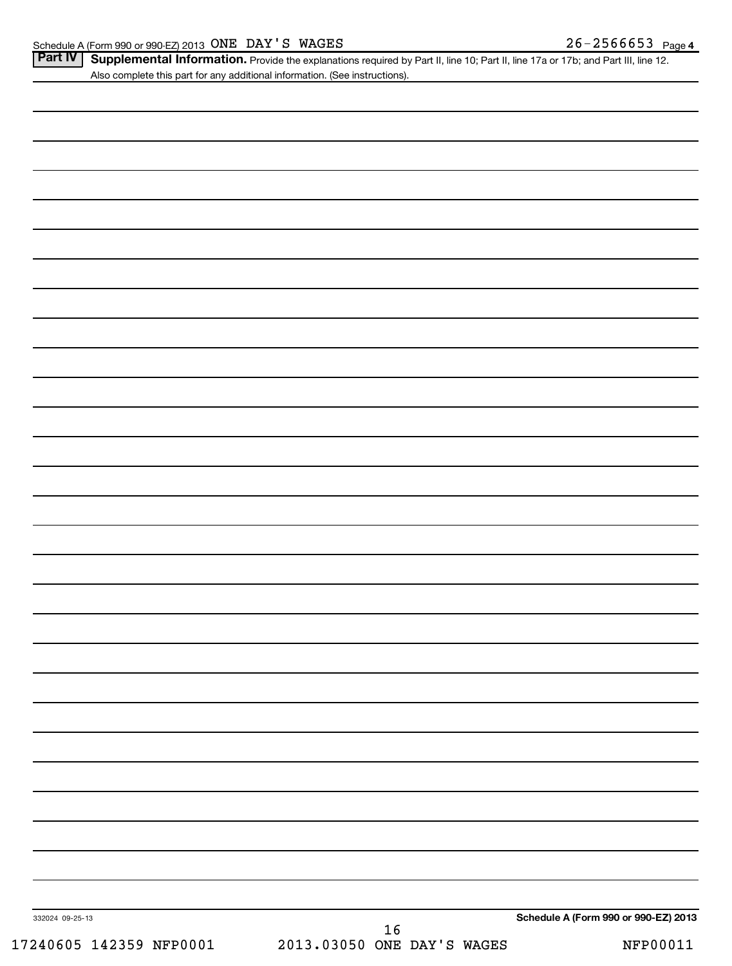Part IV | Supplemental Information. Provide the explanations required by Part II, line 10; Part II, line 17a or 17b; and Part III, line 12. Also complete this part for any additional information. (See instructions).

| 332024 09-25-13 | $\begin{array}{c} 16 \\ 2013.03050 \text{ ONE DAY'S WAGES} \end{array}$ | Schedule A (Form 990 or 990-EZ) 2013 |  |
|-----------------|-------------------------------------------------------------------------|--------------------------------------|--|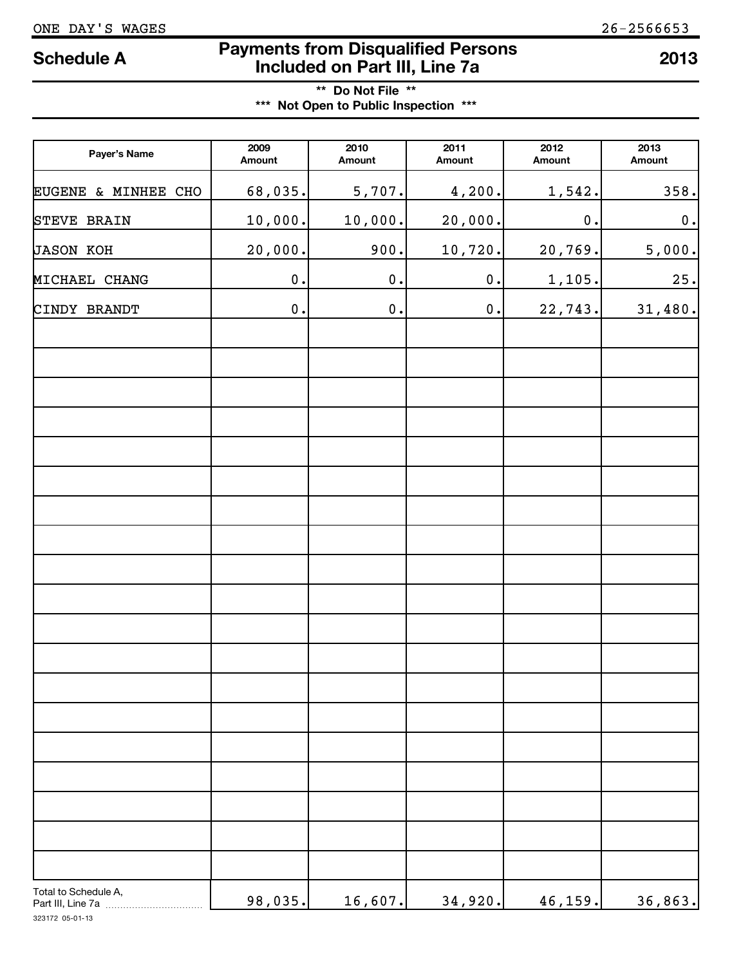# **Payments from Disqualified Persons Included on Part III, Line 7a Schedule A <sup>2013</sup>**

**\*\* Do Not File \*\* \*\*\* Not Open to Public Inspection \*\*\***

| Payer's Name                              | 2009<br>Amount     | 2010<br>Amount     | 2011<br>Amount | 2012<br>Amount     | 2013<br>Amount |
|-------------------------------------------|--------------------|--------------------|----------------|--------------------|----------------|
| EUGENE & MINHEE CHO                       | 68,035.            | 5,707.             | 4,200.         | 1,542.             | 358.           |
| STEVE BRAIN                               | 10,000.            | 10,000.            | 20,000.        | $\boldsymbol{0}$ . | $\mathbf 0$ .  |
| JASON KOH                                 | 20,000.            | 900.               | 10,720.        | 20,769.            | 5,000.         |
| MICHAEL CHANG                             | $\boldsymbol{0}$ . | $\boldsymbol{0}$ . | $\mathbf 0$ .  | 1,105.             | 25.            |
| CINDY BRANDT                              | $\boldsymbol{0}$ . | $\mathbf 0$ .      | $\mathbf 0$ .  | 22,743.            | 31,480.        |
|                                           |                    |                    |                |                    |                |
|                                           |                    |                    |                |                    |                |
|                                           |                    |                    |                |                    |                |
|                                           |                    |                    |                |                    |                |
|                                           |                    |                    |                |                    |                |
|                                           |                    |                    |                |                    |                |
|                                           |                    |                    |                |                    |                |
|                                           |                    |                    |                |                    |                |
|                                           |                    |                    |                |                    |                |
|                                           |                    |                    |                |                    |                |
|                                           |                    |                    |                |                    |                |
|                                           |                    |                    |                |                    |                |
|                                           |                    |                    |                |                    |                |
|                                           |                    |                    |                |                    |                |
|                                           |                    |                    |                |                    |                |
|                                           |                    |                    |                |                    |                |
|                                           |                    |                    |                |                    |                |
|                                           |                    |                    |                |                    |                |
|                                           |                    |                    |                |                    |                |
| Total to Schedule A,<br>Part III, Line 7a | 98,035.            | 16,607.            | 34,920.        | 46,159.            | 36,863.        |

323172 05-01-13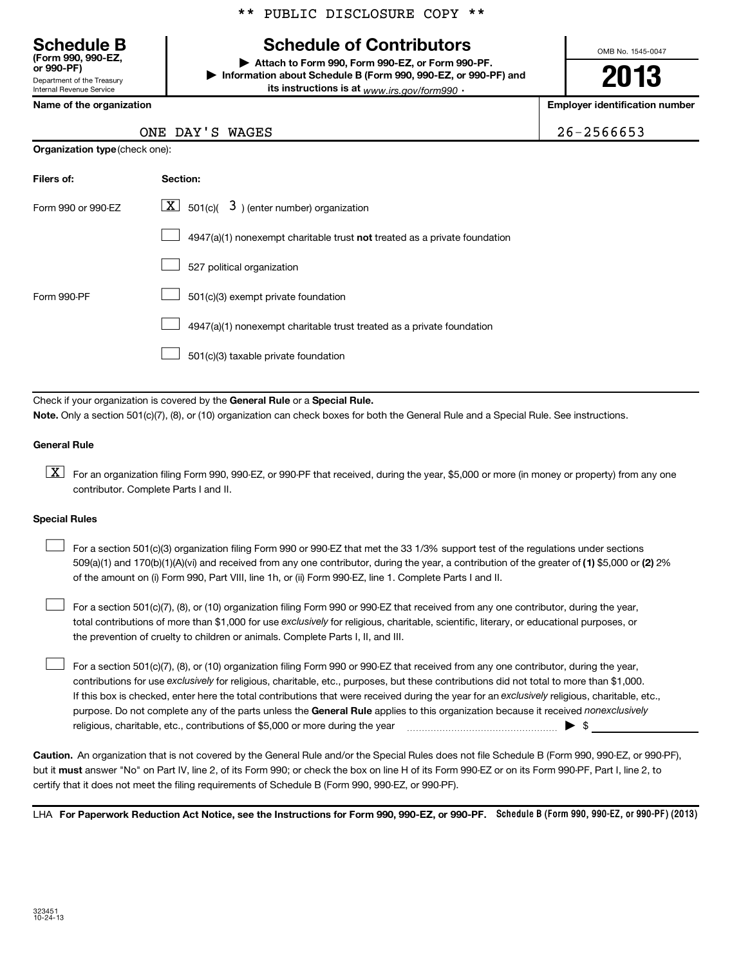# **Schedule of Contributors**

**or 990-PF) | Attach to Form 990, Form 990-EZ, or Form 990-PF. | Information about Schedule B (Form 990, 990-EZ, or 990-PF) and its instructions is at** <sub>www.irs.gov/form990  $\cdot$ </sub>

OMB No. 1545-0047

**2013**

**Name of the organization Employer identification number**

| <b>Schedule B</b><br>(Form 990, 990-EZ.<br>or 990-PF) |
|-------------------------------------------------------|
| Department of the Treasury                            |
| <b>Internal Revenue Service</b>                       |

ONE DAY'S WAGES 26-2566653

| <b>Organization type</b> (check one): |
|---------------------------------------|
|                                       |

| Filers of:         | Section:                                                                           |
|--------------------|------------------------------------------------------------------------------------|
| Form 990 or 990-FZ | $\lfloor \underline{X} \rfloor$ 501(c)( 3) (enter number) organization             |
|                    | $4947(a)(1)$ nonexempt charitable trust <b>not</b> treated as a private foundation |
|                    | 527 political organization                                                         |
| Form 990-PF        | 501(c)(3) exempt private foundation                                                |
|                    | 4947(a)(1) nonexempt charitable trust treated as a private foundation              |
|                    | 501(c)(3) taxable private foundation                                               |

Check if your organization is covered by the General Rule or a Special Rule. **Note.**  Only a section 501(c)(7), (8), or (10) organization can check boxes for both the General Rule and a Special Rule. See instructions.

### **General Rule**

 $\boxed{\textbf{X}}$  For an organization filing Form 990, 990-EZ, or 990-PF that received, during the year, \$5,000 or more (in money or property) from any one contributor. Complete Parts I and II.

#### **Special Rules**

509(a)(1) and 170(b)(1)(A)(vi) and received from any one contributor, during the year, a contribution of the greater of (1**)** \$5,000 or **(2)** 2% For a section 501(c)(3) organization filing Form 990 or 990-EZ that met the 33 1/3% support test of the regulations under sections of the amount on (i) Form 990, Part VIII, line 1h, or (ii) Form 990-EZ, line 1. Complete Parts I and II.  $\left| \begin{array}{c} \hline \hline \hline \hline \hline \hline \end{array} \right|$ 

total contributions of more than \$1,000 for use exclusively for religious, charitable, scientific, literary, or educational purposes, or For a section 501(c)(7), (8), or (10) organization filing Form 990 or 990-EZ that received from any one contributor, during the year, the prevention of cruelty to children or animals. Complete Parts I, II, and III.  $\left| \begin{array}{c} \hline \hline \hline \hline \hline \hline \end{array} \right|$ 

purpose. Do not complete any of the parts unless the General Rule applies to this organization because it received nonexclusively contributions for use exclusively for religious, charitable, etc., purposes, but these contributions did not total to more than \$1,000. If this box is checked, enter here the total contributions that were received during the year for an exclusively religious, charitable, etc., For a section 501(c)(7), (8), or (10) organization filing Form 990 or 990-EZ that received from any one contributor, during the year, religious, charitable, etc., contributions of \$5,000 or more during the year  $\ldots$   $\ldots$   $\ldots$   $\ldots$   $\ldots$   $\ldots$   $\ldots$   $\ldots$   $\ldots$  $\left| \begin{array}{c} \hline \hline \hline \hline \hline \hline \end{array} \right|$ 

**Caution.** An organization that is not covered by the General Rule and/or the Special Rules does not file Schedule B (Form 990, 990-EZ, or 990-PF),  **must** but it answer "No" on Part IV, line 2, of its Form 990; or check the box on line H of its Form 990-EZ or on its Form 990-PF, Part I, line 2, to certify that it does not meet the filing requirements of Schedule B (Form 990, 990-EZ, or 990-PF).

LHA For Paperwork Reduction Act Notice, see the Instructions for Form 990, 990-EZ, or 990-PF. Schedule B (Form 990, 990-EZ, or 990-PF) (2013)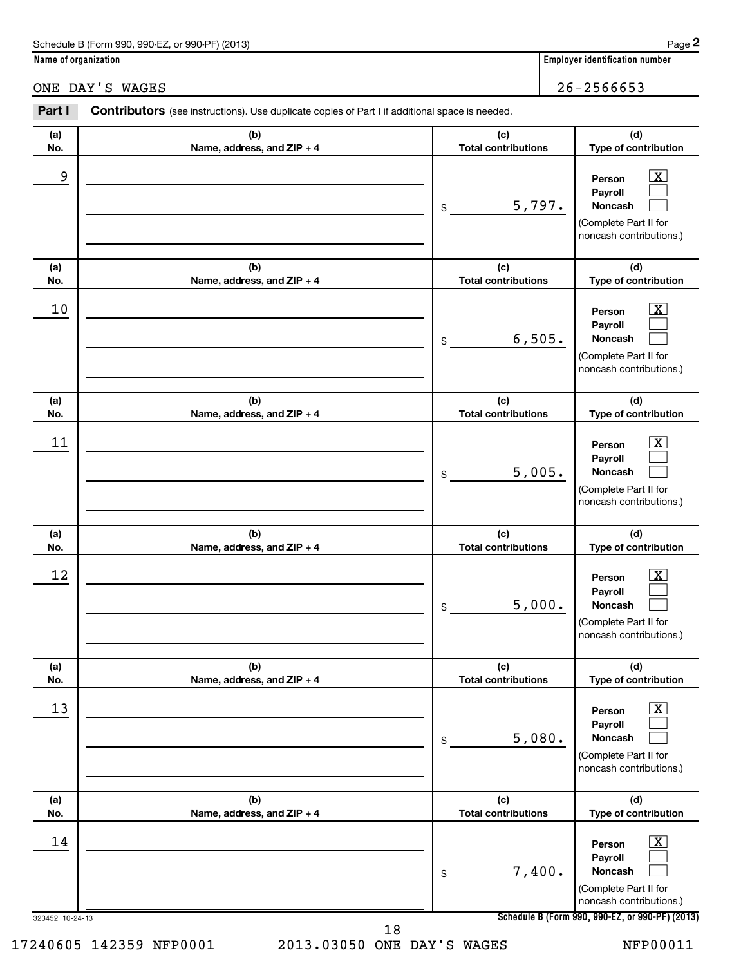| Schedule B (Form 990, 990-EZ, or 990-PF) (2013) | Page |
|-------------------------------------------------|------|
|-------------------------------------------------|------|

Part I Contributors (see instructions). Use duplicate copies of Part I if additional space is needed.

**Name of organization Employer identification number**

# ONE DAY'S WAGES 26-2566653

| (a)<br>No. | (b)<br>Name, address, and ZIP + 4 | (c)<br><b>Total contributions</b> | (d)<br>Type of contribution                                                      |                         |
|------------|-----------------------------------|-----------------------------------|----------------------------------------------------------------------------------|-------------------------|
| 9          |                                   | \$<br>5,797.                      | Person<br>Payroll<br>Noncash<br>(Complete Part II for<br>noncash contributions.) | ΙX                      |
| (a)<br>No. | (b)<br>Name, address, and ZIP + 4 | (c)<br><b>Total contributions</b> | (d)<br>Type of contribution                                                      |                         |
| 10         |                                   | \$<br>6,505.                      | Person<br>Payroll<br>Noncash<br>(Complete Part II for<br>noncash contributions.) | ΙX                      |
| (a)<br>No. | (b)<br>Name, address, and ZIP + 4 | (c)<br><b>Total contributions</b> | (d)<br>Type of contribution                                                      |                         |
| 11         |                                   | \$<br>5,005.                      | Person<br>Payroll<br>Noncash<br>(Complete Part II for<br>noncash contributions.) | X                       |
| (a)<br>No. | (b)<br>Name, address, and ZIP + 4 | (c)<br><b>Total contributions</b> | (d)<br>Type of contribution                                                      |                         |
| 12         |                                   | \$<br>5,000.                      | Person<br>Payroll<br>Noncash<br>(Complete Part II for<br>noncash contributions.) | x                       |
| (a)<br>No. | (b)<br>Name, address, and ZIP + 4 | (c)<br><b>Total contributions</b> | (d)<br>Type of contribution                                                      |                         |
| 13         |                                   | \$<br>5,080.                      | Person<br>Payroll<br>Noncash<br>(Complete Part II for<br>noncash contributions.) | $\boxed{\text{X}}$      |
| (a)<br>No. | (b)<br>Name, address, and ZIP + 4 | (c)<br><b>Total contributions</b> | (d)<br>Type of contribution                                                      |                         |
| 14         |                                   | \$<br>7,400.                      | Person<br>Payroll<br>Noncash<br>(Complete Part II for                            | $\overline{\mathbf{X}}$ |

noncash contributions.)

17240605 142359 NFP0001 2013.03050 ONE DAY'S WAGES NFP00011

323452 10-24-13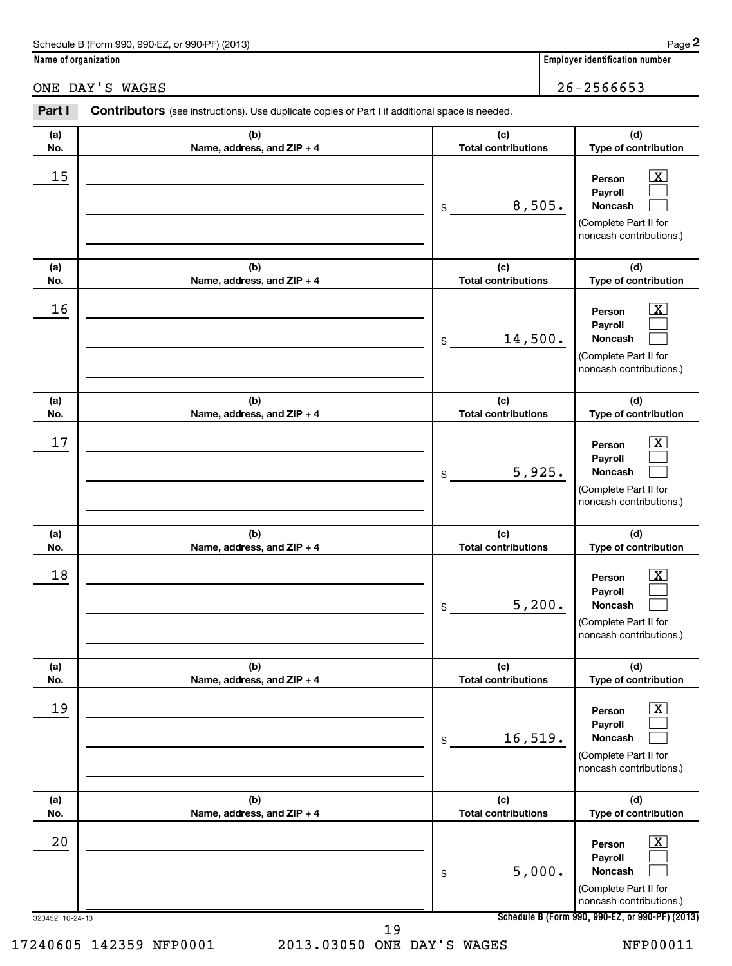| Schedule B (Form 990, 990-EZ, or 990-PF) (2013) | Page |
|-------------------------------------------------|------|
|-------------------------------------------------|------|

**Name of organization Employer identification number**

**(d)**

 $\overline{X}$  $\left| \begin{array}{c} \end{array} \right|$  $\left| \begin{array}{c} \end{array} \right|$ 

 $\boxed{\mathbf{X}}$  $\left| \begin{array}{c} \end{array} \right|$  $\left| \begin{array}{c} \end{array} \right|$ 

ONE DAY'S WAGES 26-2566653

#### **(a) No. (b) Name, address, and ZIP + 4 (c) Total contributions Type of contribution Person Payroll Noncash (a) No. (b) Name, address, and ZIP + 4 (c) Total contributions (d) Type of contribution Person Payroll Noncash (a) No. (b) Name, address, and ZIP + 4 (c) Total contributions (d) Type of contribution Person Payroll** \$ (Complete Part II for noncash contributions.) \$ (Complete Part II for noncash contributions.) \$  $15$  Person  $\overline{\text{X}}$ 8,505.  $16$  Person  $\overline{\text{X}}$ 14,500.  $17$  Person  $\overline{\text{X}}$ 5,925.

Part I Contributors (see instructions). Use duplicate copies of Part I if additional space is needed.

| 17              |                                   | $\lfloor x \rfloor$<br>Person<br>Payroll<br>5,925.<br>Noncash<br>\$<br>(Complete Part II for<br>noncash contributions.)                    |
|-----------------|-----------------------------------|--------------------------------------------------------------------------------------------------------------------------------------------|
| (a)<br>No.      | (b)<br>Name, address, and ZIP + 4 | (c)<br>(d)<br><b>Total contributions</b><br>Type of contribution                                                                           |
| 18              |                                   | $\boxed{\textbf{X}}$<br>Person<br>Payroll<br>5,200.<br><b>Noncash</b><br>$\frac{1}{2}$<br>(Complete Part II for<br>noncash contributions.) |
| (a)<br>No.      | (b)<br>Name, address, and ZIP + 4 | (c)<br>(d)<br><b>Total contributions</b><br>Type of contribution                                                                           |
| 19              |                                   | $\boxed{\text{X}}$<br>Person<br>Payroll<br>16,519.<br>Noncash<br>\$<br>(Complete Part II for<br>noncash contributions.)                    |
| (a)<br>No.      | (b)<br>Name, address, and ZIP + 4 | (c)<br>(d)<br><b>Total contributions</b><br>Type of contribution                                                                           |
| 20              |                                   | $\overline{\mathbf{x}}$<br>Person<br>Payroll<br>5,000.<br><b>Noncash</b><br>\$<br>(Complete Part II for<br>noncash contributions.)         |
| 323452 10-24-13 |                                   | Schedule B (Form 990, 990-EZ, or 990-PF) (2013)<br>19                                                                                      |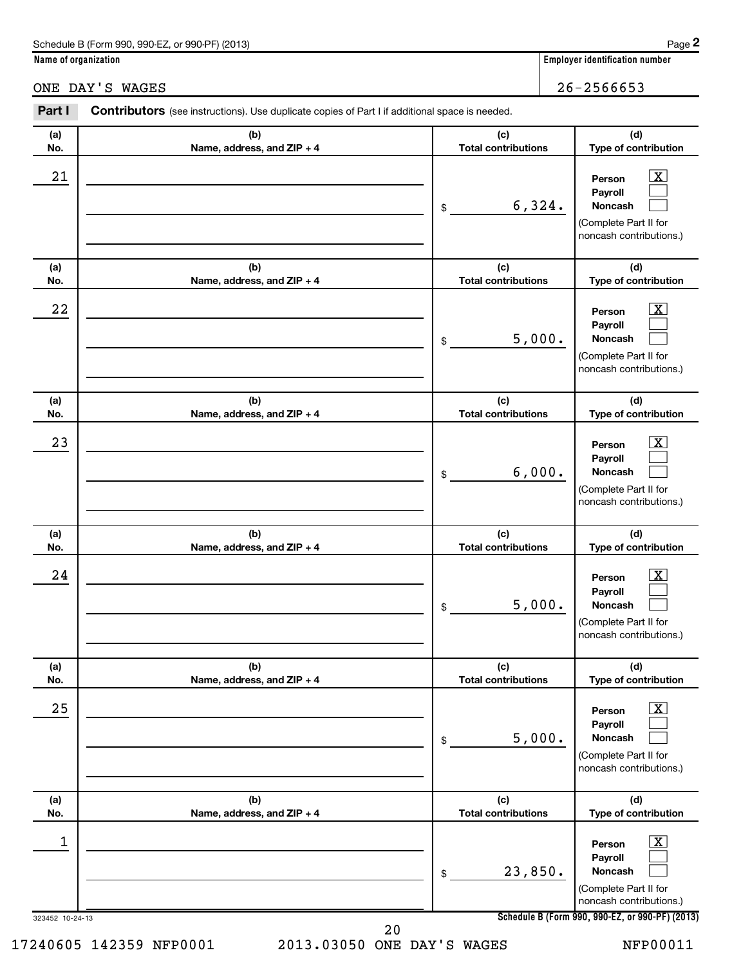| Schedule B (Form 990, 990-EZ, or 990-PF) (2013) | Page |
|-------------------------------------------------|------|
|-------------------------------------------------|------|

**Name of organization Employer identification number**

ONE DAY'S WAGES 26-2566653

**Person Payroll Noncash**

6,324.

(Complete Part II for noncash contributions.)

**(d) Type of contribution**

> $\overline{X}$  $\left| \begin{array}{c} \end{array} \right|$  $\left| \begin{array}{c} \end{array} \right|$

# **(a) No. (b) Name, address, and ZIP + 4 (c) Total contributions (a) No. (b) Name, address, and ZIP + 4 (a) No. (b) Name, address, and ZIP + 4** \$ \$  $21$  Person  $\overline{\text{X}}$

Part I Contributors (see instructions). Use duplicate copies of Part I if additional space is needed.

| (a)<br>No.      | (b)<br>Name, address, and ZIP + 4 | (c)<br><b>Total contributions</b> | (d)<br>Type of contribution                                                                                                                               |
|-----------------|-----------------------------------|-----------------------------------|-----------------------------------------------------------------------------------------------------------------------------------------------------------|
| 22              |                                   | 5,000.<br>$\mathsf{\$}$           | <u>x</u><br>Person<br>Payroll<br>Noncash<br>(Complete Part II for<br>noncash contributions.)                                                              |
| (a)<br>No.      | (b)<br>Name, address, and ZIP + 4 | (c)<br><b>Total contributions</b> | (d)<br>Type of contribution                                                                                                                               |
| 23              |                                   | 6,000.<br>$\mathsf{\$}$           | <u>x</u><br>Person<br>Payroll<br>Noncash<br>(Complete Part II for<br>noncash contributions.)                                                              |
| (a)<br>No.      | (b)<br>Name, address, and ZIP + 4 | (c)<br><b>Total contributions</b> | (d)<br>Type of contribution                                                                                                                               |
| 24              |                                   | 5,000.<br>$\frac{1}{2}$           | <u>x</u><br>Person<br>Payroll<br>Noncash<br>(Complete Part II for<br>noncash contributions.)                                                              |
| (a)<br>No.      | (b)<br>Name, address, and ZIP + 4 | (c)<br><b>Total contributions</b> | (d)<br>Type of contribution                                                                                                                               |
| 25              |                                   | 5,000.<br>\$                      | $\mathbf X$<br>Person<br>Payroll<br>Noncash<br>(Complete Part II for<br>noncash contributions.)                                                           |
| (a)<br>No.      | (b)<br>Name, address, and ZIP + 4 | (c)<br><b>Total contributions</b> | (d)<br>Type of contribution                                                                                                                               |
| 1               |                                   | 23,850.<br>\$                     | $\boxed{\text{X}}$<br>Person<br>Payroll<br>Noncash<br>(Complete Part II for<br>noncash contributions.)<br>Schedule B (Form 990, 990-EZ, or 990-PF) (2013) |
| 323452 10-24-13 | $20$                              |                                   |                                                                                                                                                           |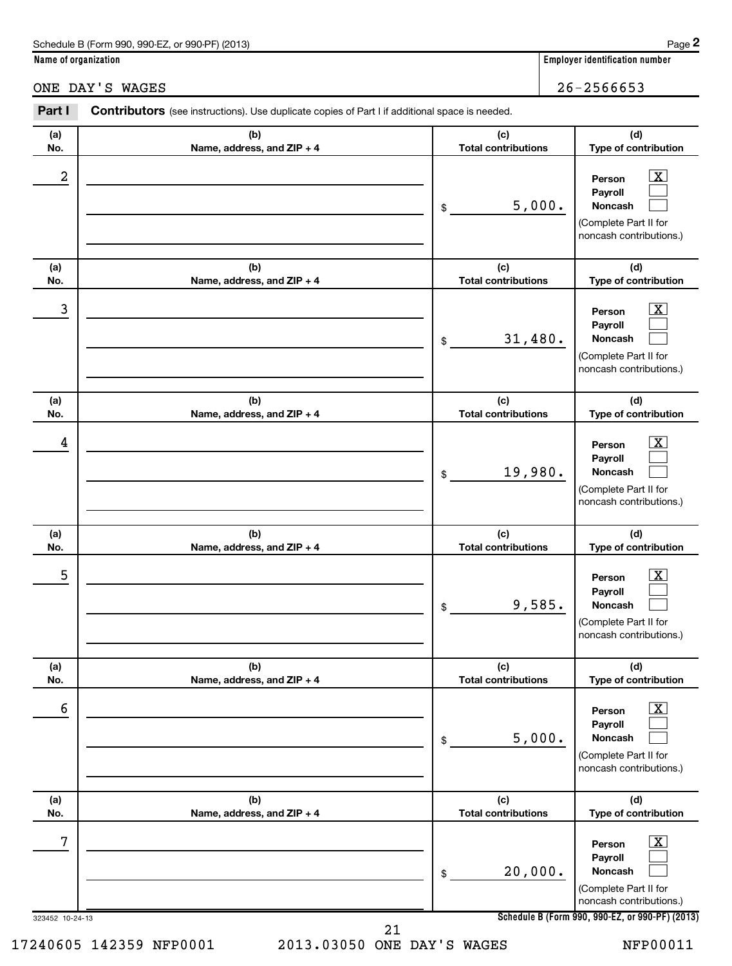| Schedule B (Form 990, 990-EZ, or 990-PF) (2013) | Page |
|-------------------------------------------------|------|
|-------------------------------------------------|------|

**Name of organization Employer identification number**

ONE DAY'S WAGES 26-2566653

**Person**

**(d) Type of contribution**

 $\boxed{\text{X}}$ 

**(c) Total contributions**

# **(a) No. (b) Name, address, and ZIP + 4**  $2$  Person  $\overline{\text{X}}$

Part I Contributors (see instructions). Use duplicate copies of Part I if additional space is needed.

| 323452 10-24-13 |                                   |                                   | noncash contributions.)<br>Schedule B (Form 990, 990-EZ, or 990-PF) (2013)                                  |
|-----------------|-----------------------------------|-----------------------------------|-------------------------------------------------------------------------------------------------------------|
| 7               |                                   | 20,000.<br>\$                     | $\boxed{\text{X}}$<br>Person<br>Payroll<br>Noncash<br>(Complete Part II for                                 |
| (a)<br>No.      | (b)<br>Name, address, and ZIP + 4 | (c)<br><b>Total contributions</b> | (d)<br>Type of contribution                                                                                 |
| 6               |                                   | 5,000.<br>\$                      | х<br>Person<br>Payroll<br><b>Noncash</b><br>لــــــا<br>(Complete Part II for<br>noncash contributions.)    |
| (a)<br>No.      | (b)<br>Name, address, and ZIP + 4 | (c)<br><b>Total contributions</b> | (d)<br>Type of contribution                                                                                 |
| 5               |                                   | 9,585.<br>\$                      | $\overline{\textbf{x}}$<br>Person<br>Payroll<br>Noncash<br>(Complete Part II for<br>noncash contributions.) |
| (a)<br>No.      | (b)<br>Name, address, and ZIP + 4 | (c)<br><b>Total contributions</b> | (d)<br>Type of contribution                                                                                 |
| 4               |                                   | 19,980.<br>\$                     | $\overline{\text{X}}$<br>Person<br>Payroll<br>Noncash<br>(Complete Part II for<br>noncash contributions.)   |
| (a)<br>No.      | (b)<br>Name, address, and ZIP + 4 | (c)<br><b>Total contributions</b> | (d)<br>Type of contribution                                                                                 |
| 3               |                                   | 31,480.<br>\$                     | $\overline{\mathbf{X}}$<br>Person<br>Payroll<br>Noncash<br>(Complete Part II for<br>noncash contributions.) |
| (a)<br>No.      | (b)<br>Name, address, and ZIP + 4 | (c)<br><b>Total contributions</b> | (d)<br>Type of contribution                                                                                 |
|                 |                                   | 5,000.<br>\$                      | Payroll<br>Noncash<br>(Complete Part II for<br>noncash contributions.)                                      |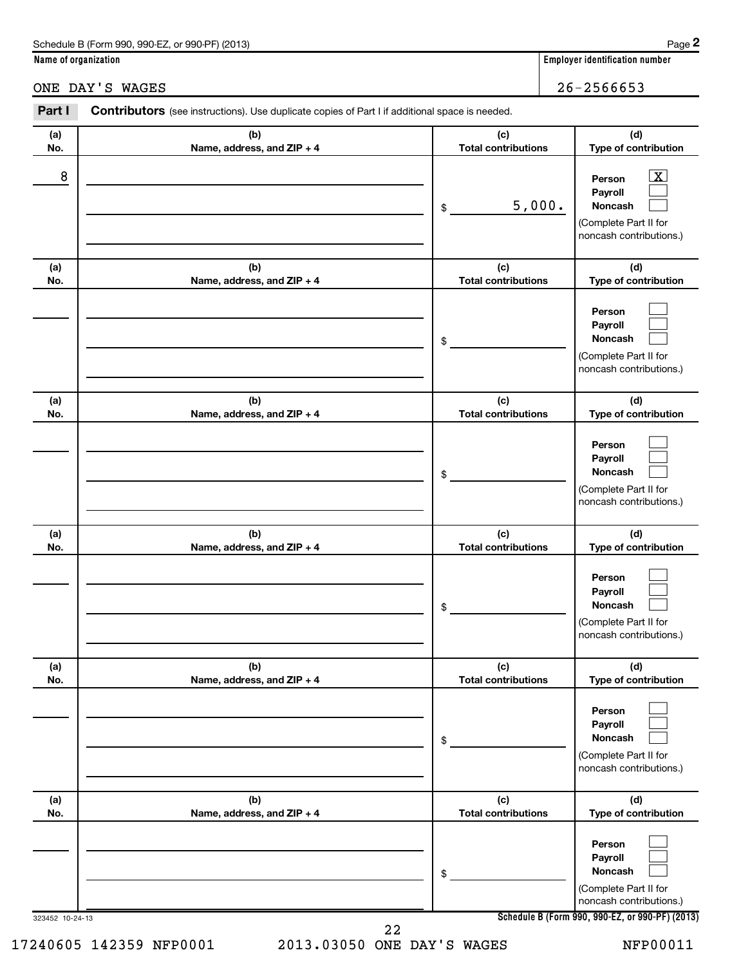| Schedule B (Form 990, 990-EZ, or 990-PF) (2013) | Page |
|-------------------------------------------------|------|
|-------------------------------------------------|------|

Part I Contributors (see instructions). Use duplicate copies of Part I if additional space is needed.

**Name of organization Employer identification number**

## ONE DAY'S WAGES 26-2566653

**(a) No. (b) Name, address, and ZIP + 4 (c) Total contributions (d) Type of contribution Person Payroll Noncash (a) No. (b) Name, address, and ZIP + 4 (c) Total contributions (d) Type of contribution Person Payroll Noncash (a) No. (b) Name, address, and ZIP + 4 (c) Total contributions (d) Type of contribution Person Payroll Noncash (a) No. (b) Name, address, and ZIP + 4 (c) Total contributions (d) Type of contribution Person Payroll Noncash (a) No. (b) Name, address, and ZIP + 4 (c) Total contributions (d) Type of contribution Person Payroll Noncash (a) No. (b) Name, address, and ZIP + 4 (c) Total contributions (d) Type of contribution Person Payroll Noncash** \$ (Complete Part II for noncash contributions.) \$ (Complete Part II for noncash contributions.) \$ (Complete Part II for noncash contributions.) \$ (Complete Part II for noncash contributions.) \$ (Complete Part II for noncash contributions.) \$ (Complete Part II for  $\overline{X}$  $\left| \begin{array}{c} \end{array} \right|$  $\left| \begin{array}{c} \end{array} \right|$  $\left| \begin{array}{c} \end{array} \right|$  $\left| \begin{array}{c} \end{array} \right|$  $\left| \begin{array}{c} \end{array} \right|$  $\left| \begin{array}{c} \end{array} \right|$  $\left| \begin{array}{c} \end{array} \right|$  $\left| \begin{array}{c} \end{array} \right|$  $\left| \begin{array}{c} \end{array} \right|$  $\left| \begin{array}{c} \end{array} \right|$  $\left| \begin{array}{c} \end{array} \right|$  $\left| \begin{array}{c} \end{array} \right|$  $\left| \begin{array}{c} \end{array} \right|$  $\left| \begin{array}{c} \end{array} \right|$  $\left| \begin{array}{c} \end{array} \right|$  $\left| \begin{array}{c} \end{array} \right|$  $\left| \begin{array}{c} \end{array} \right|$  $8$  Person  $\overline{\text{X}}$ 5,000.

noncash contributions.)

22

323452 10-24-13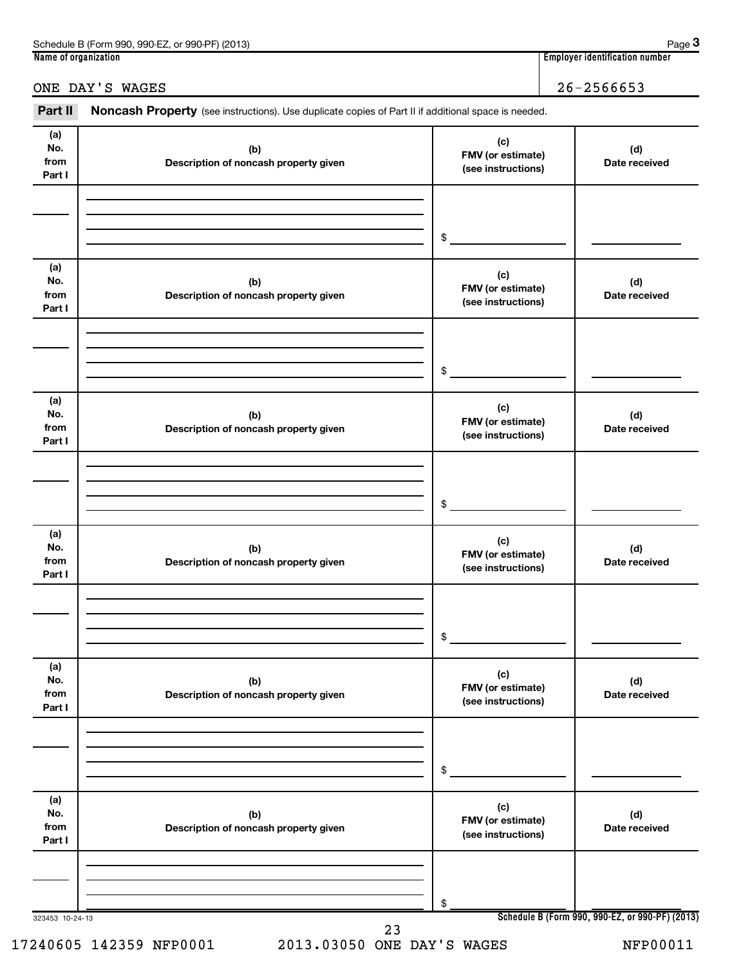| 990-EZ<br>Schedule B<br>(2013)<br>े (Form 990.<br>$QQ0$ . $PF$<br>or<br><b>UU</b> | Page                                    |
|-----------------------------------------------------------------------------------|-----------------------------------------|
| Name of organization                                                              | <br>. identification number<br>Emplovei |

**3**

# ONE DAY'S WAGES 26-2566653

Part II Noncash Property (see instructions). Use duplicate copies of Part II if additional space is needed.

| (a)<br>No.<br>from<br>Part I | (b)<br>Description of noncash property given | (c)<br>FMV (or estimate)<br>(see instructions) | (d)<br>Date received                            |
|------------------------------|----------------------------------------------|------------------------------------------------|-------------------------------------------------|
|                              |                                              |                                                |                                                 |
|                              |                                              | $$\circ$$                                      |                                                 |
| (a)<br>No.<br>from<br>Part I | (b)<br>Description of noncash property given | (c)<br>FMV (or estimate)<br>(see instructions) | (d)<br>Date received                            |
|                              |                                              |                                                |                                                 |
|                              |                                              | $$\circ$$                                      |                                                 |
| (a)<br>No.<br>from<br>Part I | (b)<br>Description of noncash property given | (c)<br>FMV (or estimate)<br>(see instructions) | (d)<br>Date received                            |
|                              |                                              |                                                |                                                 |
|                              |                                              | $$\circ$$                                      |                                                 |
| (a)<br>No.<br>from<br>Part I | (b)<br>Description of noncash property given | (c)<br>FMV (or estimate)<br>(see instructions) | (d)<br>Date received                            |
|                              |                                              |                                                |                                                 |
|                              |                                              | \$                                             |                                                 |
| (a)<br>No.<br>from<br>Part I | (b)<br>Description of noncash property given | (c)<br>FMV (or estimate)<br>(see instructions) | (d)<br>Date received                            |
|                              |                                              |                                                |                                                 |
|                              |                                              | \$                                             |                                                 |
| (a)<br>No.<br>from<br>Part I | (b)<br>Description of noncash property given | (c)<br>FMV (or estimate)<br>(see instructions) | (d)<br>Date received                            |
|                              |                                              |                                                |                                                 |
| 323453 10-24-13              |                                              | \$                                             | Schedule B (Form 990, 990-EZ, or 990-PF) (2013) |
|                              | 23                                           |                                                |                                                 |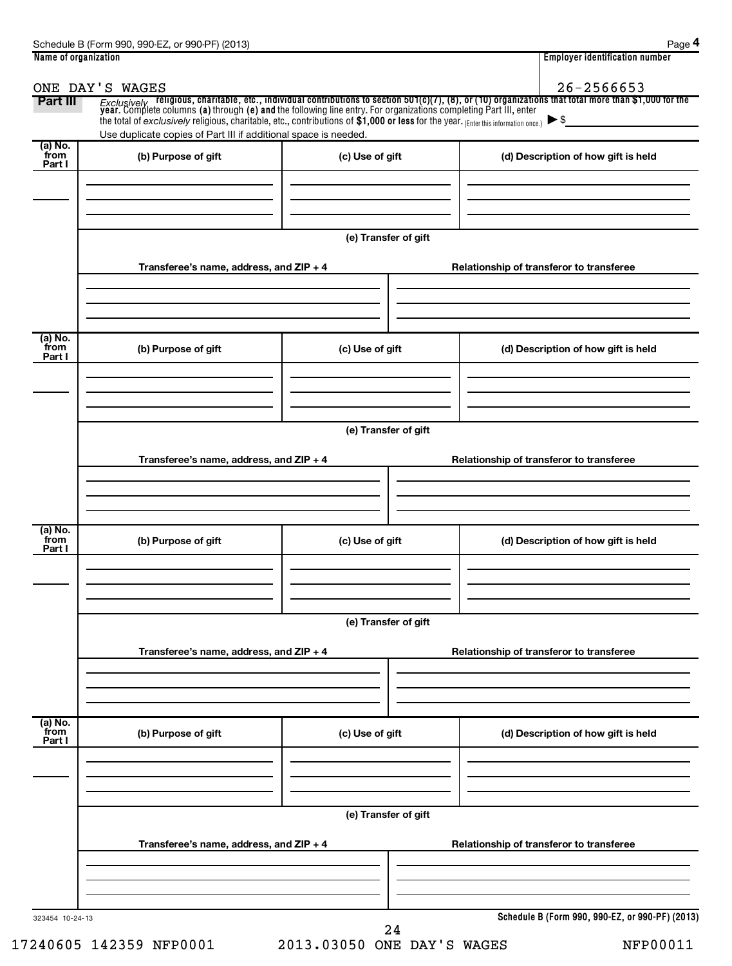|                           | ONE DAY'S WAGES                                                                                                                      |                      | 26-2566653                                                                                                                                                                                                                                                     |
|---------------------------|--------------------------------------------------------------------------------------------------------------------------------------|----------------------|----------------------------------------------------------------------------------------------------------------------------------------------------------------------------------------------------------------------------------------------------------------|
| Part III                  | the total of exclusively religious, charitable, etc., contributions of $$1,000$ or less for the year. (Enter this information once.) |                      | Exclusively religious, charitable, etc., individual contributions to section 501(c)(7), (8), or (10) organizations that total more than \$1,000 for the<br>year. Complete columns (a) through (e) and the following line entry. Fo<br>$\blacktriangleright$ \$ |
| (a) No.                   | Use duplicate copies of Part III if additional space is needed.                                                                      |                      |                                                                                                                                                                                                                                                                |
| from<br>Part I            | (b) Purpose of gift                                                                                                                  | (c) Use of gift      | (d) Description of how gift is held                                                                                                                                                                                                                            |
|                           |                                                                                                                                      | (e) Transfer of gift |                                                                                                                                                                                                                                                                |
|                           | Transferee's name, address, and ZIP + 4                                                                                              |                      | Relationship of transferor to transferee                                                                                                                                                                                                                       |
| (a) No.<br>from<br>Part I | (b) Purpose of gift                                                                                                                  | (c) Use of gift      | (d) Description of how gift is held                                                                                                                                                                                                                            |
|                           |                                                                                                                                      |                      |                                                                                                                                                                                                                                                                |
|                           |                                                                                                                                      | (e) Transfer of gift |                                                                                                                                                                                                                                                                |
|                           | Transferee's name, address, and ZIP + 4                                                                                              |                      | Relationship of transferor to transferee                                                                                                                                                                                                                       |
| (a) No.<br>from           | (b) Purpose of gift                                                                                                                  | (c) Use of gift      | (d) Description of how gift is held                                                                                                                                                                                                                            |
| Part I                    |                                                                                                                                      |                      |                                                                                                                                                                                                                                                                |
|                           |                                                                                                                                      | (e) Transfer of gift |                                                                                                                                                                                                                                                                |
|                           | Transferee's name, address, and ZIP + 4                                                                                              |                      | Relationship of transferor to transferee                                                                                                                                                                                                                       |
| (a) No.<br>from<br>Part I | (b) Purpose of gift                                                                                                                  | (c) Use of gift      | (d) Description of how gift is held                                                                                                                                                                                                                            |
|                           |                                                                                                                                      |                      |                                                                                                                                                                                                                                                                |
|                           |                                                                                                                                      | (e) Transfer of gift |                                                                                                                                                                                                                                                                |
|                           | Transferee's name, address, and ZIP + 4                                                                                              |                      | Relationship of transferor to transferee                                                                                                                                                                                                                       |
|                           |                                                                                                                                      |                      |                                                                                                                                                                                                                                                                |
| 323454 10-24-13           |                                                                                                                                      | 24                   | Schedule B (Form 990, 990-EZ, or 990-PF) (2013)                                                                                                                                                                                                                |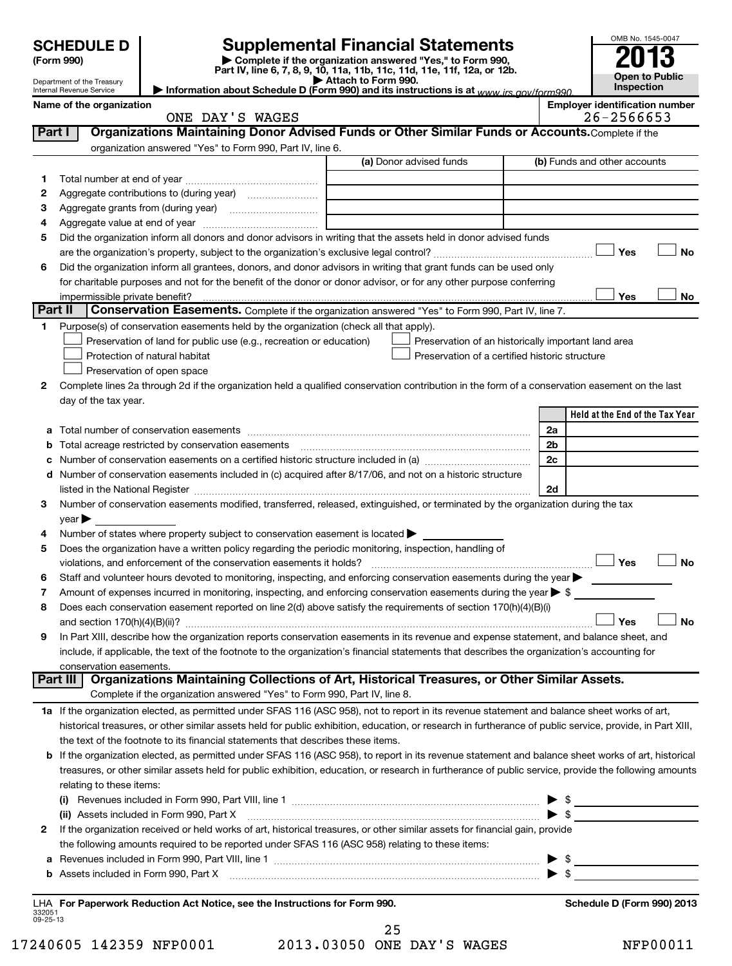|         | <b>SCHEDULE D</b>                                      |                                                                                                        | <b>Supplemental Financial Statements</b>                                                                                                                   |    | OMB No. 1545-0047                                   |           |
|---------|--------------------------------------------------------|--------------------------------------------------------------------------------------------------------|------------------------------------------------------------------------------------------------------------------------------------------------------------|----|-----------------------------------------------------|-----------|
|         | (Form 990)                                             |                                                                                                        | Complete if the organization answered "Yes," to Form 990,<br>Part IV, line 6, 7, 8, 9, 10, 11a, 11b, 11c, 11d, 11e, 11f, 12a, or 12b.                      |    | Open to Public                                      |           |
|         | Department of the Treasury<br>Internal Revenue Service |                                                                                                        | Attach to Form 990.<br>Information about Schedule D (Form 990) and its instructions is at www irs gov/form990                                              |    | Inspection                                          |           |
|         | Name of the organization                               | ONE DAY'S WAGES                                                                                        |                                                                                                                                                            |    | <b>Employer identification number</b><br>26-2566653 |           |
| Part I  |                                                        |                                                                                                        | Organizations Maintaining Donor Advised Funds or Other Similar Funds or Accounts. Complete if the                                                          |    |                                                     |           |
|         |                                                        | organization answered "Yes" to Form 990, Part IV, line 6.                                              |                                                                                                                                                            |    |                                                     |           |
|         |                                                        |                                                                                                        | (a) Donor advised funds                                                                                                                                    |    | (b) Funds and other accounts                        |           |
| 1       |                                                        |                                                                                                        |                                                                                                                                                            |    |                                                     |           |
| 2       |                                                        |                                                                                                        |                                                                                                                                                            |    |                                                     |           |
| 3       |                                                        |                                                                                                        |                                                                                                                                                            |    |                                                     |           |
| 4       |                                                        |                                                                                                        |                                                                                                                                                            |    |                                                     |           |
| 5       |                                                        |                                                                                                        | Did the organization inform all donors and donor advisors in writing that the assets held in donor advised funds                                           |    |                                                     |           |
|         |                                                        |                                                                                                        |                                                                                                                                                            |    | Yes                                                 | No        |
| 6       |                                                        |                                                                                                        | Did the organization inform all grantees, donors, and donor advisors in writing that grant funds can be used only                                          |    |                                                     |           |
|         |                                                        |                                                                                                        | for charitable purposes and not for the benefit of the donor or donor advisor, or for any other purpose conferring                                         |    |                                                     |           |
|         | impermissible private benefit?                         |                                                                                                        |                                                                                                                                                            |    | Yes                                                 | No        |
| Part II |                                                        |                                                                                                        | Conservation Easements. Complete if the organization answered "Yes" to Form 990, Part IV, line 7.                                                          |    |                                                     |           |
| 1       |                                                        | Purpose(s) of conservation easements held by the organization (check all that apply).                  |                                                                                                                                                            |    |                                                     |           |
|         |                                                        | Preservation of land for public use (e.g., recreation or education)                                    | Preservation of an historically important land area                                                                                                        |    |                                                     |           |
|         |                                                        | Protection of natural habitat                                                                          | Preservation of a certified historic structure                                                                                                             |    |                                                     |           |
|         |                                                        | Preservation of open space                                                                             |                                                                                                                                                            |    |                                                     |           |
| 2       |                                                        |                                                                                                        | Complete lines 2a through 2d if the organization held a qualified conservation contribution in the form of a conservation easement on the last             |    |                                                     |           |
|         | day of the tax year.                                   |                                                                                                        |                                                                                                                                                            |    | Held at the End of the Tax Year                     |           |
| a       |                                                        |                                                                                                        |                                                                                                                                                            | 2a |                                                     |           |
| b       |                                                        | Total acreage restricted by conservation easements                                                     |                                                                                                                                                            | 2b |                                                     |           |
| с       |                                                        |                                                                                                        |                                                                                                                                                            | 2c |                                                     |           |
| d       |                                                        |                                                                                                        | Number of conservation easements included in (c) acquired after 8/17/06, and not on a historic structure                                                   |    |                                                     |           |
|         |                                                        |                                                                                                        |                                                                                                                                                            | 2d |                                                     |           |
| З       |                                                        |                                                                                                        | Number of conservation easements modified, transferred, released, extinguished, or terminated by the organization during the tax                           |    |                                                     |           |
|         | $\vee$ ear $\blacktriangleright$                       |                                                                                                        |                                                                                                                                                            |    |                                                     |           |
|         |                                                        | Number of states where property subject to conservation easement is located >                          |                                                                                                                                                            |    |                                                     |           |
| 5       |                                                        | Does the organization have a written policy regarding the periodic monitoring, inspection, handling of |                                                                                                                                                            |    |                                                     |           |
|         |                                                        | violations, and enforcement of the conservation easements it holds?                                    |                                                                                                                                                            |    | $\Box$ Yes                                          | ⊿ No      |
| 6       |                                                        |                                                                                                        | Staff and volunteer hours devoted to monitoring, inspecting, and enforcing conservation easements during the year                                          |    |                                                     |           |
| 7       |                                                        |                                                                                                        | Amount of expenses incurred in monitoring, inspecting, and enforcing conservation easements during the year $\triangleright$ \$                            |    |                                                     |           |
| 8       |                                                        |                                                                                                        | Does each conservation easement reported on line 2(d) above satisfy the requirements of section 170(h)(4)(B)(i)                                            |    |                                                     |           |
|         |                                                        |                                                                                                        |                                                                                                                                                            |    | Yes                                                 | <b>No</b> |
| 9       |                                                        |                                                                                                        | In Part XIII, describe how the organization reports conservation easements in its revenue and expense statement, and balance sheet, and                    |    |                                                     |           |
|         |                                                        |                                                                                                        | include, if applicable, the text of the footnote to the organization's financial statements that describes the organization's accounting for               |    |                                                     |           |
|         | conservation easements.                                |                                                                                                        |                                                                                                                                                            |    |                                                     |           |
|         | Part III                                               | Complete if the organization answered "Yes" to Form 990, Part IV, line 8.                              | Organizations Maintaining Collections of Art, Historical Treasures, or Other Similar Assets.                                                               |    |                                                     |           |
|         |                                                        |                                                                                                        | 1a If the organization elected, as permitted under SFAS 116 (ASC 958), not to report in its revenue statement and balance sheet works of art,              |    |                                                     |           |
|         |                                                        |                                                                                                        | historical treasures, or other similar assets held for public exhibition, education, or research in furtherance of public service, provide, in Part XIII,  |    |                                                     |           |
|         |                                                        | the text of the footnote to its financial statements that describes these items.                       |                                                                                                                                                            |    |                                                     |           |
|         |                                                        |                                                                                                        | <b>b</b> If the organization elected, as permitted under SFAS 116 (ASC 958), to report in its revenue statement and balance sheet works of art, historical |    |                                                     |           |
|         |                                                        |                                                                                                        | treasures, or other similar assets held for public exhibition, education, or research in furtherance of public service, provide the following amounts      |    |                                                     |           |
|         | relating to these items:                               |                                                                                                        |                                                                                                                                                            |    |                                                     |           |

| (i)<br>$\blacktriangleright$ s                                                                                                 |  |
|--------------------------------------------------------------------------------------------------------------------------------|--|
| (ii) Assets included in Form 990, Part X [11] [12] Assets included in Form 990, Part X                                         |  |
| 2 If the organization received or held works of art, historical treasures, or other similar assets for financial gain, provide |  |
| the following amounts required to be reported under SFAS 116 (ASC 958) relating to these items:                                |  |
| <b>a</b> Revenues included in Form 990, Part VIII, line 1                                                                      |  |
| <b>b</b> Assets included in Form 990, Part X                                                                                   |  |
|                                                                                                                                |  |

|                    | LHA For Paperwork Reduction Act Notice, see the Instructions for Form 990. |    |
|--------------------|----------------------------------------------------------------------------|----|
| 332051<br>09-25-13 |                                                                            |    |
|                    |                                                                            | 25 |

**Schedule D (Form 990) 2013** 

| 17240605 142359 NFP0001 | 2013.03050 ONE DAY'S WAGES | <b>NFP00011</b> |
|-------------------------|----------------------------|-----------------|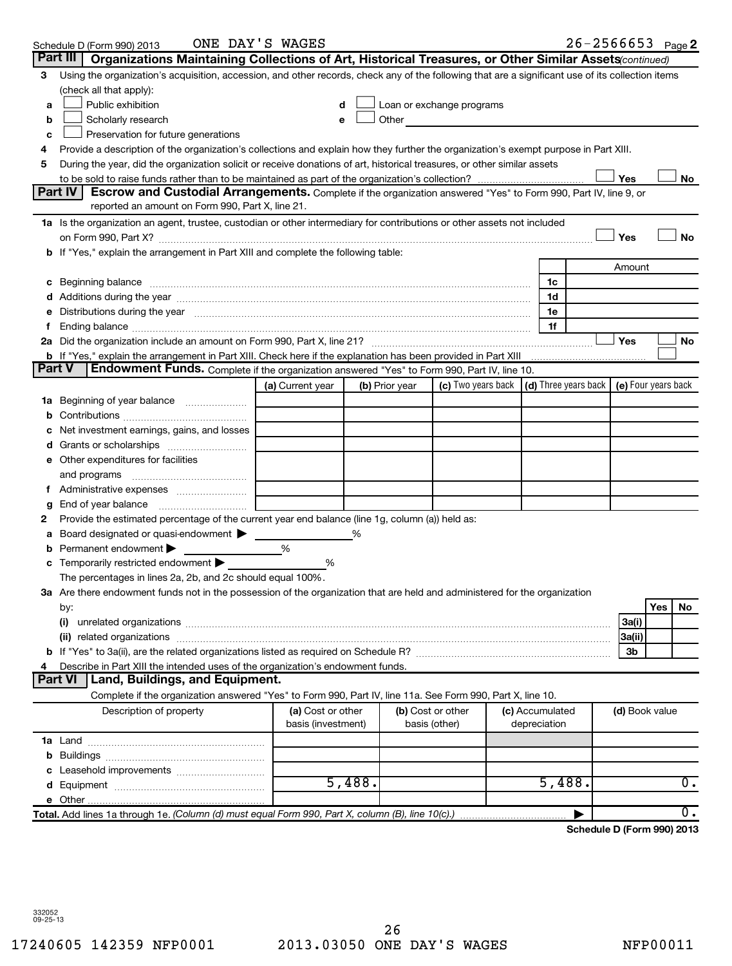|          | ONE DAY'S WAGES<br>Schedule D (Form 990) 2013                                                                                                                                                                                  |                                         |                |                                                                                                                                                                                                                                |                                 | $26 - 2566653$ Page 2      |                |     |                  |
|----------|--------------------------------------------------------------------------------------------------------------------------------------------------------------------------------------------------------------------------------|-----------------------------------------|----------------|--------------------------------------------------------------------------------------------------------------------------------------------------------------------------------------------------------------------------------|---------------------------------|----------------------------|----------------|-----|------------------|
| Part III | Organizations Maintaining Collections of Art, Historical Treasures, or Other Similar Assets (continued)                                                                                                                        |                                         |                |                                                                                                                                                                                                                                |                                 |                            |                |     |                  |
| 3        | Using the organization's acquisition, accession, and other records, check any of the following that are a significant use of its collection items                                                                              |                                         |                |                                                                                                                                                                                                                                |                                 |                            |                |     |                  |
|          | (check all that apply):                                                                                                                                                                                                        |                                         |                |                                                                                                                                                                                                                                |                                 |                            |                |     |                  |
| а        | Public exhibition                                                                                                                                                                                                              |                                         |                | Loan or exchange programs                                                                                                                                                                                                      |                                 |                            |                |     |                  |
| b        | Scholarly research                                                                                                                                                                                                             | e                                       |                | Other and the control of the control of the control of the control of the control of the control of the control of the control of the control of the control of the control of the control of the control of the control of th |                                 |                            |                |     |                  |
| c        | Preservation for future generations                                                                                                                                                                                            |                                         |                |                                                                                                                                                                                                                                |                                 |                            |                |     |                  |
| 4        | Provide a description of the organization's collections and explain how they further the organization's exempt purpose in Part XIII.                                                                                           |                                         |                |                                                                                                                                                                                                                                |                                 |                            |                |     |                  |
| 5        | During the year, did the organization solicit or receive donations of art, historical treasures, or other similar assets                                                                                                       |                                         |                |                                                                                                                                                                                                                                |                                 |                            |                |     |                  |
|          |                                                                                                                                                                                                                                |                                         |                |                                                                                                                                                                                                                                |                                 |                            | Yes            |     | No               |
|          | Part IV<br>Escrow and Custodial Arrangements. Complete if the organization answered "Yes" to Form 990, Part IV, line 9, or<br>reported an amount on Form 990, Part X, line 21.                                                 |                                         |                |                                                                                                                                                                                                                                |                                 |                            |                |     |                  |
|          | 1a Is the organization an agent, trustee, custodian or other intermediary for contributions or other assets not included                                                                                                       |                                         |                |                                                                                                                                                                                                                                |                                 |                            |                |     |                  |
|          |                                                                                                                                                                                                                                |                                         |                |                                                                                                                                                                                                                                |                                 |                            | Yes            |     | No               |
|          | b If "Yes," explain the arrangement in Part XIII and complete the following table:                                                                                                                                             |                                         |                |                                                                                                                                                                                                                                |                                 |                            |                |     |                  |
|          |                                                                                                                                                                                                                                |                                         |                |                                                                                                                                                                                                                                |                                 |                            | Amount         |     |                  |
| c        | Beginning balance measurements and the contract of the contract of the contract of the contract of the contract of the contract of the contract of the contract of the contract of the contract of the contract of the contrac |                                         |                |                                                                                                                                                                                                                                | 1c                              |                            |                |     |                  |
|          |                                                                                                                                                                                                                                |                                         |                |                                                                                                                                                                                                                                | 1d                              |                            |                |     |                  |
|          | Distributions during the year manufactured and continuum and continuum and continuum and continuum and continuum                                                                                                               |                                         |                |                                                                                                                                                                                                                                | 1e                              |                            |                |     |                  |
|          |                                                                                                                                                                                                                                |                                         |                |                                                                                                                                                                                                                                | 1f                              |                            |                |     |                  |
|          |                                                                                                                                                                                                                                |                                         |                |                                                                                                                                                                                                                                |                                 |                            | Yes            |     | No               |
|          | b If "Yes," explain the arrangement in Part XIII. Check here if the explanation has been provided in Part XIII                                                                                                                 |                                         |                |                                                                                                                                                                                                                                |                                 |                            |                |     |                  |
| Part V   | Endowment Funds. Complete if the organization answered "Yes" to Form 990, Part IV, line 10.                                                                                                                                    |                                         |                |                                                                                                                                                                                                                                |                                 |                            |                |     |                  |
|          |                                                                                                                                                                                                                                | (a) Current year                        | (b) Prior year | (c) Two years back $\vert$ (d) Three years back $\vert$ (e) Four years back                                                                                                                                                    |                                 |                            |                |     |                  |
| 1a       | Beginning of year balance                                                                                                                                                                                                      |                                         |                |                                                                                                                                                                                                                                |                                 |                            |                |     |                  |
|          |                                                                                                                                                                                                                                |                                         |                |                                                                                                                                                                                                                                |                                 |                            |                |     |                  |
|          | Net investment earnings, gains, and losses                                                                                                                                                                                     |                                         |                |                                                                                                                                                                                                                                |                                 |                            |                |     |                  |
|          |                                                                                                                                                                                                                                |                                         |                |                                                                                                                                                                                                                                |                                 |                            |                |     |                  |
| е        | Other expenditures for facilities                                                                                                                                                                                              |                                         |                |                                                                                                                                                                                                                                |                                 |                            |                |     |                  |
|          | and programs                                                                                                                                                                                                                   |                                         |                |                                                                                                                                                                                                                                |                                 |                            |                |     |                  |
|          |                                                                                                                                                                                                                                |                                         |                |                                                                                                                                                                                                                                |                                 |                            |                |     |                  |
| g        | End of year balance                                                                                                                                                                                                            |                                         |                |                                                                                                                                                                                                                                |                                 |                            |                |     |                  |
| 2        | Provide the estimated percentage of the current year end balance (line 1g, column (a)) held as:                                                                                                                                |                                         |                |                                                                                                                                                                                                                                |                                 |                            |                |     |                  |
| а        | Board designated or quasi-endowment >                                                                                                                                                                                          |                                         |                |                                                                                                                                                                                                                                |                                 |                            |                |     |                  |
|          | Permanent endowment                                                                                                                                                                                                            | %                                       |                |                                                                                                                                                                                                                                |                                 |                            |                |     |                  |
|          | Temporarily restricted endowment                                                                                                                                                                                               | %                                       |                |                                                                                                                                                                                                                                |                                 |                            |                |     |                  |
|          | The percentages in lines 2a, 2b, and 2c should equal 100%.                                                                                                                                                                     |                                         |                |                                                                                                                                                                                                                                |                                 |                            |                |     |                  |
|          | 3a Are there endowment funds not in the possession of the organization that are held and administered for the organization                                                                                                     |                                         |                |                                                                                                                                                                                                                                |                                 |                            |                |     |                  |
|          | by:                                                                                                                                                                                                                            |                                         |                |                                                                                                                                                                                                                                |                                 |                            |                | Yes | No               |
|          | (i)                                                                                                                                                                                                                            |                                         |                |                                                                                                                                                                                                                                |                                 |                            | 3a(i)          |     |                  |
|          |                                                                                                                                                                                                                                |                                         |                |                                                                                                                                                                                                                                |                                 |                            | 3a(ii)         |     |                  |
|          |                                                                                                                                                                                                                                |                                         |                |                                                                                                                                                                                                                                |                                 |                            | 3b             |     |                  |
|          | Describe in Part XIII the intended uses of the organization's endowment funds.<br><b>Part VI</b><br>Land, Buildings, and Equipment.                                                                                            |                                         |                |                                                                                                                                                                                                                                |                                 |                            |                |     |                  |
|          |                                                                                                                                                                                                                                |                                         |                |                                                                                                                                                                                                                                |                                 |                            |                |     |                  |
|          | Complete if the organization answered "Yes" to Form 990, Part IV, line 11a. See Form 990, Part X, line 10.                                                                                                                     |                                         |                |                                                                                                                                                                                                                                |                                 |                            |                |     |                  |
|          | Description of property                                                                                                                                                                                                        | (a) Cost or other<br>basis (investment) |                | (b) Cost or other<br>basis (other)                                                                                                                                                                                             | (c) Accumulated<br>depreciation |                            | (d) Book value |     |                  |
|          |                                                                                                                                                                                                                                |                                         |                |                                                                                                                                                                                                                                |                                 |                            |                |     |                  |
|          |                                                                                                                                                                                                                                |                                         |                |                                                                                                                                                                                                                                |                                 |                            |                |     |                  |
|          |                                                                                                                                                                                                                                |                                         |                |                                                                                                                                                                                                                                |                                 |                            |                |     |                  |
|          |                                                                                                                                                                                                                                |                                         | 5,488.         |                                                                                                                                                                                                                                | 5,488.                          |                            |                |     | $\overline{0}$ . |
|          |                                                                                                                                                                                                                                |                                         |                |                                                                                                                                                                                                                                |                                 |                            |                |     |                  |
|          | Total. Add lines 1a through 1e. (Column (d) must equal Form 990, Part X, column (B), line 10(c).)                                                                                                                              |                                         |                |                                                                                                                                                                                                                                |                                 |                            |                |     | 0.               |
|          |                                                                                                                                                                                                                                |                                         |                |                                                                                                                                                                                                                                |                                 | Schedule D (Form 990) 2013 |                |     |                  |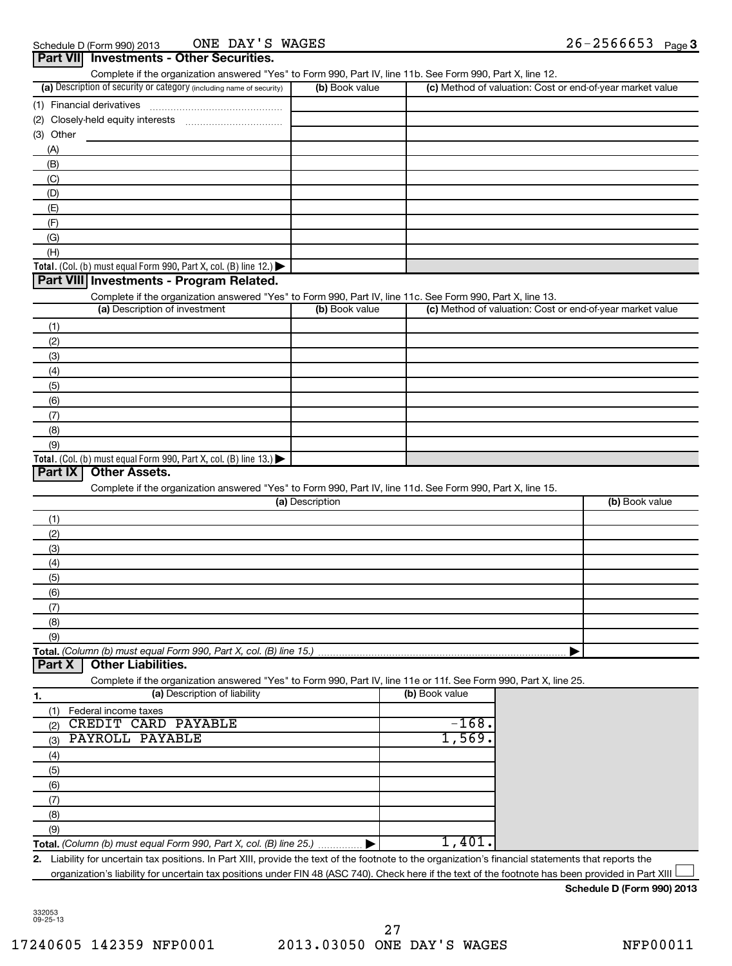|                                                                                                                             |                 | Complete if the organization answered "Yes" to Form 990, Part IV, line 11b. See Form 990, Part X, line 12. |                                                           |                                                           |
|-----------------------------------------------------------------------------------------------------------------------------|-----------------|------------------------------------------------------------------------------------------------------------|-----------------------------------------------------------|-----------------------------------------------------------|
| (a) Description of security or category (including name of security)                                                        | (b) Book value  |                                                                                                            |                                                           | (c) Method of valuation: Cost or end-of-year market value |
|                                                                                                                             |                 |                                                                                                            |                                                           |                                                           |
|                                                                                                                             |                 |                                                                                                            |                                                           |                                                           |
| $(3)$ Other                                                                                                                 |                 |                                                                                                            |                                                           |                                                           |
|                                                                                                                             |                 |                                                                                                            |                                                           |                                                           |
| (A)<br>(B)                                                                                                                  |                 |                                                                                                            |                                                           |                                                           |
|                                                                                                                             |                 |                                                                                                            |                                                           |                                                           |
| (C)                                                                                                                         |                 |                                                                                                            |                                                           |                                                           |
| (D)                                                                                                                         |                 |                                                                                                            |                                                           |                                                           |
| (E)                                                                                                                         |                 |                                                                                                            |                                                           |                                                           |
| (F)                                                                                                                         |                 |                                                                                                            |                                                           |                                                           |
| (G)                                                                                                                         |                 |                                                                                                            |                                                           |                                                           |
| (H)                                                                                                                         |                 |                                                                                                            |                                                           |                                                           |
| Total. (Col. (b) must equal Form 990, Part X, col. (B) line 12.) $\blacktriangleright$                                      |                 |                                                                                                            |                                                           |                                                           |
| Part VIII Investments - Program Related.                                                                                    |                 |                                                                                                            |                                                           |                                                           |
| Complete if the organization answered "Yes" to Form 990, Part IV, line 11c. See Form 990, Part X, line 13.                  |                 |                                                                                                            |                                                           |                                                           |
| (a) Description of investment                                                                                               | (b) Book value  |                                                                                                            | (c) Method of valuation: Cost or end-of-year market value |                                                           |
| (1)                                                                                                                         |                 |                                                                                                            |                                                           |                                                           |
| (2)                                                                                                                         |                 |                                                                                                            |                                                           |                                                           |
| (3)                                                                                                                         |                 |                                                                                                            |                                                           |                                                           |
| (4)                                                                                                                         |                 |                                                                                                            |                                                           |                                                           |
| (5)                                                                                                                         |                 |                                                                                                            |                                                           |                                                           |
|                                                                                                                             |                 |                                                                                                            |                                                           |                                                           |
| (6)                                                                                                                         |                 |                                                                                                            |                                                           |                                                           |
| (7)                                                                                                                         |                 |                                                                                                            |                                                           |                                                           |
| (8)                                                                                                                         |                 |                                                                                                            |                                                           |                                                           |
|                                                                                                                             |                 |                                                                                                            |                                                           |                                                           |
| <b>Other Assets.</b>                                                                                                        |                 |                                                                                                            |                                                           |                                                           |
| (9)<br>Complete if the organization answered "Yes" to Form 990, Part IV, line 11d. See Form 990, Part X, line 15.           | (a) Description |                                                                                                            |                                                           | (b) Book value                                            |
|                                                                                                                             |                 |                                                                                                            |                                                           |                                                           |
| (1)<br>(2)                                                                                                                  |                 |                                                                                                            |                                                           |                                                           |
| (3)                                                                                                                         |                 |                                                                                                            |                                                           |                                                           |
| Total. (Col. (b) must equal Form 990, Part X, col. (B) line 13.) $\blacktriangleright$<br>Part IX                           |                 |                                                                                                            |                                                           |                                                           |
| (4)                                                                                                                         |                 |                                                                                                            |                                                           |                                                           |
| (5)                                                                                                                         |                 |                                                                                                            |                                                           |                                                           |
| (6)                                                                                                                         |                 |                                                                                                            |                                                           |                                                           |
| (7)                                                                                                                         |                 |                                                                                                            |                                                           |                                                           |
| (8)                                                                                                                         |                 |                                                                                                            |                                                           |                                                           |
| (9)                                                                                                                         |                 |                                                                                                            |                                                           |                                                           |
| <b>Other Liabilities.</b>                                                                                                   |                 |                                                                                                            |                                                           |                                                           |
| Part X<br>Complete if the organization answered "Yes" to Form 990, Part IV, line 11e or 11f. See Form 990, Part X, line 25. |                 |                                                                                                            |                                                           |                                                           |
| (a) Description of liability                                                                                                |                 | (b) Book value                                                                                             |                                                           |                                                           |
| Federal income taxes<br>(1)                                                                                                 |                 |                                                                                                            |                                                           |                                                           |
| CREDIT CARD PAYABLE<br>(2)                                                                                                  |                 | $-168.$                                                                                                    |                                                           |                                                           |
| PAYROLL PAYABLE<br>(3)                                                                                                      |                 | 1,569.                                                                                                     |                                                           |                                                           |
|                                                                                                                             |                 |                                                                                                            |                                                           |                                                           |
|                                                                                                                             |                 |                                                                                                            |                                                           |                                                           |
| (4)<br>(5)                                                                                                                  |                 |                                                                                                            |                                                           |                                                           |
| (6)                                                                                                                         |                 |                                                                                                            |                                                           |                                                           |
| (7)                                                                                                                         |                 |                                                                                                            |                                                           |                                                           |
| (8)                                                                                                                         |                 |                                                                                                            |                                                           |                                                           |
| (9)<br>Total. (Column (b) must equal Form 990, Part X, col. (B) line 25.)                                                   |                 | 1,401.                                                                                                     |                                                           |                                                           |

|  | Schedule D (Form 990) 2013 |
|--|----------------------------|
|--|----------------------------|

332053 09-25-13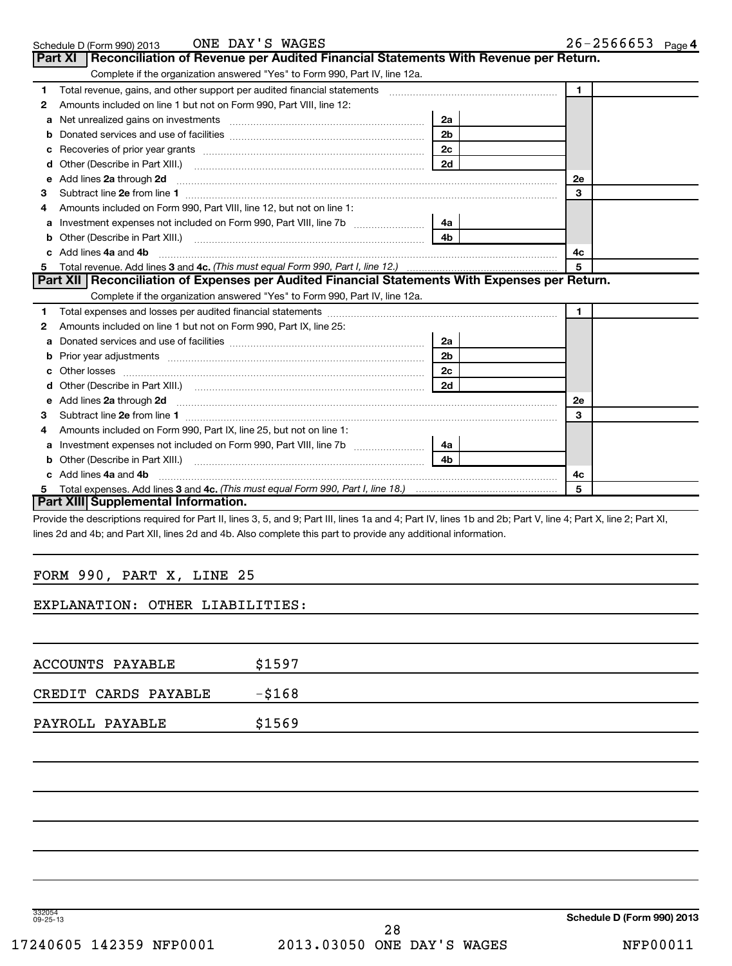|  | ONE<br>Schedule D (Form 990) 2013 | DAY'S<br>WAGES |  | 2566653<br>$26 -$ | Page 4 |
|--|-----------------------------------|----------------|--|-------------------|--------|
|--|-----------------------------------|----------------|--|-------------------|--------|

|              | Part XI | Reconciliation of Revenue per Audited Financial Statements With Revenue per Return.                                                                                                                                            |                |              |
|--------------|---------|--------------------------------------------------------------------------------------------------------------------------------------------------------------------------------------------------------------------------------|----------------|--------------|
|              |         | Complete if the organization answered "Yes" to Form 990, Part IV, line 12a.                                                                                                                                                    |                |              |
| 1            |         | Total revenue, gains, and other support per audited financial statements [11] [11] Total revenue, gains, and other support per audited financial statements                                                                    |                | $\mathbf{1}$ |
| $\mathbf{2}$ |         | Amounts included on line 1 but not on Form 990, Part VIII, line 12:                                                                                                                                                            |                |              |
|              |         |                                                                                                                                                                                                                                | 2a             |              |
| b            |         |                                                                                                                                                                                                                                | 2 <sub>b</sub> |              |
| с            |         |                                                                                                                                                                                                                                | 2c             |              |
| d            |         |                                                                                                                                                                                                                                | 2d             |              |
| е            |         | Add lines 2a through 2d                                                                                                                                                                                                        |                | 2e           |
| 3            |         |                                                                                                                                                                                                                                |                | 3            |
| 4            |         | Amounts included on Form 990, Part VIII, line 12, but not on line 1:                                                                                                                                                           |                |              |
| a            |         |                                                                                                                                                                                                                                |                |              |
|              |         |                                                                                                                                                                                                                                | 4 <sub>b</sub> |              |
|              |         | c Add lines 4a and 4b                                                                                                                                                                                                          |                | 4c           |
| 5            |         |                                                                                                                                                                                                                                |                | 5            |
|              |         | Part XII   Reconciliation of Expenses per Audited Financial Statements With Expenses per Return.                                                                                                                               |                |              |
|              |         | Complete if the organization answered "Yes" to Form 990, Part IV, line 12a.                                                                                                                                                    |                |              |
| 1            |         |                                                                                                                                                                                                                                |                | $\mathbf{1}$ |
| $\mathbf{2}$ |         | Amounts included on line 1 but not on Form 990, Part IX, line 25:                                                                                                                                                              |                |              |
| a            |         |                                                                                                                                                                                                                                | 2a             |              |
| b            |         |                                                                                                                                                                                                                                | 2 <sub>b</sub> |              |
|              |         | Other losses                                                                                                                                                                                                                   | 2c             |              |
| d            |         |                                                                                                                                                                                                                                | 2d             |              |
|              |         | e Add lines 2a through 2d                                                                                                                                                                                                      |                | 2e           |
| 3            |         |                                                                                                                                                                                                                                |                | 3            |
| 4            |         | Amounts included on Form 990, Part IX, line 25, but not on line 1:                                                                                                                                                             |                |              |
| а            |         | Investment expenses not included on Form 990, Part VIII, line 7b [ <i>[[[[[[[[[[[]]]</i> ]                                                                                                                                     | 4a l           |              |
| b            |         | Other (Describe in Part XIII.) [2001] [2012] [2012] [2012] [2013] [2013] [2013] [2013] [2014] [2014] [2014] [2014] [2014] [2014] [2014] [2014] [2014] [2014] [2014] [2014] [2014] [2014] [2014] [2014] [2014] [2014] [2014] [2 | 4 <sub>b</sub> |              |
|              |         | c Add lines 4a and 4b                                                                                                                                                                                                          |                | 4с           |
| 5.           |         |                                                                                                                                                                                                                                |                | 5            |
|              |         | Part XIII Supplemental Information.                                                                                                                                                                                            |                |              |

Provide the descriptions required for Part II, lines 3, 5, and 9; Part III, lines 1a and 4; Part IV, lines 1b and 2b; Part V, line 4; Part X, line 2; Part XI, lines 2d and 4b; and Part XII, lines 2d and 4b. Also complete this part to provide any additional information.

# FORM 990, PART X, LINE 25

# EXPLANATION: OTHER LIABILITIES:

| ACCOUNTS PAYABLE     | \$1597    |
|----------------------|-----------|
| CREDIT CARDS PAYABLE | $-$ \$168 |
| PAYROLL PAYABLE      | \$1569    |

332054 09-25-13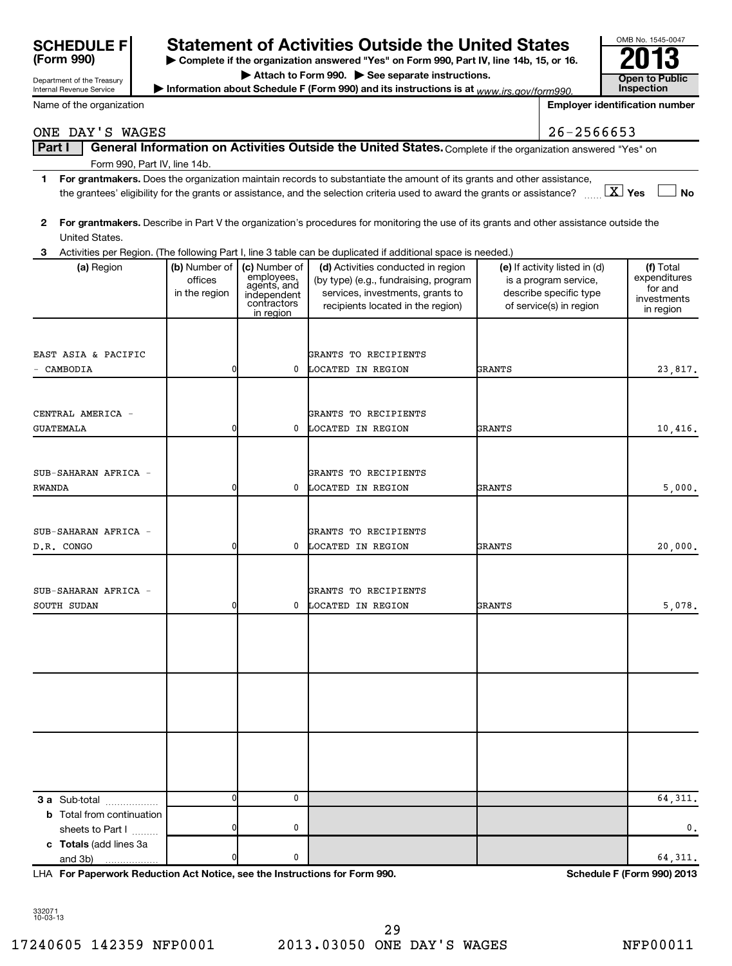| <b>SCHEDULE F</b><br>(Form 990)                        |                                           |                                                                                       | <b>Statement of Activities Outside the United States</b><br>> Complete if the organization answered "Yes" on Form 990, Part IV, line 14b, 15, or 16.                                                                                                 |               |                                                                                                             | OMB No. 1545-0047                                                |               |
|--------------------------------------------------------|-------------------------------------------|---------------------------------------------------------------------------------------|------------------------------------------------------------------------------------------------------------------------------------------------------------------------------------------------------------------------------------------------------|---------------|-------------------------------------------------------------------------------------------------------------|------------------------------------------------------------------|---------------|
| Department of the Treasury<br>Internal Revenue Service |                                           |                                                                                       | Attach to Form 990. See separate instructions.<br>Information about Schedule F (Form 990) and its instructions is at $_{WW\cdot lrs. qov/form990.}$                                                                                                  |               |                                                                                                             | Open to Public<br><b>Inspection</b>                              |               |
| Name of the organization                               |                                           |                                                                                       |                                                                                                                                                                                                                                                      |               |                                                                                                             | <b>Employer identification number</b>                            |               |
| ONE DAY'S WAGES                                        |                                           |                                                                                       |                                                                                                                                                                                                                                                      |               | 26-2566653                                                                                                  |                                                                  |               |
| Part I                                                 |                                           |                                                                                       | General Information on Activities Outside the United States. Complete if the organization answered "Yes" on                                                                                                                                          |               |                                                                                                             |                                                                  |               |
| Form 990, Part IV, line 14b.                           |                                           |                                                                                       |                                                                                                                                                                                                                                                      |               |                                                                                                             |                                                                  |               |
| 1.                                                     |                                           |                                                                                       | For grantmakers. Does the organization maintain records to substantiate the amount of its grants and other assistance,<br>the grantees' eligibility for the grants or assistance, and the selection criteria used to award the grants or assistance? |               |                                                                                                             | $\boxed{\text{X}}$ Yes<br><b>No</b>                              |               |
| $\mathbf{2}$<br>United States.                         |                                           |                                                                                       | For grantmakers. Describe in Part V the organization's procedures for monitoring the use of its grants and other assistance outside the                                                                                                              |               |                                                                                                             |                                                                  |               |
| 3                                                      |                                           |                                                                                       | Activities per Region. (The following Part I, line 3 table can be duplicated if additional space is needed.)                                                                                                                                         |               |                                                                                                             |                                                                  |               |
| (a) Region                                             | (b) Number of<br>offices<br>in the region | (c) Number of<br>employees,<br>agents, and<br>independent<br>contractors<br>in region | (d) Activities conducted in region<br>(by type) (e.g., fundraising, program<br>services, investments, grants to<br>recipients located in the region)                                                                                                 |               | (e) If activity listed in (d)<br>is a program service,<br>describe specific type<br>of service(s) in region | (f) Total<br>expenditures<br>for and<br>investments<br>in region |               |
| EAST ASIA & PACIFIC                                    |                                           |                                                                                       | GRANTS TO RECIPIENTS                                                                                                                                                                                                                                 |               |                                                                                                             |                                                                  |               |
| CAMBODIA                                               | 0                                         | 0                                                                                     | LOCATED IN REGION                                                                                                                                                                                                                                    | GRANTS        |                                                                                                             | 23,817.                                                          |               |
|                                                        |                                           |                                                                                       |                                                                                                                                                                                                                                                      |               |                                                                                                             |                                                                  |               |
| CENTRAL AMERICA -                                      |                                           |                                                                                       | GRANTS TO RECIPIENTS                                                                                                                                                                                                                                 |               |                                                                                                             |                                                                  |               |
| <b>GUATEMALA</b>                                       | 0                                         | $^{\circ}$                                                                            | LOCATED IN REGION                                                                                                                                                                                                                                    | <b>GRANTS</b> |                                                                                                             | 10,416.                                                          |               |
|                                                        |                                           |                                                                                       |                                                                                                                                                                                                                                                      |               |                                                                                                             |                                                                  |               |
| SUB-SAHARAN AFRICA -                                   |                                           |                                                                                       | GRANTS TO RECIPIENTS                                                                                                                                                                                                                                 |               |                                                                                                             |                                                                  |               |
| RWANDA                                                 | 0                                         | 0                                                                                     | LOCATED IN REGION                                                                                                                                                                                                                                    | <b>GRANTS</b> |                                                                                                             | 5,000.                                                           |               |
|                                                        |                                           |                                                                                       |                                                                                                                                                                                                                                                      |               |                                                                                                             |                                                                  |               |
| SUB-SAHARAN AFRICA -                                   |                                           |                                                                                       | GRANTS TO RECIPIENTS                                                                                                                                                                                                                                 |               |                                                                                                             |                                                                  |               |
| D.R. CONGO                                             | 0                                         | 0                                                                                     | LOCATED IN REGION                                                                                                                                                                                                                                    | GRANTS        |                                                                                                             | 20,000.                                                          |               |
|                                                        |                                           |                                                                                       |                                                                                                                                                                                                                                                      |               |                                                                                                             |                                                                  |               |
| SUB-SAHARAN AFRICA -                                   |                                           |                                                                                       | GRANTS TO RECIPIENTS                                                                                                                                                                                                                                 |               |                                                                                                             |                                                                  |               |
| SOUTH SUDAN                                            | 0                                         | 0                                                                                     | LOCATED IN REGION                                                                                                                                                                                                                                    | <b>GRANTS</b> |                                                                                                             | 5,078.                                                           |               |
|                                                        |                                           |                                                                                       |                                                                                                                                                                                                                                                      |               |                                                                                                             |                                                                  |               |
|                                                        |                                           |                                                                                       |                                                                                                                                                                                                                                                      |               |                                                                                                             |                                                                  |               |
|                                                        |                                           |                                                                                       |                                                                                                                                                                                                                                                      |               |                                                                                                             |                                                                  |               |
|                                                        |                                           |                                                                                       |                                                                                                                                                                                                                                                      |               |                                                                                                             |                                                                  |               |
|                                                        |                                           |                                                                                       |                                                                                                                                                                                                                                                      |               |                                                                                                             |                                                                  |               |
| 3 a Sub-total                                          | $\mathbf{0}$                              | $\mathbf 0$                                                                           |                                                                                                                                                                                                                                                      |               |                                                                                                             | 64, 311.                                                         |               |
| <b>b</b> Total from continuation<br>sheets to Part I   | $\Omega$                                  | 0                                                                                     |                                                                                                                                                                                                                                                      |               |                                                                                                             |                                                                  | $\mathbf 0$ . |
| c Totals (add lines 3a<br>and 3b)<br>.                 | 0                                         | 0                                                                                     |                                                                                                                                                                                                                                                      |               |                                                                                                             | 64, 311.                                                         |               |

**For Paperwork Reduction Act Notice, see the Instructions for Form 990. Schedule F (Form 990) 2013** LHA

332071 10-03-13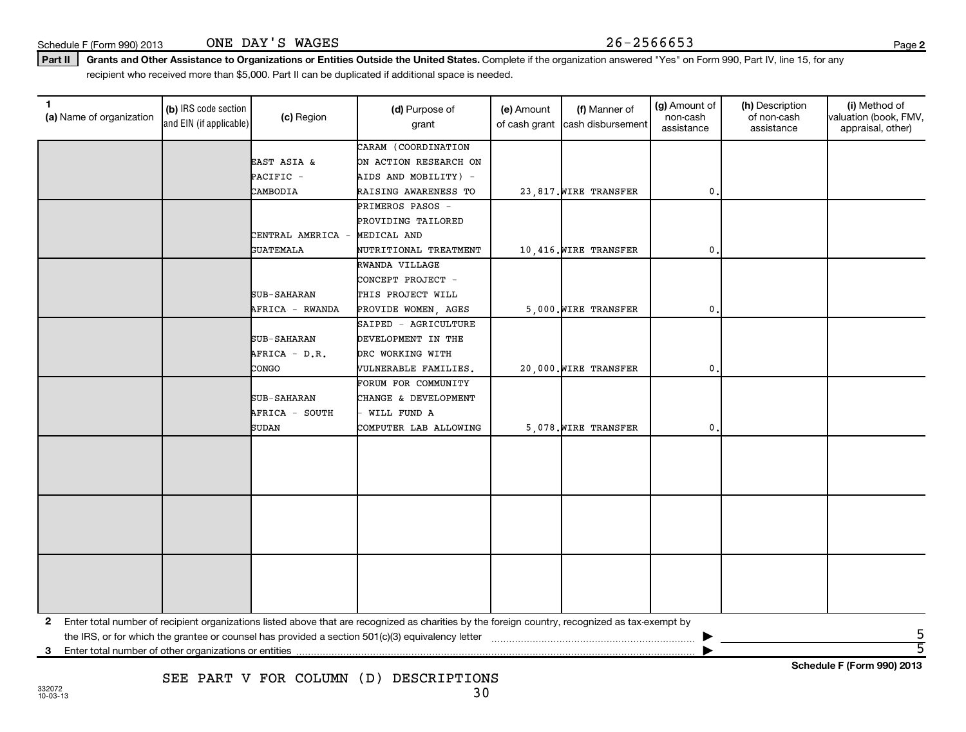Schedule F (Form 990) 2013  $\qquad \qquad \text{ONE } \text{DAY } 'S \text{ WAGES}$  26 - 2566653 ONE DAY'S WAGES

**2**

**Schedule F (Form 990) 2013**

Part II | Grants and Other Assistance to Organizations or Entities Outside the United States. Complete if the organization answered "Yes" on Form 990, Part IV, line 15, for any recipient who received more than \$5,000. Part II can be duplicated if additional space is needed.

| 1<br>(a) Name of organization                              | (b) IRS code section<br>and EIN (if applicable) | (c) Region         | (d) Purpose of<br>grant                                                                                                                         | (e) Amount<br>of cash grant | (f) Manner of<br>cash disbursement | (g) Amount of<br>non-cash | (h) Description<br>of non-cash | (i) Method of<br>valuation (book, FMV, |
|------------------------------------------------------------|-------------------------------------------------|--------------------|-------------------------------------------------------------------------------------------------------------------------------------------------|-----------------------------|------------------------------------|---------------------------|--------------------------------|----------------------------------------|
|                                                            |                                                 |                    |                                                                                                                                                 |                             |                                    | assistance                | assistance                     | appraisal, other)                      |
|                                                            |                                                 |                    | CARAM (COORDINATION                                                                                                                             |                             |                                    |                           |                                |                                        |
|                                                            |                                                 | EAST ASIA &        | ON ACTION RESEARCH ON                                                                                                                           |                             |                                    |                           |                                |                                        |
|                                                            |                                                 | PACIFIC -          | AIDS AND MOBILITY) -                                                                                                                            |                             |                                    |                           |                                |                                        |
|                                                            |                                                 | CAMBODIA           | RAISING AWARENESS TO                                                                                                                            |                             | 23,817. WIRE TRANSFER              | 0.                        |                                |                                        |
|                                                            |                                                 |                    | PRIMEROS PASOS -                                                                                                                                |                             |                                    |                           |                                |                                        |
|                                                            |                                                 |                    | PROVIDING TAILORED                                                                                                                              |                             |                                    |                           |                                |                                        |
|                                                            |                                                 | CENTRAL AMERICA -  | MEDICAL AND                                                                                                                                     |                             |                                    |                           |                                |                                        |
|                                                            |                                                 | <b>GUATEMALA</b>   | NUTRITIONAL TREATMENT                                                                                                                           |                             | 10,416. WIRE TRANSFER              | $\mathbf 0$               |                                |                                        |
|                                                            |                                                 |                    | RWANDA VILLAGE                                                                                                                                  |                             |                                    |                           |                                |                                        |
|                                                            |                                                 |                    | CONCEPT PROJECT -                                                                                                                               |                             |                                    |                           |                                |                                        |
|                                                            |                                                 | <b>SUB-SAHARAN</b> | THIS PROJECT WILL                                                                                                                               |                             |                                    |                           |                                |                                        |
|                                                            |                                                 | AFRICA - RWANDA    | PROVIDE WOMEN, AGES                                                                                                                             |                             | 5,000. WIRE TRANSFER               | 0.                        |                                |                                        |
|                                                            |                                                 |                    | SAIPED - AGRICULTURE                                                                                                                            |                             |                                    |                           |                                |                                        |
|                                                            |                                                 | SUB-SAHARAN        | DEVELOPMENT IN THE                                                                                                                              |                             |                                    |                           |                                |                                        |
|                                                            |                                                 | AFRICA - D.R.      | DRC WORKING WITH                                                                                                                                |                             |                                    |                           |                                |                                        |
|                                                            |                                                 | CONGO              | VULNERABLE FAMILIES.                                                                                                                            |                             | 20,000. WIRE TRANSFER              | $\mathbf{0}$              |                                |                                        |
|                                                            |                                                 |                    | FORUM FOR COMMUNITY                                                                                                                             |                             |                                    |                           |                                |                                        |
|                                                            |                                                 | <b>SUB-SAHARAN</b> | CHANGE & DEVELOPMENT                                                                                                                            |                             |                                    |                           |                                |                                        |
|                                                            |                                                 | AFRICA - SOUTH     | WILL FUND A                                                                                                                                     |                             |                                    |                           |                                |                                        |
|                                                            |                                                 | <b>SUDAN</b>       | COMPUTER LAB ALLOWING                                                                                                                           |                             | 5,078. WIRE TRANSFER               | 0.                        |                                |                                        |
|                                                            |                                                 |                    |                                                                                                                                                 |                             |                                    |                           |                                |                                        |
|                                                            |                                                 |                    |                                                                                                                                                 |                             |                                    |                           |                                |                                        |
|                                                            |                                                 |                    |                                                                                                                                                 |                             |                                    |                           |                                |                                        |
|                                                            |                                                 |                    |                                                                                                                                                 |                             |                                    |                           |                                |                                        |
|                                                            |                                                 |                    |                                                                                                                                                 |                             |                                    |                           |                                |                                        |
|                                                            |                                                 |                    |                                                                                                                                                 |                             |                                    |                           |                                |                                        |
|                                                            |                                                 |                    |                                                                                                                                                 |                             |                                    |                           |                                |                                        |
|                                                            |                                                 |                    |                                                                                                                                                 |                             |                                    |                           |                                |                                        |
|                                                            |                                                 |                    |                                                                                                                                                 |                             |                                    |                           |                                |                                        |
|                                                            |                                                 |                    |                                                                                                                                                 |                             |                                    |                           |                                |                                        |
|                                                            |                                                 |                    |                                                                                                                                                 |                             |                                    |                           |                                |                                        |
|                                                            |                                                 |                    |                                                                                                                                                 |                             |                                    |                           |                                |                                        |
| 2                                                          |                                                 |                    | Enter total number of recipient organizations listed above that are recognized as charities by the foreign country, recognized as tax-exempt by |                             |                                    |                           |                                |                                        |
|                                                            |                                                 |                    |                                                                                                                                                 |                             |                                    |                           |                                |                                        |
| Enter total number of other organizations or entities<br>3 |                                                 |                    |                                                                                                                                                 |                             |                                    |                           |                                | $\overline{5}$                         |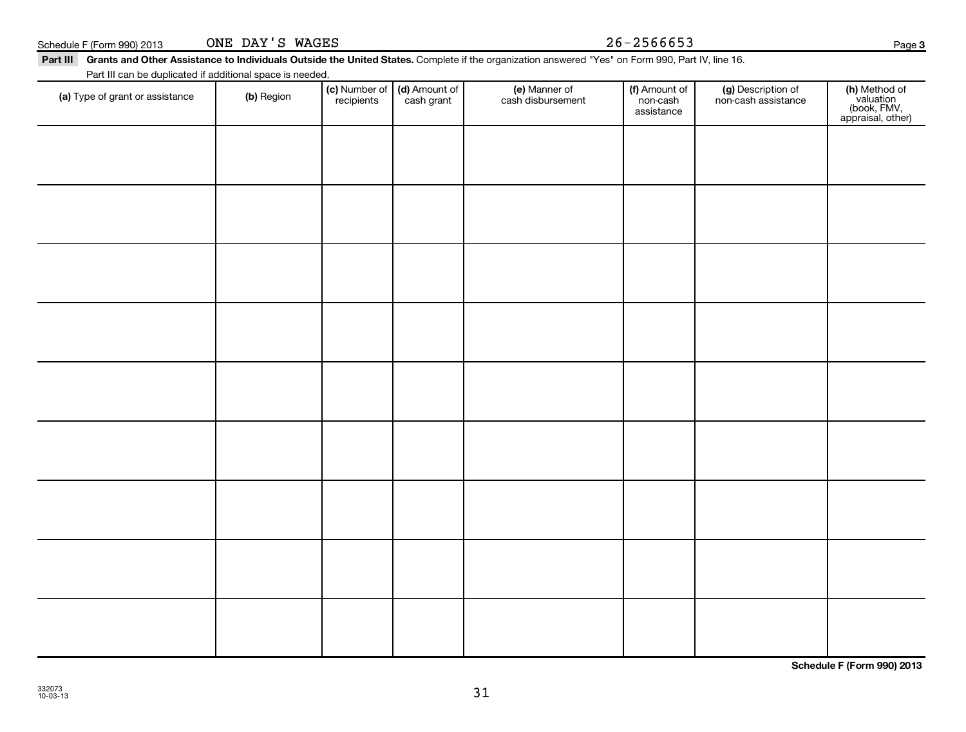31

Schedule F (Form 990) 2013  $\qquad \qquad \text{ONE } \text{DAY } 'S \text{ WAGES}$   $26-2566653$ ONE DAY'S WAGES

#### Part III Grants and Other Assistance to Individuals Outside the United States. Complete if the organization answered "Yes" on Form 990, Part IV, line 16.

(c) Number of **recipients** 

(a) Type of grant or assistance (b) Region (b) Region (c) Number of (d) Amount of (e) Manner of (f) Amount of (f)<br>Region (cash grant cash dishursement pop-cash non-cash assistance v

(e) Manner of cash disbursement

(d) Amount of cash grant

Part III can be duplicated if additional space is needed.

(g) Description of non-cash assistance

(f) Amount of non-cash assistance

**Schedule F (Form 990) 2013**

(**h)** Method of<br>valuation<br>(book, FMV,<br>appraisal, other)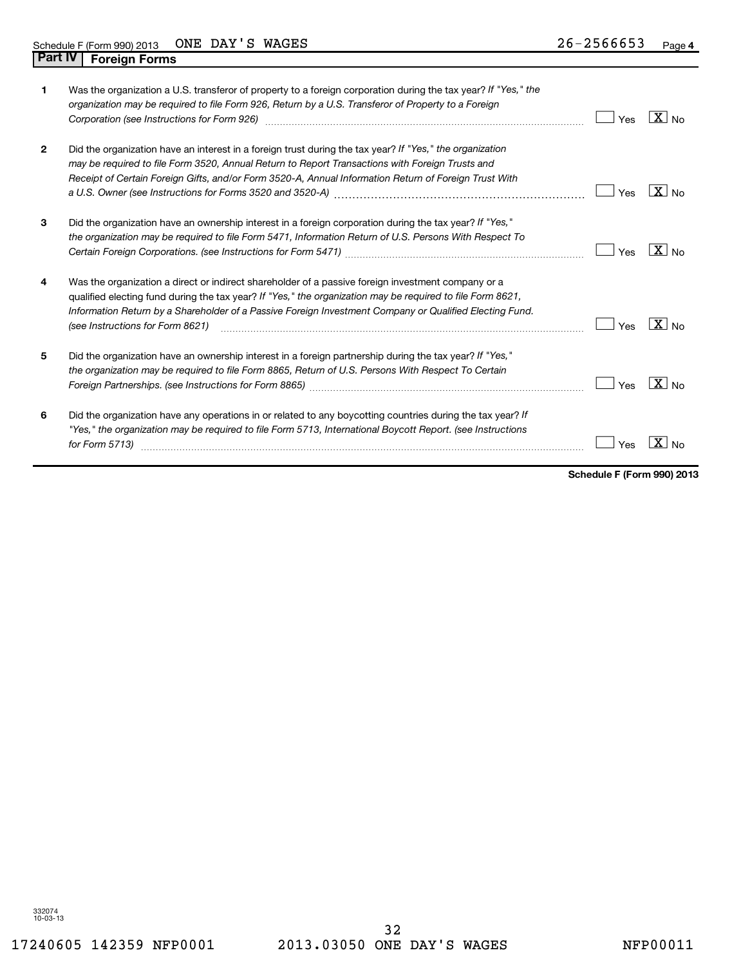| 1            | Was the organization a U.S. transferor of property to a foreign corporation during the tax year? If "Yes," the<br>organization may be required to file Form 926, Return by a U.S. Transferor of Property to a Foreign<br>Corporation (see Instructions for Form 926) [11] Corporation continuum contract of the Instruction (see Instructions for Form 926)     | Yes | $X _{N0}$                      |
|--------------|-----------------------------------------------------------------------------------------------------------------------------------------------------------------------------------------------------------------------------------------------------------------------------------------------------------------------------------------------------------------|-----|--------------------------------|
| $\mathbf{2}$ | Did the organization have an interest in a foreign trust during the tax year? If "Yes," the organization<br>may be required to file Form 3520, Annual Return to Report Transactions with Foreign Trusts and<br>Receipt of Certain Foreign Gifts, and/or Form 3520-A, Annual Information Return of Foreign Trust With                                            | Yes | $X _{N0}$                      |
| 3            | Did the organization have an ownership interest in a foreign corporation during the tax year? If "Yes,"<br>the organization may be required to file Form 5471, Information Return of U.S. Persons With Respect To                                                                                                                                               | Yes | $\sqrt{X}$ No                  |
| 4            | Was the organization a direct or indirect shareholder of a passive foreign investment company or a<br>qualified electing fund during the tax year? If "Yes," the organization may be required to file Form 8621,<br>Information Return by a Shareholder of a Passive Foreign Investment Company or Qualified Electing Fund.<br>(see Instructions for Form 8621) | Yes | $ X _{\sf No}$                 |
| 5            | Did the organization have an ownership interest in a foreign partnership during the tax year? If "Yes,"<br>the organization may be required to file Form 8865, Return of U.S. Persons With Respect To Certain                                                                                                                                                   | Yes | $\mathbf{X}$<br>N <sub>0</sub> |
| 6            | Did the organization have any operations in or related to any boycotting countries during the tax year? If<br>"Yes," the organization may be required to file Form 5713, International Boycott Report. (see Instructions<br>for Form 5713)                                                                                                                      | Yes | X                              |

**Schedule F (Form 990) 2013**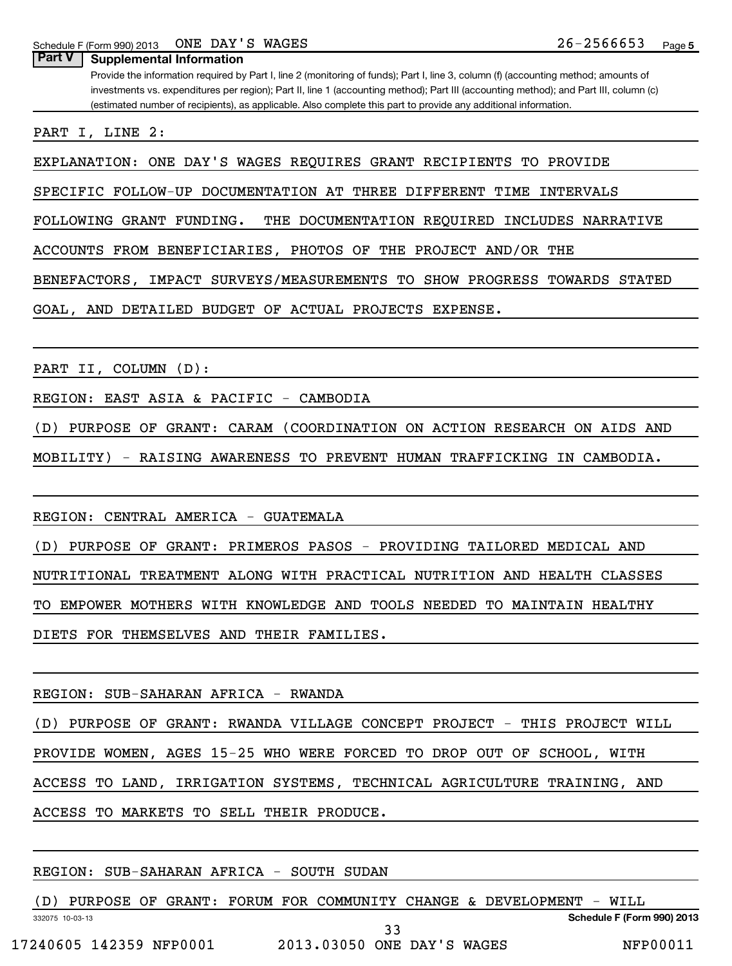**Part V** | Supplemental Information

Provide the information required by Part I, line 2 (monitoring of funds); Part I, line 3, column (f) (accounting method; amounts of investments vs. expenditures per region); Part II, line 1 (accounting method); Part III (accounting method); and Part III, column (c) (estimated number of recipients), as applicable. Also complete this part to provide any additional information.

PART I, LINE 2:

EXPLANATION: ONE DAY'S WAGES REQUIRES GRANT RECIPIENTS TO PROVIDE

SPECIFIC FOLLOW-UP DOCUMENTATION AT THREE DIFFERENT TIME INTERVALS

FOLLOWING GRANT FUNDING. THE DOCUMENTATION REQUIRED INCLUDES NARRATIVE

ACCOUNTS FROM BENEFICIARIES, PHOTOS OF THE PROJECT AND/OR THE

BENEFACTORS, IMPACT SURVEYS/MEASUREMENTS TO SHOW PROGRESS TOWARDS STATED

GOAL, AND DETAILED BUDGET OF ACTUAL PROJECTS EXPENSE.

PART II, COLUMN (D):

REGION: EAST ASIA & PACIFIC - CAMBODIA

(D) PURPOSE OF GRANT: CARAM (COORDINATION ON ACTION RESEARCH ON AIDS AND

MOBILITY) - RAISING AWARENESS TO PREVENT HUMAN TRAFFICKING IN CAMBODIA.

REGION: CENTRAL AMERICA - GUATEMALA

(D) PURPOSE OF GRANT: PRIMEROS PASOS - PROVIDING TAILORED MEDICAL AND

NUTRITIONAL TREATMENT ALONG WITH PRACTICAL NUTRITION AND HEALTH CLASSES

TO EMPOWER MOTHERS WITH KNOWLEDGE AND TOOLS NEEDED TO MAINTAIN HEALTHY

DIETS FOR THEMSELVES AND THEIR FAMILIES.

REGION: SUB-SAHARAN AFRICA - RWANDA

(D) PURPOSE OF GRANT: RWANDA VILLAGE CONCEPT PROJECT - THIS PROJECT WILL

PROVIDE WOMEN, AGES 15-25 WHO WERE FORCED TO DROP OUT OF SCHOOL, WITH

ACCESS TO LAND, IRRIGATION SYSTEMS, TECHNICAL AGRICULTURE TRAINING, AND

ACCESS TO MARKETS TO SELL THEIR PRODUCE.

# REGION: SUB-SAHARAN AFRICA - SOUTH SUDAN

(D) PURPOSE OF GRANT: FORUM FOR COMMUNITY CHANGE & DEVELOPMENT - WILL

332075 10-03-13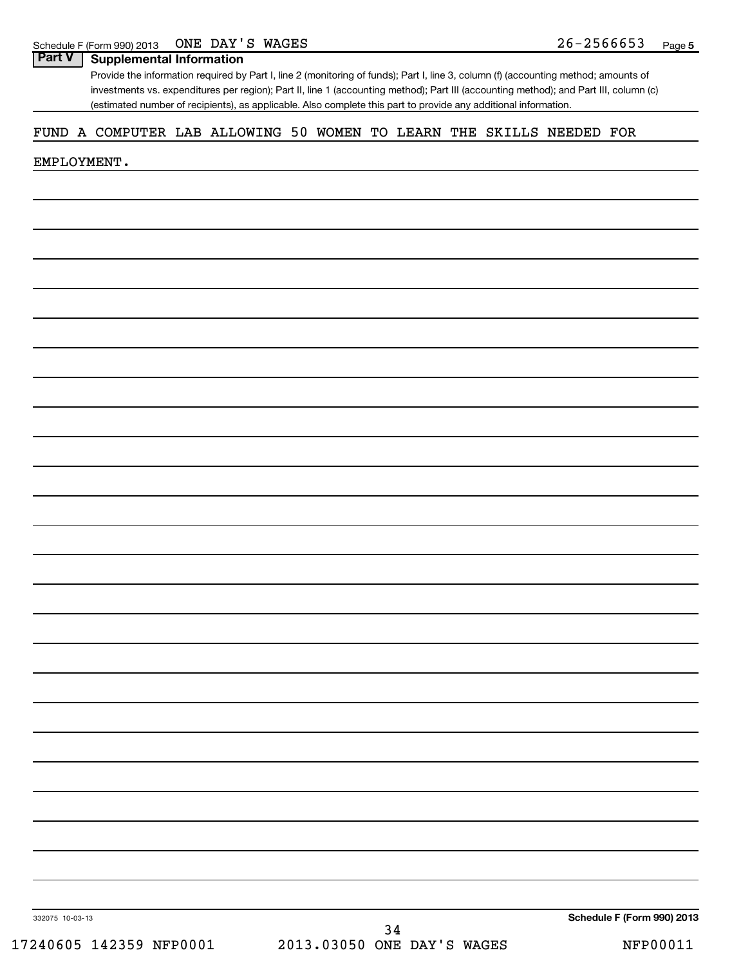# **Part V Supplemental Information**

Provide the information required by Part I, line 2 (monitoring of funds); Part I, line 3, column (f) (accounting method; amounts of investments vs. expenditures per region); Part II, line 1 (accounting method); Part III (accounting method); and Part III, column (c) (estimated number of recipients), as applicable. Also complete this part to provide any additional information.

# FUND A COMPUTER LAB ALLOWING 50 WOMEN TO LEARN THE SKILLS NEEDED FOR

### EMPLOYMENT.

332075 10-03-13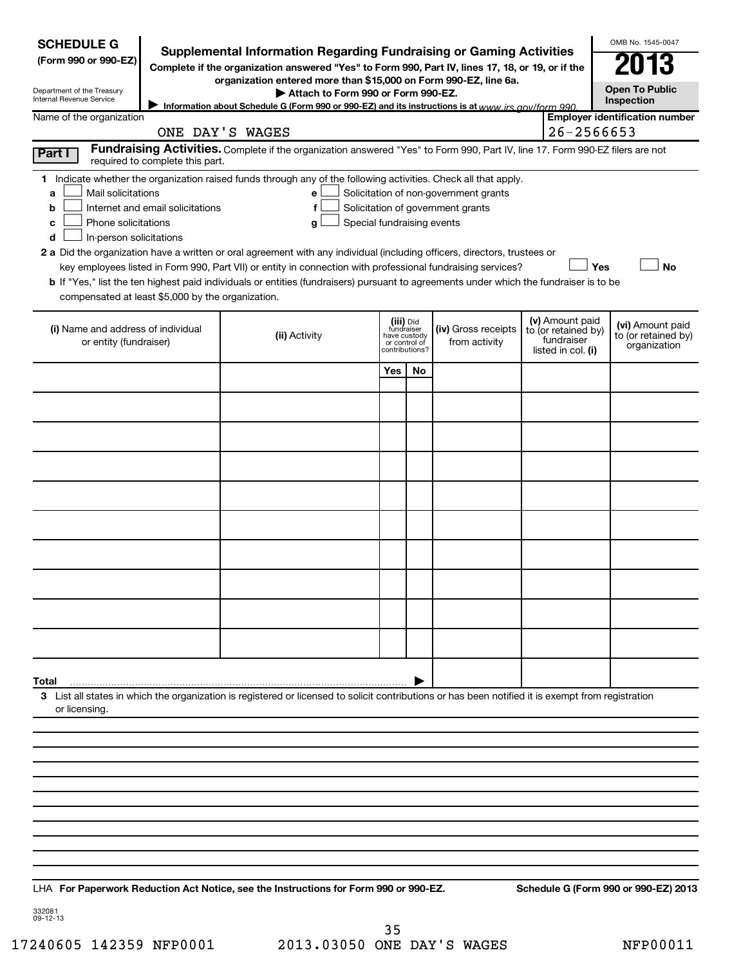| <b>SCHEDULE G</b><br>(Form 990 or 990-EZ)<br>Department of the Treasury<br>Internal Revenue Service<br>Name of the organization<br>Part I<br>Mail solicitations<br>a | required to complete this part.                                                       | <b>Supplemental Information Regarding Fundraising or Gaming Activities</b><br>Complete if the organization answered "Yes" to Form 990, Part IV, lines 17, 18, or 19, or if the<br>organization entered more than \$15,000 on Form 990-EZ, line 6a.<br>Attach to Form 990 or Form 990-EZ.<br>Information about Schedule G (Form 990 or 990-EZ) and its instructions is at www irs gov/form 990<br>ONE DAY'S WAGES<br>Fundraising Activities. Complete if the organization answered "Yes" to Form 990, Part IV, line 17. Form 990-EZ filers are not<br>1 Indicate whether the organization raised funds through any of the following activities. Check all that apply.<br>e |                               |                                           | Solicitation of non-government grants | 26-2566653                                                                 | OMB No. 1545-0047<br>N13<br><b>Open To Public</b><br>Inspection<br><b>Employer identification number</b> |
|----------------------------------------------------------------------------------------------------------------------------------------------------------------------|---------------------------------------------------------------------------------------|---------------------------------------------------------------------------------------------------------------------------------------------------------------------------------------------------------------------------------------------------------------------------------------------------------------------------------------------------------------------------------------------------------------------------------------------------------------------------------------------------------------------------------------------------------------------------------------------------------------------------------------------------------------------------|-------------------------------|-------------------------------------------|---------------------------------------|----------------------------------------------------------------------------|----------------------------------------------------------------------------------------------------------|
| b<br>Phone solicitations<br>с<br>In-person solicitations<br>d                                                                                                        | Internet and email solicitations<br>compensated at least \$5,000 by the organization. | f<br>Special fundraising events<br>g<br>2 a Did the organization have a written or oral agreement with any individual (including officers, directors, trustees or<br>key employees listed in Form 990, Part VII) or entity in connection with professional fundraising services?<br>b If "Yes," list the ten highest paid individuals or entities (fundraisers) pursuant to agreements under which the fundraiser is to be                                                                                                                                                                                                                                                |                               |                                           | Solicitation of government grants     | Yes                                                                        | <b>No</b>                                                                                                |
| (i) Name and address of individual<br>or entity (fundraiser)                                                                                                         |                                                                                       | (ii) Activity                                                                                                                                                                                                                                                                                                                                                                                                                                                                                                                                                                                                                                                             | have custody<br>or control of | (iii) Did<br>fundraiser<br>contributions? | (iv) Gross receipts<br>from activity  | (v) Amount paid<br>to (or retained by)<br>fundraiser<br>listed in col. (i) | (vi) Amount paid<br>to (or retained by)<br>organization                                                  |
|                                                                                                                                                                      |                                                                                       |                                                                                                                                                                                                                                                                                                                                                                                                                                                                                                                                                                                                                                                                           | Yes                           | No.                                       |                                       |                                                                            |                                                                                                          |
| Total<br>or licensing.                                                                                                                                               |                                                                                       | 3 List all states in which the organization is registered or licensed to solicit contributions or has been notified it is exempt from registration<br>LHA For Paperwork Reduction Act Notice, see the Instructions for Form 990 or 990-EZ.                                                                                                                                                                                                                                                                                                                                                                                                                                |                               |                                           |                                       |                                                                            | Schedule G (Form 990 or 990-EZ) 2013                                                                     |

332081 09-12-13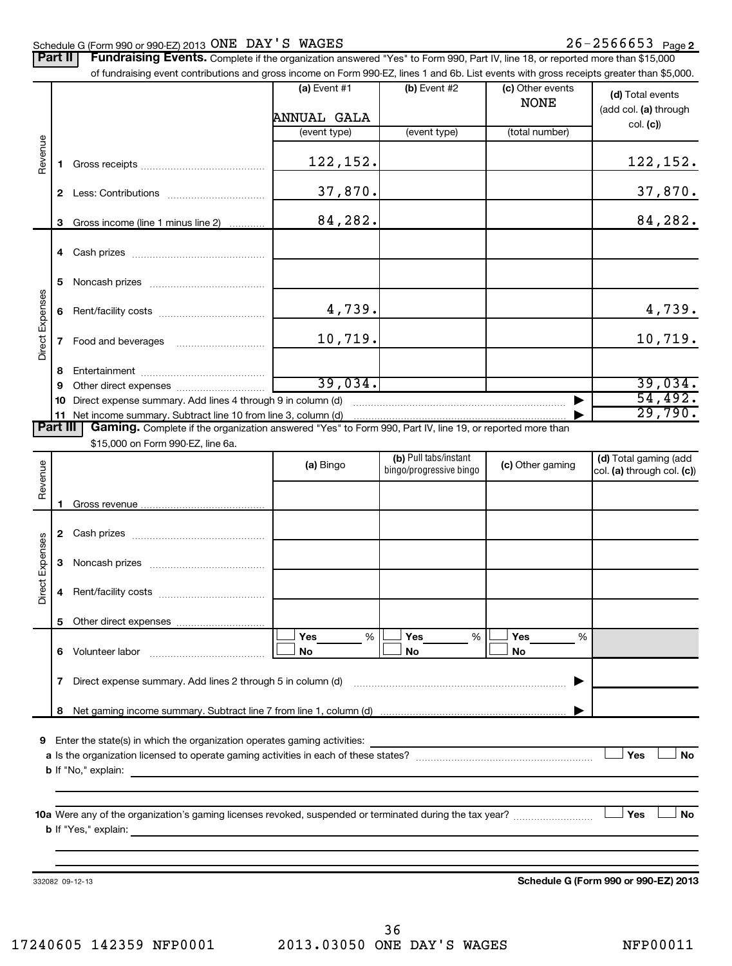# Schedule G (Form 990 or 990-EZ) 2013  $\overline{\text{ONE}}$   $\overline{\text{DAY}}$   $\overline{\text{S}}$   $\overline{\text{WAGES}}$   $\overline{\text{NE}}$   $\overline{\text{DES}}$   $\overline{\text{P}}$   $\overline{\text{Q6}}$   $\overline{\text{Q6}}$   $\overline{\text{Q6}}$   $\overline{\text{Q6}}$   $\overline{\text{Q6}}$   $\overline{\text{Q6}}$   $\overline{\text{Q7}}$   $\overline{\text{Q8}}$

|                 | Part II      | <b>Fundraising Events.</b> Complete if the organization answered "Yes" to Form 990, Part IV, line 18, or reported more than \$15,000<br>of fundraising event contributions and gross income on Form 990-EZ, lines 1 and 6b. List events with gross receipts greater than \$5,000.                                                                                                |                                    |                         |                                 |                                                       |
|-----------------|--------------|----------------------------------------------------------------------------------------------------------------------------------------------------------------------------------------------------------------------------------------------------------------------------------------------------------------------------------------------------------------------------------|------------------------------------|-------------------------|---------------------------------|-------------------------------------------------------|
|                 |              |                                                                                                                                                                                                                                                                                                                                                                                  | (a) Event #1<br><b>ANNUAL GALA</b> | (b) Event #2            | (c) Other events<br><b>NONE</b> | (d) Total events<br>(add col. (a) through<br>col. (c) |
|                 |              |                                                                                                                                                                                                                                                                                                                                                                                  | (event type)                       | (event type)            | (total number)                  |                                                       |
| Revenue         | 1            |                                                                                                                                                                                                                                                                                                                                                                                  | 122,152.                           |                         |                                 | 122,152.                                              |
|                 | 2            |                                                                                                                                                                                                                                                                                                                                                                                  | 37,870.                            |                         |                                 | 37,870.                                               |
|                 | 3            | Gross income (line 1 minus line 2)                                                                                                                                                                                                                                                                                                                                               | 84,282.                            |                         |                                 | 84,282.                                               |
|                 | 4            |                                                                                                                                                                                                                                                                                                                                                                                  |                                    |                         |                                 |                                                       |
|                 | 5            |                                                                                                                                                                                                                                                                                                                                                                                  |                                    |                         |                                 |                                                       |
| Direct Expenses | 6            |                                                                                                                                                                                                                                                                                                                                                                                  | 4,739.                             |                         |                                 | 4,739.                                                |
|                 | 7            |                                                                                                                                                                                                                                                                                                                                                                                  | 10,719.                            |                         |                                 | 10,719.                                               |
|                 | 8            |                                                                                                                                                                                                                                                                                                                                                                                  |                                    |                         |                                 |                                                       |
|                 | 9            |                                                                                                                                                                                                                                                                                                                                                                                  | 39,034.                            |                         |                                 | 39,034.                                               |
|                 | 10           | Direct expense summary. Add lines 4 through 9 in column (d)                                                                                                                                                                                                                                                                                                                      |                                    |                         |                                 | 54,492.                                               |
|                 | 11           | Net income summary. Subtract line 10 from line 3, column (d)                                                                                                                                                                                                                                                                                                                     |                                    |                         |                                 | 29,790.                                               |
| <b>Part III</b> |              | Gaming. Complete if the organization answered "Yes" to Form 990, Part IV, line 19, or reported more than                                                                                                                                                                                                                                                                         |                                    |                         |                                 |                                                       |
|                 |              | \$15,000 on Form 990-EZ, line 6a.                                                                                                                                                                                                                                                                                                                                                |                                    |                         |                                 |                                                       |
|                 |              |                                                                                                                                                                                                                                                                                                                                                                                  |                                    | (b) Pull tabs/instant   | (c) Other gaming                | (d) Total gaming (add                                 |
| Revenue         |              |                                                                                                                                                                                                                                                                                                                                                                                  | (a) Bingo                          | bingo/progressive bingo |                                 | col. (a) through col. (c))                            |
|                 |              |                                                                                                                                                                                                                                                                                                                                                                                  |                                    |                         |                                 |                                                       |
|                 | 1            |                                                                                                                                                                                                                                                                                                                                                                                  |                                    |                         |                                 |                                                       |
|                 | $\mathbf{2}$ |                                                                                                                                                                                                                                                                                                                                                                                  |                                    |                         |                                 |                                                       |
|                 | 3            |                                                                                                                                                                                                                                                                                                                                                                                  |                                    |                         |                                 |                                                       |
| Direct Expenses | 4            |                                                                                                                                                                                                                                                                                                                                                                                  |                                    |                         |                                 |                                                       |
|                 | 5            |                                                                                                                                                                                                                                                                                                                                                                                  |                                    |                         |                                 |                                                       |
|                 |              |                                                                                                                                                                                                                                                                                                                                                                                  | Yes<br>$\%$                        | Yes<br>%                | Yes<br>%                        |                                                       |
|                 | 6.           | Volunteer labor<br>$\mathcal{L} = \{1, 2, \ldots, 2, \ldots, 2, \ldots, 2, \ldots, 2, \ldots, 2, \ldots, 2, \ldots, 2, \ldots, 2, \ldots, 2, \ldots, 2, \ldots, 2, \ldots, 2, \ldots, 2, \ldots, 2, \ldots, 2, \ldots, 2, \ldots, 2, \ldots, 2, \ldots, 2, \ldots, 2, \ldots, 2, \ldots, 2, \ldots, 2, \ldots, 2, \ldots, 2, \ldots, 2, \ldots, 2, \ldots, 2, \ldots, 2, \ldots$ | No                                 | No                      | No                              |                                                       |
|                 |              | 7 Direct expense summary. Add lines 2 through 5 in column (d)                                                                                                                                                                                                                                                                                                                    |                                    |                         |                                 |                                                       |
|                 |              |                                                                                                                                                                                                                                                                                                                                                                                  |                                    |                         |                                 |                                                       |
|                 | 8            |                                                                                                                                                                                                                                                                                                                                                                                  |                                    |                         |                                 |                                                       |
|                 |              | Enter the state(s) in which the organization operates gaming activities:                                                                                                                                                                                                                                                                                                         |                                    |                         |                                 |                                                       |
|                 |              |                                                                                                                                                                                                                                                                                                                                                                                  |                                    |                         |                                 | Yes<br><b>No</b>                                      |
|                 |              | <b>b</b> If "No," explain:<br>and the control of the control of the control of the control of the control of the control of the control of the                                                                                                                                                                                                                                   |                                    |                         |                                 |                                                       |
|                 |              |                                                                                                                                                                                                                                                                                                                                                                                  |                                    |                         |                                 |                                                       |
|                 |              |                                                                                                                                                                                                                                                                                                                                                                                  |                                    |                         |                                 |                                                       |
|                 |              |                                                                                                                                                                                                                                                                                                                                                                                  |                                    |                         |                                 | Yes<br><b>No</b>                                      |
|                 |              |                                                                                                                                                                                                                                                                                                                                                                                  |                                    |                         |                                 |                                                       |
|                 |              |                                                                                                                                                                                                                                                                                                                                                                                  |                                    |                         |                                 |                                                       |
|                 |              |                                                                                                                                                                                                                                                                                                                                                                                  |                                    |                         |                                 |                                                       |

332082 09-12-13

**Schedule G (Form 990 or 990-EZ) 2013**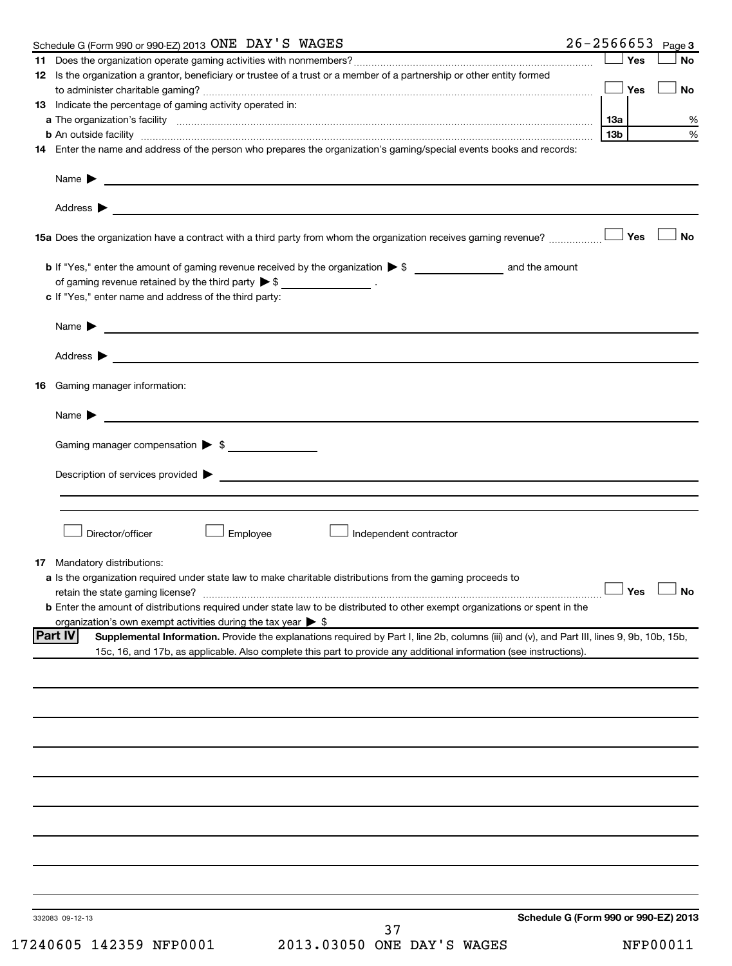| Schedule G (Form 990 or 990-EZ) 2013 ONE DAY'S WAGES                                                                                                                                                                                          |                 |     | $26 - 2566653$ Page 3 |
|-----------------------------------------------------------------------------------------------------------------------------------------------------------------------------------------------------------------------------------------------|-----------------|-----|-----------------------|
|                                                                                                                                                                                                                                               |                 | Yes | <b>No</b>             |
| 12 Is the organization a grantor, beneficiary or trustee of a trust or a member of a partnership or other entity formed                                                                                                                       |                 | Yes | <b>No</b>             |
| 13 Indicate the percentage of gaming activity operated in:                                                                                                                                                                                    |                 |     |                       |
| a The organization's facility www.communication.communications.com/international/                                                                                                                                                             | 13a             |     | %                     |
|                                                                                                                                                                                                                                               | 13 <sub>b</sub> |     | %                     |
| 14 Enter the name and address of the person who prepares the organization's gaming/special events books and records:                                                                                                                          |                 |     |                       |
|                                                                                                                                                                                                                                               |                 |     |                       |
|                                                                                                                                                                                                                                               |                 |     |                       |
|                                                                                                                                                                                                                                               |                 | Yes | No                    |
|                                                                                                                                                                                                                                               |                 |     |                       |
| of gaming revenue retained by the third party $\triangleright$ \$ _________________.<br>c If "Yes," enter name and address of the third party:                                                                                                |                 |     |                       |
| Name $\blacktriangleright$ $\lrcorner$                                                                                                                                                                                                        |                 |     |                       |
|                                                                                                                                                                                                                                               |                 |     |                       |
|                                                                                                                                                                                                                                               |                 |     |                       |
| 16 Gaming manager information:                                                                                                                                                                                                                |                 |     |                       |
|                                                                                                                                                                                                                                               |                 |     |                       |
| Gaming manager compensation > \$                                                                                                                                                                                                              |                 |     |                       |
| $Description of services provided \triangleright$                                                                                                                                                                                             |                 |     |                       |
|                                                                                                                                                                                                                                               |                 |     |                       |
|                                                                                                                                                                                                                                               |                 |     |                       |
| Director/officer<br>Employee<br>J Independent contractor                                                                                                                                                                                      |                 |     |                       |
| <b>17</b> Mandatory distributions:                                                                                                                                                                                                            |                 |     |                       |
| a Is the organization required under state law to make charitable distributions from the gaming proceeds to                                                                                                                                   |                 |     |                       |
| retain the state gaming license? <b>Construction and the state gaming license</b> ? No                                                                                                                                                        |                 |     |                       |
| <b>b</b> Enter the amount of distributions required under state law to be distributed to other exempt organizations or spent in the                                                                                                           |                 |     |                       |
| organization's own exempt activities during the tax year $\triangleright$ \$<br><b>Part IV</b><br>Supplemental Information. Provide the explanations required by Part I, line 2b, columns (iii) and (v), and Part III, lines 9, 9b, 10b, 15b, |                 |     |                       |
| 15c, 16, and 17b, as applicable. Also complete this part to provide any additional information (see instructions).                                                                                                                            |                 |     |                       |
|                                                                                                                                                                                                                                               |                 |     |                       |
|                                                                                                                                                                                                                                               |                 |     |                       |
|                                                                                                                                                                                                                                               |                 |     |                       |
|                                                                                                                                                                                                                                               |                 |     |                       |
|                                                                                                                                                                                                                                               |                 |     |                       |
|                                                                                                                                                                                                                                               |                 |     |                       |
|                                                                                                                                                                                                                                               |                 |     |                       |
|                                                                                                                                                                                                                                               |                 |     |                       |
|                                                                                                                                                                                                                                               |                 |     |                       |
| Schedule G (Form 990 or 990-EZ) 2013<br>332083 09-12-13                                                                                                                                                                                       |                 |     |                       |
| 37                                                                                                                                                                                                                                            |                 |     |                       |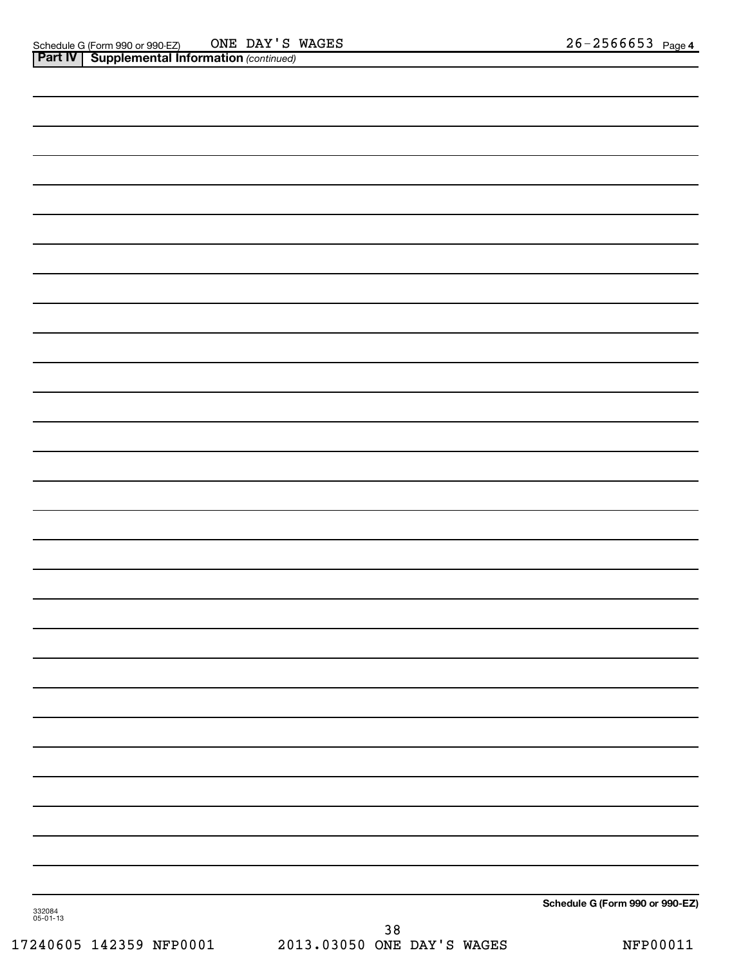|                    | <b>Part IV   Supplemental Information (continued)</b> |               |                                 |
|--------------------|-------------------------------------------------------|---------------|---------------------------------|
|                    |                                                       |               |                                 |
|                    |                                                       |               |                                 |
|                    |                                                       |               |                                 |
|                    |                                                       |               |                                 |
|                    |                                                       |               |                                 |
|                    |                                                       |               |                                 |
|                    |                                                       |               |                                 |
|                    |                                                       |               |                                 |
|                    |                                                       |               |                                 |
|                    |                                                       |               |                                 |
|                    |                                                       |               |                                 |
|                    |                                                       |               |                                 |
|                    |                                                       |               |                                 |
|                    |                                                       |               |                                 |
|                    |                                                       |               |                                 |
|                    |                                                       |               |                                 |
|                    |                                                       |               |                                 |
|                    |                                                       |               |                                 |
|                    |                                                       |               |                                 |
|                    |                                                       |               |                                 |
|                    |                                                       |               |                                 |
|                    |                                                       |               |                                 |
|                    |                                                       |               |                                 |
|                    |                                                       |               |                                 |
|                    |                                                       |               |                                 |
|                    |                                                       |               |                                 |
|                    |                                                       |               |                                 |
|                    |                                                       |               |                                 |
|                    |                                                       |               | Schedule G (Form 990 or 990-EZ) |
| 332084<br>05-01-13 |                                                       | $\sim$ $\sim$ |                                 |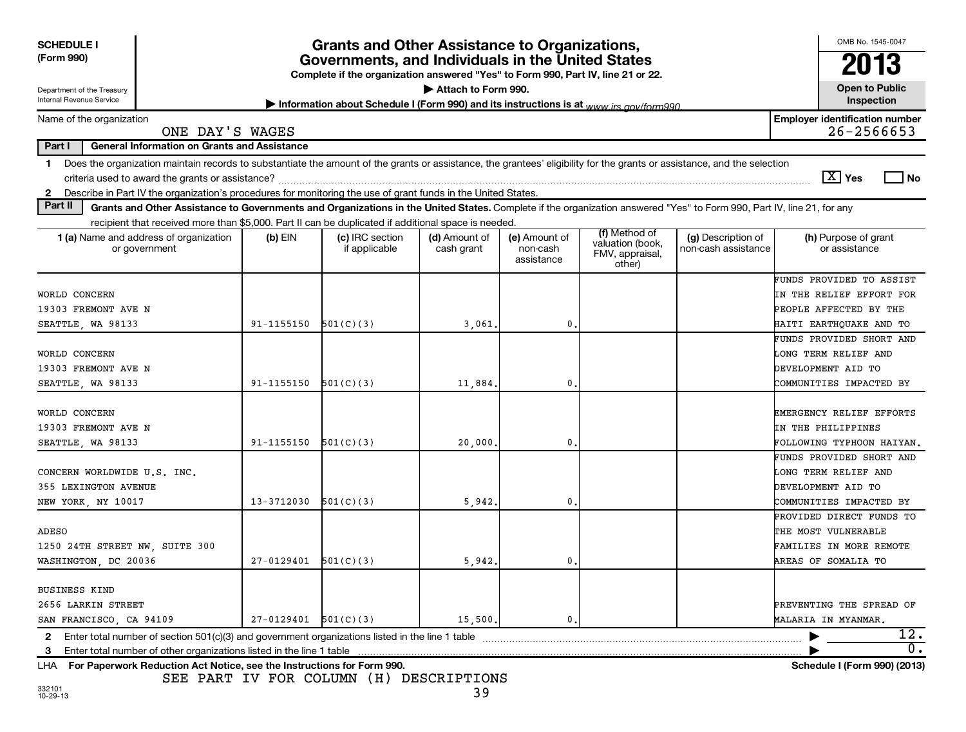| <b>SCHEDULE I</b><br>(Form 990)<br>Department of the Treasury                                                                                                                                                                                                                                                            |                          | Grants and Other Assistance to Organizations,<br>Governments, and Individuals in the United States<br>Complete if the organization answered "Yes" to Form 990, Part IV, line 21 or 22. | Attach to Form 990.         |                                         |                                                                |                                           | OMB No. 1545-0047<br>2013<br><b>Open to Public</b><br>Inspection            |  |  |
|--------------------------------------------------------------------------------------------------------------------------------------------------------------------------------------------------------------------------------------------------------------------------------------------------------------------------|--------------------------|----------------------------------------------------------------------------------------------------------------------------------------------------------------------------------------|-----------------------------|-----------------------------------------|----------------------------------------------------------------|-------------------------------------------|-----------------------------------------------------------------------------|--|--|
| Internal Revenue Service<br>Information about Schedule I (Form 990) and its instructions is at www irs gov/form990                                                                                                                                                                                                       |                          |                                                                                                                                                                                        |                             |                                         |                                                                |                                           |                                                                             |  |  |
| Name of the organization<br>ONE DAY'S WAGES                                                                                                                                                                                                                                                                              |                          |                                                                                                                                                                                        |                             |                                         |                                                                |                                           | <b>Employer identification number</b><br>$26 - 2566653$                     |  |  |
| <b>General Information on Grants and Assistance</b><br>Part I                                                                                                                                                                                                                                                            |                          |                                                                                                                                                                                        |                             |                                         |                                                                |                                           |                                                                             |  |  |
| Does the organization maintain records to substantiate the amount of the grants or assistance, the grantees' eligibility for the grants or assistance, and the selection<br>$\mathbf 1$<br>Describe in Part IV the organization's procedures for monitoring the use of grant funds in the United States.<br>$\mathbf{2}$ |                          |                                                                                                                                                                                        |                             |                                         |                                                                |                                           | $ \mathbf{X} $ Yes<br>l No                                                  |  |  |
| Part II<br>Grants and Other Assistance to Governments and Organizations in the United States. Complete if the organization answered "Yes" to Form 990, Part IV, line 21, for any                                                                                                                                         |                          |                                                                                                                                                                                        |                             |                                         |                                                                |                                           |                                                                             |  |  |
| recipient that received more than \$5,000. Part II can be duplicated if additional space is needed.                                                                                                                                                                                                                      |                          |                                                                                                                                                                                        |                             |                                         |                                                                |                                           |                                                                             |  |  |
| <b>1 (a)</b> Name and address of organization<br>or government                                                                                                                                                                                                                                                           | $(b)$ EIN                | (c) IRC section<br>if applicable                                                                                                                                                       | (d) Amount of<br>cash grant | (e) Amount of<br>non-cash<br>assistance | (f) Method of<br>valuation (book,<br>FMV, appraisal,<br>other) | (g) Description of<br>non-cash assistance | (h) Purpose of grant<br>or assistance                                       |  |  |
|                                                                                                                                                                                                                                                                                                                          |                          |                                                                                                                                                                                        |                             |                                         |                                                                |                                           | FUNDS PROVIDED TO ASSIST                                                    |  |  |
| WORLD CONCERN                                                                                                                                                                                                                                                                                                            |                          |                                                                                                                                                                                        |                             |                                         |                                                                |                                           | IN THE RELIEF EFFORT FOR                                                    |  |  |
| 19303 FREMONT AVE N                                                                                                                                                                                                                                                                                                      |                          |                                                                                                                                                                                        |                             |                                         |                                                                |                                           | PEOPLE AFFECTED BY THE                                                      |  |  |
| SEATTLE, WA 98133                                                                                                                                                                                                                                                                                                        | 91-1155150               | 501(C)(3)                                                                                                                                                                              | 3,061                       | 0                                       |                                                                |                                           | HAITI EARTHQUAKE AND TO                                                     |  |  |
|                                                                                                                                                                                                                                                                                                                          |                          |                                                                                                                                                                                        |                             |                                         |                                                                |                                           | FUNDS PROVIDED SHORT AND                                                    |  |  |
| WORLD CONCERN                                                                                                                                                                                                                                                                                                            |                          |                                                                                                                                                                                        |                             |                                         |                                                                |                                           | LONG TERM RELIEF AND                                                        |  |  |
| 19303 FREMONT AVE N                                                                                                                                                                                                                                                                                                      |                          |                                                                                                                                                                                        |                             |                                         |                                                                |                                           | DEVELOPMENT AID TO                                                          |  |  |
| SEATTLE, WA 98133                                                                                                                                                                                                                                                                                                        | $91 - 1155150$           | 501(C)(3)                                                                                                                                                                              | 11,884                      | $\mathbf{0}$                            |                                                                |                                           | COMMUNITIES IMPACTED BY                                                     |  |  |
| WORLD CONCERN<br>19303 FREMONT AVE N<br>SEATTLE, WA 98133                                                                                                                                                                                                                                                                | $91 - 1155150$           | 501(C)(3)                                                                                                                                                                              | 20,000                      | 0                                       |                                                                |                                           | EMERGENCY RELIEF EFFORTS<br>IN THE PHILIPPINES<br>FOLLOWING TYPHOON HAIYAN. |  |  |
| CONCERN WORLDWIDE U.S. INC.<br>355 LEXINGTON AVENUE                                                                                                                                                                                                                                                                      |                          |                                                                                                                                                                                        |                             |                                         |                                                                |                                           | FUNDS PROVIDED SHORT AND<br>LONG TERM RELIEF AND<br>DEVELOPMENT AID TO      |  |  |
| NEW YORK, NY 10017                                                                                                                                                                                                                                                                                                       | 13-3712030               | 501(C)(3)                                                                                                                                                                              | 5,942                       | $\mathbf{0}$                            |                                                                |                                           | COMMUNITIES IMPACTED BY<br>PROVIDED DIRECT FUNDS TO                         |  |  |
| <b>ADESO</b><br>1250 24TH STREET NW, SUITE 300                                                                                                                                                                                                                                                                           |                          |                                                                                                                                                                                        |                             |                                         |                                                                |                                           | THE MOST VULNERABLE<br>FAMILIES IN MORE REMOTE                              |  |  |
| WASHINGTON, DC 20036                                                                                                                                                                                                                                                                                                     | 27-0129401               | 501(C)(3)                                                                                                                                                                              | 5,942                       | $\mathbf{0}$                            |                                                                |                                           | <b>AREAS OF SOMALIA TO</b>                                                  |  |  |
| <b>BUSINESS KIND</b><br>2656 LARKIN STREET<br>SAN FRANCISCO, CA 94109                                                                                                                                                                                                                                                    | $27-0129401$ $501(C)(3)$ |                                                                                                                                                                                        | 15,500                      | $\mathbf{0}$ .                          |                                                                |                                           | PREVENTING THE SPREAD OF<br>MALARIA IN MYANMAR.                             |  |  |
| Enter total number of section $501(c)(3)$ and government organizations listed in the line 1 table<br>$\mathbf{2}$                                                                                                                                                                                                        |                          |                                                                                                                                                                                        |                             |                                         |                                                                |                                           | 12.                                                                         |  |  |
| Enter total number of other organizations listed in the line 1 table<br>3                                                                                                                                                                                                                                                |                          |                                                                                                                                                                                        |                             |                                         |                                                                |                                           | 0.                                                                          |  |  |
| For Paperwork Reduction Act Notice, see the Instructions for Form 990.<br>LHA                                                                                                                                                                                                                                            |                          |                                                                                                                                                                                        |                             |                                         |                                                                |                                           | Schedule I (Form 990) (2013)                                                |  |  |

SEE PART IV FOR COLUMN (H) DESCRIPTIONS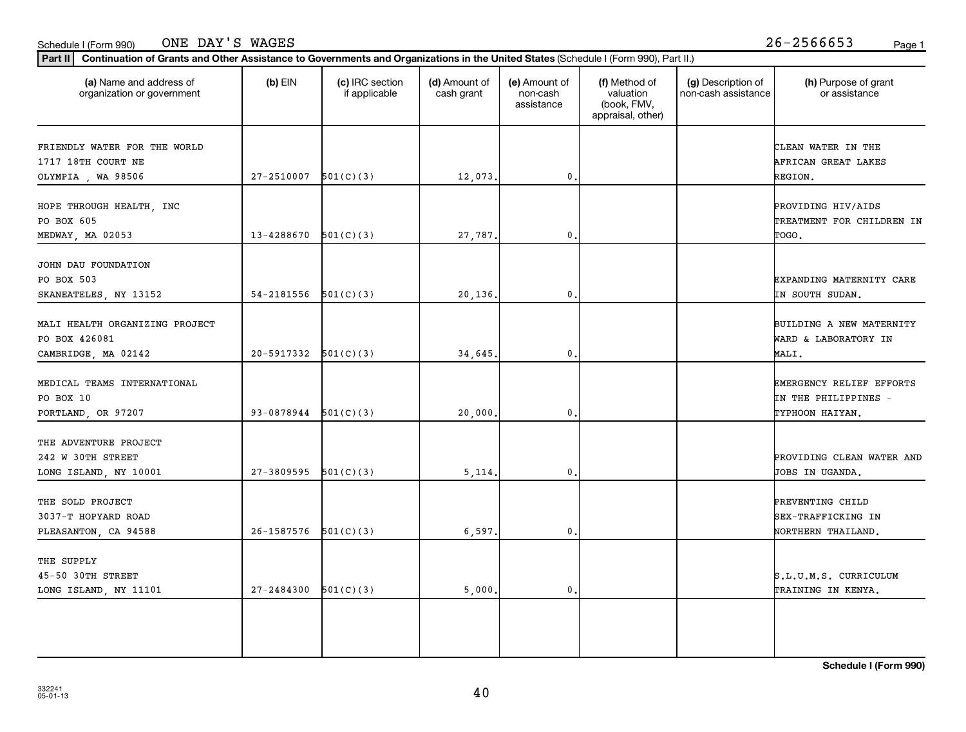THE SUPPLY

|                                |                          |           |         |    | appraisal, other) |                           |
|--------------------------------|--------------------------|-----------|---------|----|-------------------|---------------------------|
| FRIENDLY WATER FOR THE WORLD   |                          |           |         |    |                   | CLEAN WATER IN THE        |
| 1717 18TH COURT NE             |                          |           |         |    |                   | AFRICAN GREAT LAKES       |
| OLYMPIA, WA 98506              | 27-2510007               | 501(C)(3) | 12,073. | 0  |                   | REGION.                   |
| HOPE THROUGH HEALTH, INC       |                          |           |         |    |                   | PROVIDING HIV/AIDS        |
| PO BOX 605                     |                          |           |         |    |                   | TREATMENT FOR CHILDREN IN |
| MEDWAY, MA 02053               | 13-4288670               | 501(C)(3) | 27,787. | 0. |                   | TOGO.                     |
| JOHN DAU FOUNDATION            |                          |           |         |    |                   |                           |
| PO BOX 503                     |                          |           |         |    |                   | EXPANDING MATERNITY CARE  |
| SKANEATELES, NY 13152          | 54-2181556               | 501(C)(3) | 20,136. | 0  |                   | IN SOUTH SUDAN.           |
| MALI HEALTH ORGANIZING PROJECT |                          |           |         |    |                   | BUILDING A NEW MATERNITY  |
| PO BOX 426081                  |                          |           |         |    |                   | WARD & LABORATORY IN      |
| CAMBRIDGE, MA 02142            | $20-5917332$ $501(C)(3)$ |           | 34,645. | 0, |                   | MALI.                     |
| MEDICAL TEAMS INTERNATIONAL    |                          |           |         |    |                   | EMERGENCY RELIEF EFFORTS  |
| PO BOX 10                      |                          |           |         |    |                   | IN THE PHILIPPINES -      |
| PORTLAND, OR 97207             | $93-0878944$ $501(C)(3)$ |           | 20,000. | 0. |                   | TYPHOON HAIYAN.           |
| THE ADVENTURE PROJECT          |                          |           |         |    |                   |                           |
| 242 W 30TH STREET              |                          |           |         |    |                   | PROVIDING CLEAN WATER AND |
| LONG ISLAND, NY 10001          | 27-3809595               | 501(C)(3) | 5,114.  | 0  |                   | JOBS IN UGANDA.           |
| THE SOLD PROJECT               |                          |           |         |    |                   | PREVENTING CHILD          |

**(a) (b) (c) (d) (e) (f) (g) (h)** Name and address of

(d) Amount of cash grant

(e) Amount of non-cash assistance

(f) Method of valuation (book, FMV,

(g) Description of non-cash assistance

# Schedule I (Form 990) ONE DAY'S WAGES 26-2566653 <sub>Page 1</sub>

organization or government

**Part II Continuation of Grants and Other Assistance to Governments and Organizations in the United States**  (Schedule I (Form 990), Part II.)

if applicable

 $(b)$  EIN  $(c)$  IRC section

(h) Purpose of grant or assistance

**Schedule I (Form 990)**

3037-T HOPYARD ROAD SEX-TRAFFICKING IN SAN SEX-TRAFFICKING IN SEX-TRAFFICKING IN SEX-TRAFFICKING IN PLEASANTON, CA 94588 26-1587576 501(C)(3) (6,597. 0. O. NORTHERN THAILAND.

45-50 30TH STREET S.L.U.M.S. CURRICULUM LONG ISLAND, NY 11101 | 27-2484300 501(C)(3) | 5,000. 0. 0. | TRAINING IN KENYA.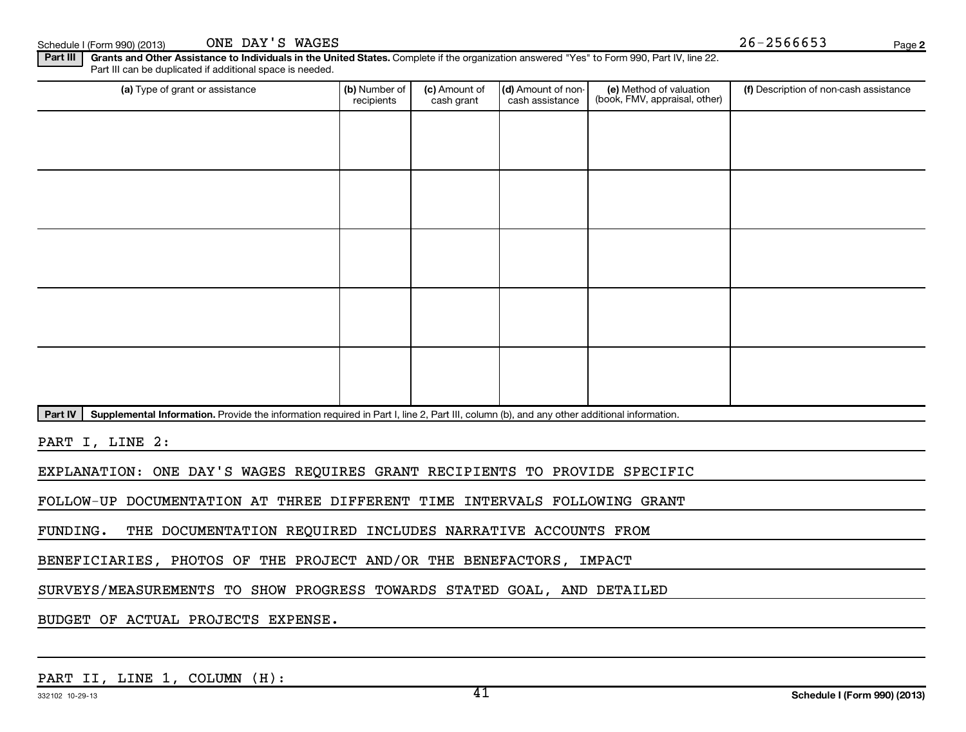Schedule I (Form 990) (2013) CNE DAY'S WAGES  $26-2566653$ ONE DAY'S WAGES

**2**

Part III | Grants and Other Assistance to Individuals in the United States. Complete if the organization answered "Yes" to Form 990, Part IV, line 22. Part III can be duplicated if additional space is needed.

| (a) Type of grant or assistance | (b) Number of<br>recipients | (c) Amount of<br>cash grant | (d) Amount of non-<br>cash assistance | (e) Method of valuation<br>(book, FMV, appraisal, other) | (f) Description of non-cash assistance |
|---------------------------------|-----------------------------|-----------------------------|---------------------------------------|----------------------------------------------------------|----------------------------------------|
|                                 |                             |                             |                                       |                                                          |                                        |
|                                 |                             |                             |                                       |                                                          |                                        |
|                                 |                             |                             |                                       |                                                          |                                        |
|                                 |                             |                             |                                       |                                                          |                                        |
|                                 |                             |                             |                                       |                                                          |                                        |
|                                 |                             |                             |                                       |                                                          |                                        |
|                                 |                             |                             |                                       |                                                          |                                        |
|                                 |                             |                             |                                       |                                                          |                                        |
|                                 |                             |                             |                                       |                                                          |                                        |
|                                 |                             |                             |                                       |                                                          |                                        |

Part IV | Supplemental Information. Provide the information required in Part I, line 2, Part III, column (b), and any other additional information.

PART I, LINE 2:

EXPLANATION: ONE DAY'S WAGES REQUIRES GRANT RECIPIENTS TO PROVIDE SPECIFIC

FOLLOW-UP DOCUMENTATION AT THREE DIFFERENT TIME INTERVALS FOLLOWING GRANT

FUNDING. THE DOCUMENTATION REQUIRED INCLUDES NARRATIVE ACCOUNTS FROM

BENEFICIARIES, PHOTOS OF THE PROJECT AND/OR THE BENEFACTORS, IMPACT

SURVEYS/MEASUREMENTS TO SHOW PROGRESS TOWARDS STATED GOAL, AND DETAILED

BUDGET OF ACTUAL PROJECTS EXPENSE.

PART II, LINE 1, COLUMN (H):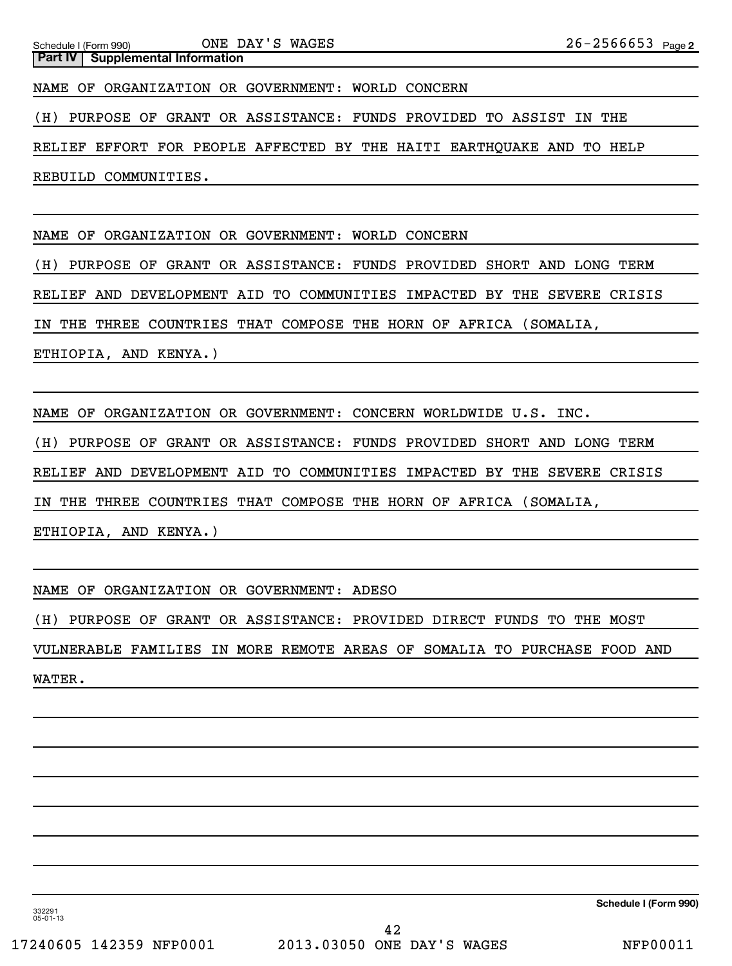Schedule I (Form 990) ONE DAY S MAGES ⊿ b − ⊿ b b b b ว *s* Page 2 **Part IV** Supplemental Information ONE DAY'S WAGES NAME OF ORGANIZATION OR GOVERNMENT: WORLD CONCERN (H) PURPOSE OF GRANT OR ASSISTANCE: FUNDS PROVIDED TO ASSIST IN THE RELIEF EFFORT FOR PEOPLE AFFECTED BY THE HAITI EARTHQUAKE AND TO HELP REBUILD COMMUNITIES.

NAME OF ORGANIZATION OR GOVERNMENT: WORLD CONCERN

(H) PURPOSE OF GRANT OR ASSISTANCE: FUNDS PROVIDED SHORT AND LONG TERM

RELIEF AND DEVELOPMENT AID TO COMMUNITIES IMPACTED BY THE SEVERE CRISIS

IN THE THREE COUNTRIES THAT COMPOSE THE HORN OF AFRICA (SOMALIA,

ETHIOPIA, AND KENYA.)

NAME OF ORGANIZATION OR GOVERNMENT: CONCERN WORLDWIDE U.S. INC.

(H) PURPOSE OF GRANT OR ASSISTANCE: FUNDS PROVIDED SHORT AND LONG TERM

RELIEF AND DEVELOPMENT AID TO COMMUNITIES IMPACTED BY THE SEVERE CRISIS

IN THE THREE COUNTRIES THAT COMPOSE THE HORN OF AFRICA (SOMALIA,

ETHIOPIA, AND KENYA.)

NAME OF ORGANIZATION OR GOVERNMENT: ADESO

(H) PURPOSE OF GRANT OR ASSISTANCE: PROVIDED DIRECT FUNDS TO THE MOST

VULNERABLE FAMILIES IN MORE REMOTE AREAS OF SOMALIA TO PURCHASE FOOD AND

WATER.

**Schedule I (Form 990)**

332291 05-01-13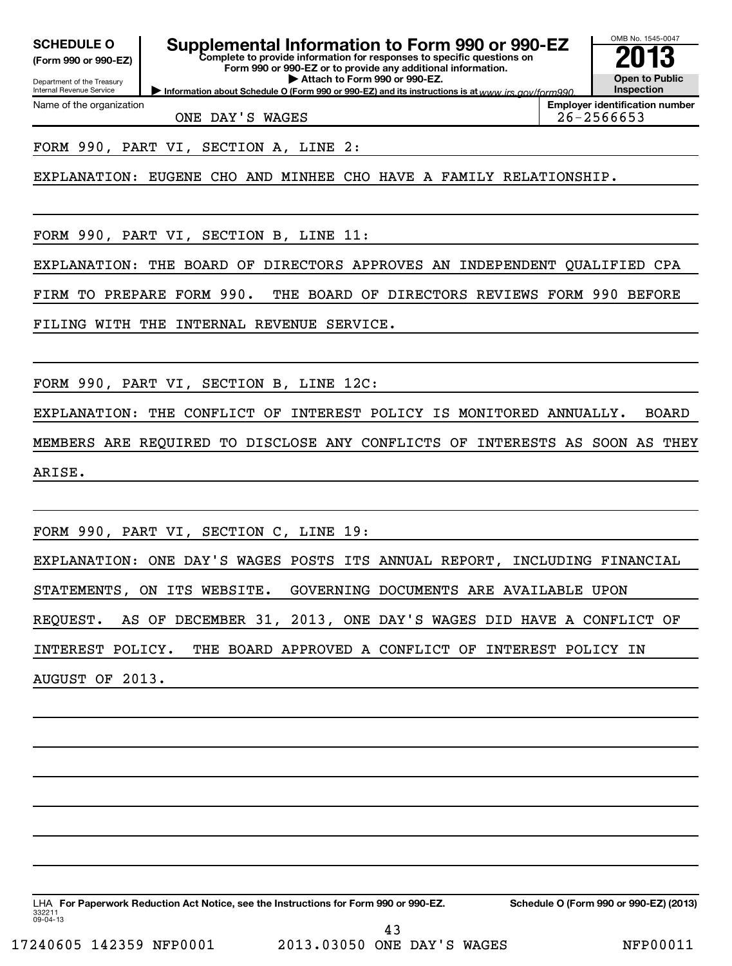**(Form 990 or 990-EZ)**

**Complete to provide information for responses to specific questions on Form 990 or 990-EZ or to provide any additional information. | Attach to Form 990 or 990-EZ. SCHEDULE O Supplemental Information to Form 990 or 990-EZ 2013**

Department of the Treasury Internal Revenue Service Name of the organization

**Information about Schedule O (Form 990 or 990-EZ) and its instructions is at www.irs.gov/form990. Inspection Employer identification number**

OMB No. 1545-0047

**Open to Public**

ONE DAY'S WAGES 26-2566653

FORM 990, PART VI, SECTION A, LINE 2:

EXPLANATION: EUGENE CHO AND MINHEE CHO HAVE A FAMILY RELATIONSHIP.

FORM 990, PART VI, SECTION B, LINE 11:

EXPLANATION: THE BOARD OF DIRECTORS APPROVES AN INDEPENDENT QUALIFIED CPA

FIRM TO PREPARE FORM 990. THE BOARD OF DIRECTORS REVIEWS FORM 990 BEFORE

FILING WITH THE INTERNAL REVENUE SERVICE.

FORM 990, PART VI, SECTION B, LINE 12C:

EXPLANATION: THE CONFLICT OF INTEREST POLICY IS MONITORED ANNUALLY. BOARD MEMBERS ARE REQUIRED TO DISCLOSE ANY CONFLICTS OF INTERESTS AS SOON AS THEY ARISE.

FORM 990, PART VI, SECTION C, LINE 19: EXPLANATION: ONE DAY'S WAGES POSTS ITS ANNUAL REPORT, INCLUDING FINANCIAL

STATEMENTS, ON ITS WEBSITE. GOVERNING DOCUMENTS ARE AVAILABLE UPON

REQUEST. AS OF DECEMBER 31, 2013, ONE DAY'S WAGES DID HAVE A CONFLICT OF

INTEREST POLICY. THE BOARD APPROVED A CONFLICT OF INTEREST POLICY IN

AUGUST OF 2013.

332211 09-04-13 LHA For Paperwork Reduction Act Notice, see the Instructions for Form 990 or 990-EZ. Schedule O (Form 990 or 990-EZ) (2013)